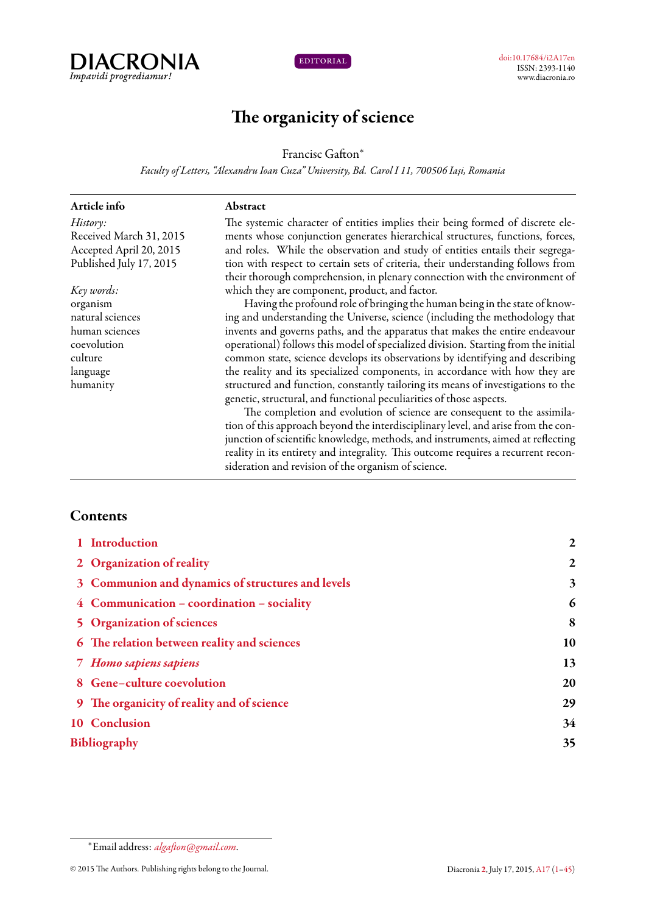



# **The organicity of science**

Francisc Gafton*<sup>∗</sup>*

*Faculty of Letters, "Alexandru Ioan Cuza" University, Bd. Carol I 11, 700506 Iași, Romania*

**Abstract**

| Article info            |
|-------------------------|
| History:                |
| Received March 31, 2015 |
| Accepted April 20, 2015 |
| Published July 17, 2015 |

*Key words:* organism natural sciences human sciences coevolution culture language humanity

The systemic character of entities implies their being formed of discrete elements whose conjunction generates hierarchical structures, functions, forces, and roles. While the observation and study of entities entails their segregation with respect to certain sets of criteria, their understanding follows from their thorough comprehension, in plenary connection with the environment of which they are component, product, and factor.

Having the profound role of bringing the human being in the state of knowing and understanding the Universe, science (including the methodology that invents and governs paths, and the apparatus that makes the entire endeavour operational) follows this model of specialized division. Starting from the initial common state, science develops its observations by identifying and describing the reality and its specialized components, in accordance with how they are structured and function, constantly tailoring its means of investigations to the genetic, structural, and functional peculiarities of those aspects.

The completion and evolution of science are consequent to the assimilation of this approach beyond the interdisciplinary level, and arise from the conjunction of scientific knowledge, methods, and instruments, aimed at reflecting reality in its entirety and integrality. This outcome requires a recurrent reconsideration and revision of the organism of science.

### <span id="page-0-0"></span>**Contents**

| 1 Introduction                                    | $\boldsymbol{2}$ |
|---------------------------------------------------|------------------|
| 2 Organization of reality                         | $\boldsymbol{2}$ |
| 3 Communion and dynamics of structures and levels | 3                |
| 4 Communication - coordination - sociality        | 6                |
| <b>5</b> Organization of sciences                 | 8                |
| 6 The relation between reality and sciences       | 10               |
| 7 Homo sapiens sapiens                            | 13               |
| 8 Gene-culture coevolution                        | 20               |
| 9 The organicity of reality and of science        | 29               |
| 10 Conclusion                                     | 34               |
| <b>Bibliography</b>                               | 35               |
|                                                   |                  |

*<sup>∗</sup>*Email address: *[algafton@gmail.com](mailto:algafton@gmail.com)*.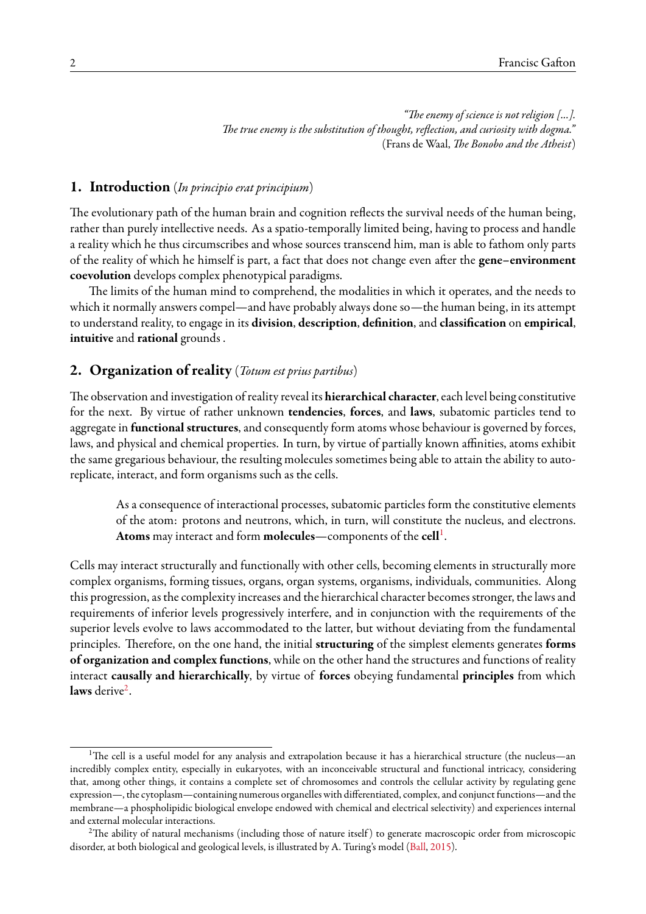*"The enemy of science is not religion [...]. The true enemy is the substitution of thought, reflection, and curiosity with dogma."* (Frans de Waal, *The Bonobo and the Atheist*)

# <span id="page-1-0"></span>**1. Introduction** (*In principio erat principium*)

The evolutionary path of the human brain and cognition reflects the survival needs of the human being, rather than purely intellective needs. As a spatio-temporally limited being, having to process and handle a reality which he thus circumscribes and whose sources transcend him, man is able to fathom only parts of the reality of which he himself is part, a fact that does not change even after the **gene–environment coevolution** develops complex phenotypical paradigms.

The limits of the human mind to comprehend, the modalities in which it operates, and the needs to which it normally answers compel—and have probably always done so—the human being, in its attempt to understand reality, to engage in its **division**, **description**, **definition**, and **classification** on **empirical**, **intuitive** and **rational** grounds .

### <span id="page-1-1"></span>**2. Organization of reality** (*Totum est prius partibus*)

The observation and investigation of reality reveal its **hierarchical character**, each level being constitutive for the next. By virtue of rather unknown **tendencies**, **forces**, and **laws**, subatomic particles tend to aggregate in **functional structures**, and consequently form atoms whose behaviour is governed by forces, laws, and physical and chemical properties. In turn, by virtue of partially known affinities, atoms exhibit the same gregarious behaviour, the resulting molecules sometimes being able to attain the ability to autoreplicate, interact, and form organisms such as the cells.

As a consequence of interactional processes, subatomic particles form the constitutive elements of the atom: protons and neutrons, which, in turn, will constitute the nucleus, and electrons. **Atoms** may interact and form **molecules**—components of the **cell**[1](#page-1-2) .

Cells may interact structurally and functionally with other cells, becoming elements in structurally more complex organisms, forming tissues, organs, organ systems, organisms, individuals, communities. Along this progression, as the complexity increases and the hierarchical character becomes stronger, the laws and requirements of inferior levels progressively interfere, and in conjunction with the requirements of the superior levels evolve to laws accommodated to the latter, but without deviating from the fundamental principles. Therefore, on the one hand, the initial **structuring** of the simplest elements generates **forms of organization and complex functions**, while on the other hand the structures and functions of reality interact **causally and hierarchically**, by virtue of **forces** obeying fundamental **principles** from which laws derive<sup>[2](#page-1-3)</sup>.

<span id="page-1-2"></span><sup>&</sup>lt;sup>1</sup>The cell is a useful model for any analysis and extrapolation because it has a hierarchical structure (the nucleus—an incredibly complex entity, especially in eukaryotes, with an inconceivable structural and functional intricacy, considering that, among other things, it contains a complete set of chromosomes and controls the cellular activity by regulating gene expression—, the cytoplasm—containing numerous organelles with differentiated, complex, and conjunct functions—and the membrane—a phospholipidic biological envelope endowed with chemical and electrical selectivity) and experiences internal and external molecular interactions.

<span id="page-1-3"></span><sup>&</sup>lt;sup>2</sup>The ability of natural mechanisms (including those of nature itself) to generate macroscopic order from microscopic disorder, at both biological and geological levels, is illustrated by A. Turing's model([Ball,](#page-34-1) [2015\)](#page-34-1).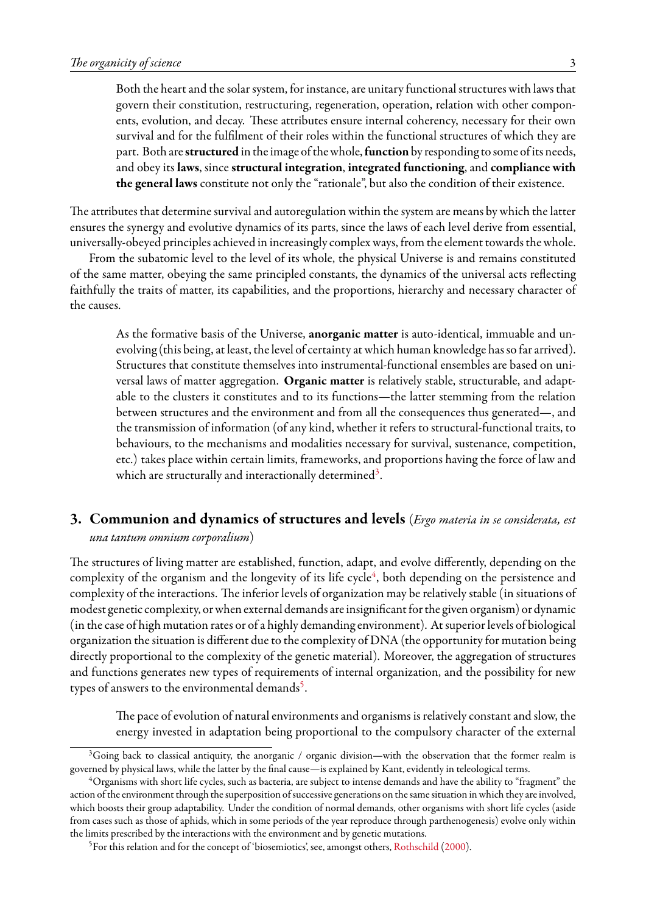Both the heart and the solar system, for instance, are unitary functional structures with laws that govern their constitution, restructuring, regeneration, operation, relation with other components, evolution, and decay. These attributes ensure internal coherency, necessary for their own survival and for the fulfilment of their roles within the functional structures of which they are part. Both are**structured** in the image of the whole,**function** by responding to some of its needs, and obey its **laws**, since **structural integration**, **integrated functioning**, and **compliance with the general laws** constitute not only the "rationale", but also the condition of their existence.

The attributes that determine survival and autoregulation within the system are means by which the latter ensures the synergy and evolutive dynamics of its parts, since the laws of each level derive from essential, universally-obeyed principles achieved in increasingly complex ways, from the element towards the whole.

From the subatomic level to the level of its whole, the physical Universe is and remains constituted of the same matter, obeying the same principled constants, the dynamics of the universal acts reflecting faithfully the traits of matter, its capabilities, and the proportions, hierarchy and necessary character of the causes.

As the formative basis of the Universe, **anorganic matter** is auto-identical, immuable and unevolving (this being, at least, the level of certainty at which human knowledge has so far arrived). Structures that constitute themselves into instrumental-functional ensembles are based on universal laws of matter aggregation. **Organic matter** is relatively stable, structurable, and adaptable to the clusters it constitutes and to its functions—the latter stemming from the relation between structures and the environment and from all the consequences thus generated—, and the transmission of information (of any kind, whether it refers to structural-functional traits, to behaviours, to the mechanisms and modalities necessary for survival, sustenance, competition, etc.) takes place within certain limits, frameworks, and proportions having the force of law and which are structurally and interactionally determined $^3\!\!$  $^3\!\!$  $^3\!\!$  .

# <span id="page-2-0"></span>**3. Communion and dynamics of structures and levels** (*Ergo materia in se considerata, est una tantum omnium corporalium*)

The structures of living matter are established, function, adapt, and evolve differently, depending on the complexity of the organism and the longevity of its life cycle<sup>[4](#page-2-2)</sup>, both depending on the persistence and complexity of the interactions. The inferior levels of organization may be relatively stable (in situations of modest genetic complexity, or when external demands are insignificant for the given organism) or dynamic (in the case of high mutation rates or of a highly demanding environment). At superior levels of biological organization the situation is different due to the complexity of DNA (the opportunity for mutation being directly proportional to the complexity of the genetic material). Moreover, the aggregation of structures and functions generates new types of requirements of internal organization, and the possibility for new types of answers to the environmental demands<sup>[5](#page-2-3)</sup>.

The pace of evolution of natural environments and organisms is relatively constant and slow, the energy invested in adaptation being proportional to the compulsory character of the external

<span id="page-2-1"></span><sup>&</sup>lt;sup>3</sup>Going back to classical antiquity, the anorganic / organic division—with the observation that the former realm is governed by physical laws, while the latter by the final cause—is explained by Kant, evidently in teleological terms.

<span id="page-2-2"></span><sup>4</sup>Organisms with short life cycles, such as bacteria, are subject to intense demands and have the ability to "fragment" the action of the environment through the superposition of successive generations on the same situation in which they are involved, which boosts their group adaptability. Under the condition of normal demands, other organisms with short life cycles (aside from cases such as those of aphids, which in some periods of the year reproduce through parthenogenesis) evolve only within the limits prescribed by the interactions with the environment and by genetic mutations.

<span id="page-2-3"></span><sup>&</sup>lt;sup>5</sup>For this relation and for the concept of 'biosemiotics', see, amongst others, [Rothschild](#page-42-0) ([2000](#page-42-0)).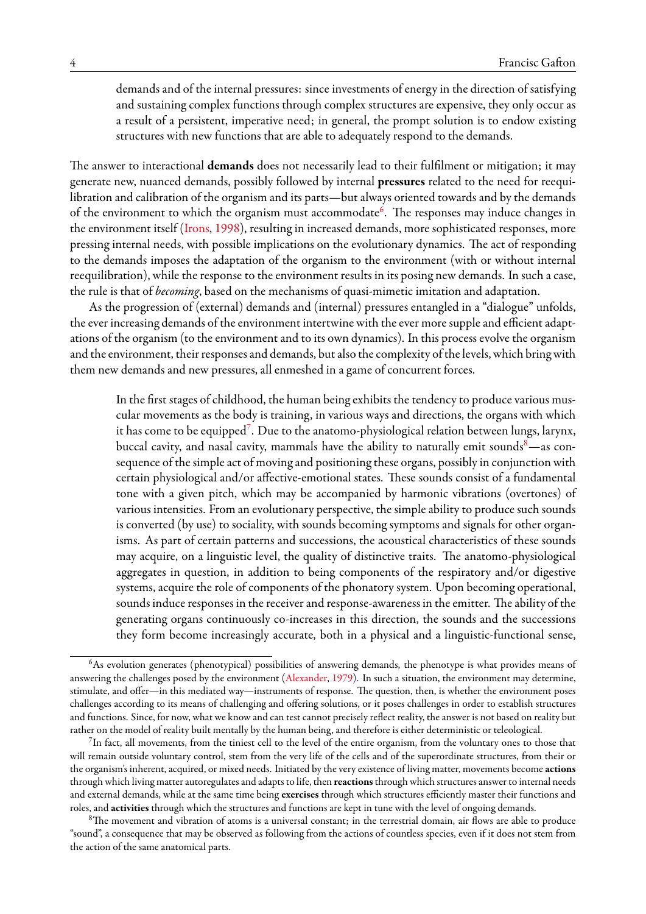demands and of the internal pressures: since investments of energy in the direction of satisfying and sustaining complex functions through complex structures are expensive, they only occur as a result of a persistent, imperative need; in general, the prompt solution is to endow existing structures with new functions that are able to adequately respond to the demands.

The answer to interactional **demands** does not necessarily lead to their fulfilment or mitigation; it may generate new, nuanced demands, possibly followed by internal **pressures** related to the need for reequilibration and calibration of the organism and its parts—but always oriented towards and by the demands of the environment to which the organism must accommodate<sup>[6](#page-3-0)</sup>. The responses may induce changes in the environment itself([Irons](#page-39-0), [1998](#page-39-0)), resulting in increased demands, more sophisticated responses, more pressing internal needs, with possible implications on the evolutionary dynamics. The act of responding to the demands imposes the adaptation of the organism to the environment (with or without internal reequilibration), while the response to the environment results in its posing new demands. In such a case, the rule is that of *becoming*, based on the mechanisms of quasi-mimetic imitation and adaptation.

As the progression of (external) demands and (internal) pressures entangled in a "dialogue" unfolds, the ever increasing demands of the environment intertwine with the ever more supple and efficient adaptations of the organism (to the environment and to its own dynamics). In this process evolve the organism and the environment, their responses and demands, but also the complexity of the levels, which bring with them new demands and new pressures, all enmeshed in a game of concurrent forces.

In the first stages of childhood, the human being exhibits the tendency to produce various muscular movements as the body is training, in various ways and directions, the organs with which it has come to be equipped<sup>[7](#page-3-1)</sup>. Due to the anatomo-physiological relation between lungs, larynx, buccal cavity, and nasal cavity, mammals have the ability to naturally emit sounds $8$ —as consequence of the simple act of moving and positioning these organs, possibly in conjunction with certain physiological and/or affective-emotional states. These sounds consist of a fundamental tone with a given pitch, which may be accompanied by harmonic vibrations (overtones) of various intensities. From an evolutionary perspective, the simple ability to produce such sounds is converted (by use) to sociality, with sounds becoming symptoms and signals for other organisms. As part of certain patterns and successions, the acoustical characteristics of these sounds may acquire, on a linguistic level, the quality of distinctive traits. The anatomo-physiological aggregates in question, in addition to being components of the respiratory and/or digestive systems, acquire the role of components of the phonatory system. Upon becoming operational, sounds induce responses in the receiver and response-awareness in the emitter. The ability of the generating organs continuously co-increases in this direction, the sounds and the successions they form become increasingly accurate, both in a physical and a linguistic-functional sense,

<span id="page-3-0"></span><sup>6</sup>As evolution generates (phenotypical) possibilities of answering demands, the phenotype is what provides means of answering the challenges posed by the environment [\(Alexander,](#page-34-2) [1979](#page-34-2)). In such a situation, the environment may determine, stimulate, and offer—in this mediated way—instruments of response. The question, then, is whether the environment poses challenges according to its means of challenging and offering solutions, or it poses challenges in order to establish structures and functions. Since, for now, what we know and can test cannot precisely reflect reality, the answer is not based on reality but rather on the model of reality built mentally by the human being, and therefore is either deterministic or teleological.

<span id="page-3-1"></span> $^7$ In fact, all movements, from the tiniest cell to the level of the entire organism, from the voluntary ones to those that will remain outside voluntary control, stem from the very life of the cells and of the superordinate structures, from their or the organism's inherent, acquired, or mixed needs. Initiated by the very existence of living matter, movements become **actions** through which living matter autoregulates and adapts to life, then **reactions**through which structures answer to internal needs and external demands, while at the same time being **exercises** through which structures efficiently master their functions and roles, and **activities** through which the structures and functions are kept in tune with the level of ongoing demands.

<span id="page-3-2"></span> $8$ The movement and vibration of atoms is a universal constant; in the terrestrial domain, air flows are able to produce "sound", a consequence that may be observed as following from the actions of countless species, even if it does not stem from the action of the same anatomical parts.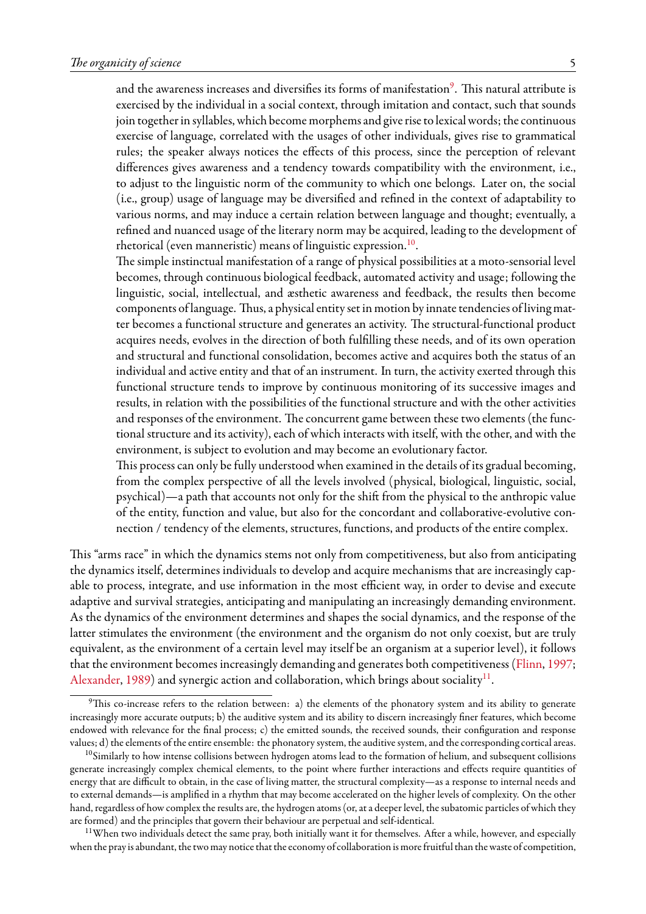and the awareness increases and diversifies its forms of manifestation $^{\circ}$ . This natural attribute is exercised by the individual in a social context, through imitation and contact, such that sounds join together in syllables, which become morphems and give rise to lexical words; the continuous exercise of language, correlated with the usages of other individuals, gives rise to grammatical rules; the speaker always notices the effects of this process, since the perception of relevant differences gives awareness and a tendency towards compatibility with the environment, i.e., to adjust to the linguistic norm of the community to which one belongs. Later on, the social (i.e., group) usage of language may be diversified and refined in the context of adaptability to various norms, and may induce a certain relation between language and thought; eventually, a refined and nuanced usage of the literary norm may be acquired, leading to the development of rhetorical (even manneristic) means of linguistic expression.<sup>[10](#page-4-1)</sup>.

The simple instinctual manifestation of a range of physical possibilities at a moto-sensorial level becomes, through continuous biological feedback, automated activity and usage; following the linguistic, social, intellectual, and æsthetic awareness and feedback, the results then become components of language. Thus, a physical entity set in motion by innate tendencies of living matter becomes a functional structure and generates an activity. The structural-functional product acquires needs, evolves in the direction of both fulfilling these needs, and of its own operation and structural and functional consolidation, becomes active and acquires both the status of an individual and active entity and that of an instrument. In turn, the activity exerted through this functional structure tends to improve by continuous monitoring of its successive images and results, in relation with the possibilities of the functional structure and with the other activities and responses of the environment. The concurrent game between these two elements (the functional structure and its activity), each of which interacts with itself, with the other, and with the environment, is subject to evolution and may become an evolutionary factor.

This process can only be fully understood when examined in the details of its gradual becoming, from the complex perspective of all the levels involved (physical, biological, linguistic, social, psychical)—a path that accounts not only for the shift from the physical to the anthropic value of the entity, function and value, but also for the concordant and collaborative-evolutive connection / tendency of the elements, structures, functions, and products of the entire complex.

This "arms race" in which the dynamics stems not only from competitiveness, but also from anticipating the dynamics itself, determines individuals to develop and acquire mechanisms that are increasingly capable to process, integrate, and use information in the most efficient way, in order to devise and execute adaptive and survival strategies, anticipating and manipulating an increasingly demanding environment. As the dynamics of the environment determines and shapes the social dynamics, and the response of the latter stimulates the environment (the environment and the organism do not only coexist, but are truly equivalent, as the environment of a certain level may itself be an organism at a superior level), it follows that the environment becomes increasingly demanding and generates both competitiveness([Flinn,](#page-37-0) [1997;](#page-37-0) [Alexander,](#page-34-3) [1989\)](#page-34-3) and synergic action and collaboration, which brings about sociality<sup>[11](#page-4-2)</sup>.

<span id="page-4-0"></span><sup>&</sup>lt;sup>9</sup>This co-increase refers to the relation between: a) the elements of the phonatory system and its ability to generate increasingly more accurate outputs; b) the auditive system and its ability to discern increasingly finer features, which become endowed with relevance for the final process; c) the emitted sounds, the received sounds, their configuration and response values; d) the elements of the entire ensemble: the phonatory system, the auditive system, and the corresponding cortical areas.

<span id="page-4-1"></span> $10$ Similarly to how intense collisions between hydrogen atoms lead to the formation of helium, and subsequent collisions generate increasingly complex chemical elements, to the point where further interactions and effects require quantities of energy that are difficult to obtain, in the case of living matter, the structural complexity—as a response to internal needs and to external demands—is amplified in a rhythm that may become accelerated on the higher levels of complexity. On the other hand, regardless of how complex the results are, the hydrogen atoms (or, at a deeper level, the subatomic particles of which they are formed) and the principles that govern their behaviour are perpetual and self-identical.

<span id="page-4-2"></span><sup>&</sup>lt;sup>11</sup>When two individuals detect the same pray, both initially want it for themselves. After a while, however, and especially when the pray is abundant, the two may notice that the economy of collaboration is morefruitful than the waste of competition,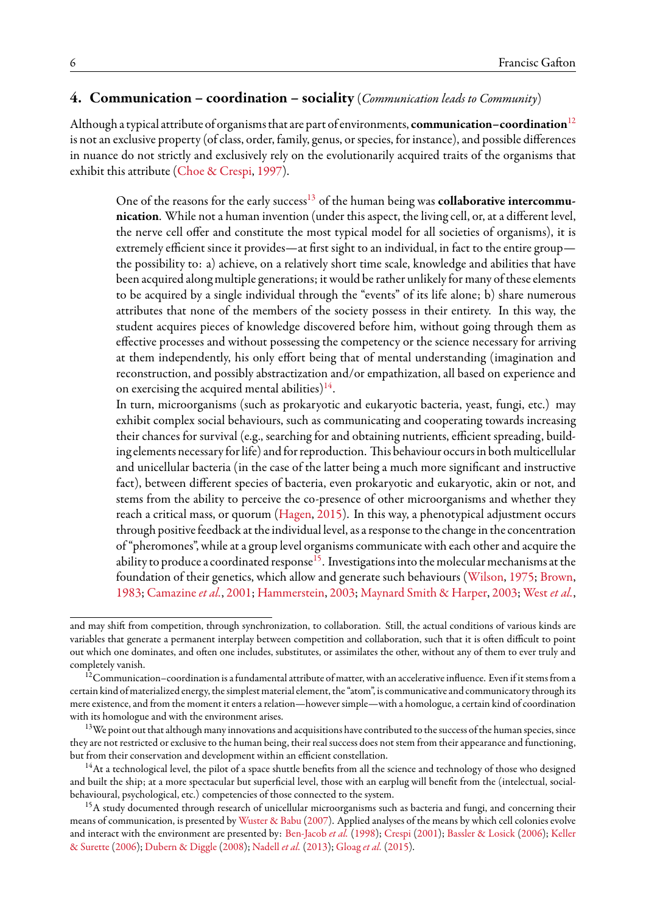### <span id="page-5-0"></span>**4. Communication – coordination – sociality** (*Communication leads to Community*)

Although a typical attribute of organisms that are part of environments, **communication–coordination**[12](#page-5-1) is not an exclusive property (of class, order, family, genus, or species, for instance), and possible differences in nuance do not strictly and exclusively rely on the evolutionarily acquired traits of the organisms that exhibit this attribute [\(Choe & Crespi](#page-36-0), [1997](#page-36-0)).

One of the reasons for the early success<sup>[13](#page-5-2)</sup> of the human being was **collaborative intercommunication**. While not a human invention (under this aspect, the living cell, or, at a different level, the nerve cell offer and constitute the most typical model for all societies of organisms), it is extremely efficient since it provides—at first sight to an individual, in fact to the entire group the possibility to: a) achieve, on a relatively short time scale, knowledge and abilities that have been acquired along multiple generations; it would be rather unlikely for many of these elements to be acquired by a single individual through the "events" of its life alone; b) share numerous attributes that none of the members of the society possess in their entirety. In this way, the student acquires pieces of knowledge discovered before him, without going through them as effective processes and without possessing the competency or the science necessary for arriving at them independently, his only effort being that of mental understanding (imagination and reconstruction, and possibly abstractization and/or empathization, all based on experience and on exercising the acquired mental abilities) $^{14}.$  $^{14}.$  $^{14}.$ 

In turn, microorganisms (such as prokaryotic and eukaryotic bacteria, yeast, fungi, etc.) may exhibit complex social behaviours, such as communicating and cooperating towards increasing their chances for survival (e.g., searching for and obtaining nutrients, efficient spreading, building elements necessary for life) and for reproduction. This behaviour occurs in both multicellular and unicellular bacteria (in the case of the latter being a much more significant and instructive fact), between different species of bacteria, even prokaryotic and eukaryotic, akin or not, and stems from the ability to perceive the co-presence of other microorganisms and whether they reach a critical mass, or quorum([Hagen](#page-38-0), [2015](#page-38-0)). In this way, a phenotypical adjustment occurs through positive feedback at the individual level, as a response to the change in the concentration of "pheromones", while at a group level organisms communicate with each other and acquire the ability to produce a coordinated response<sup>[15](#page-5-4)</sup>. Investigations into the molecular mechanisms at the foundation of their genetics, which allow and generate such behaviours([Wilson](#page-44-0), [1975](#page-44-0); [Brown](#page-35-0), [1983](#page-35-0); [Camazine](#page-36-1)*et al.*, [2001;](#page-36-1) [Hammerstein](#page-38-1), [2003](#page-38-1); [Maynard Smith & Harper](#page-40-0), [2003;](#page-40-0) [West](#page-44-1) *et al.*,

and may shift from competition, through synchronization, to collaboration. Still, the actual conditions of various kinds are variables that generate a permanent interplay between competition and collaboration, such that it is often difficult to point out which one dominates, and often one includes, substitutes, or assimilates the other, without any of them to ever truly and completely vanish.

<span id="page-5-1"></span> $^{12}$ Communication–coordination is a fundamental attribute of matter, with an accelerative influence. Even if it stems from a certain kind of materialized energy, the simplest material element, the "atom", is communicative and communicatory through its mere existence, and from the moment it enters a relation—however simple—with a homologue, a certain kind of coordination with its homologue and with the environment arises.

<span id="page-5-2"></span><sup>&</sup>lt;sup>13</sup>We point out that although many innovations and acquisitions have contributed to the success of the human species, since they are not restricted or exclusive to the human being, their real success does not stem from their appearance and functioning, but from their conservation and development within an efficient constellation.

<span id="page-5-3"></span> $14$ At a technological level, the pilot of a space shuttle benefits from all the science and technology of those who designed and built the ship; at a more spectacular but superficial level, those with an earplug will benefit from the (intelectual, socialbehavioural, psychological, etc.) competencies of those connected to the system.

<span id="page-5-4"></span><sup>&</sup>lt;sup>15</sup>A study documented through research of unicellular microorganisms such as bacteria and fungi, and concerning their means of communication, is presented by [Wuster & Babu](#page-44-2) [\(2007\)](#page-44-2). Applied analyses of the means by which cell colonies evolve and interact with the environment are presented by: [Ben-Jacob](#page-35-1) *et al.* ([1998](#page-35-1)); [Crespi](#page-36-2) ([2001\)](#page-36-2); [Bassler & Losick](#page-35-2) ([2006\)](#page-35-2); [Keller](#page-39-1) [& Surette](#page-39-1) [\(2006\)](#page-39-1); [Dubern & Diggle](#page-37-1) [\(2008\)](#page-37-1); [Nadell](#page-40-1) *et al.* ([2013\)](#page-40-1); [Gloag](#page-37-2) *et al.* [\(2015\)](#page-37-2).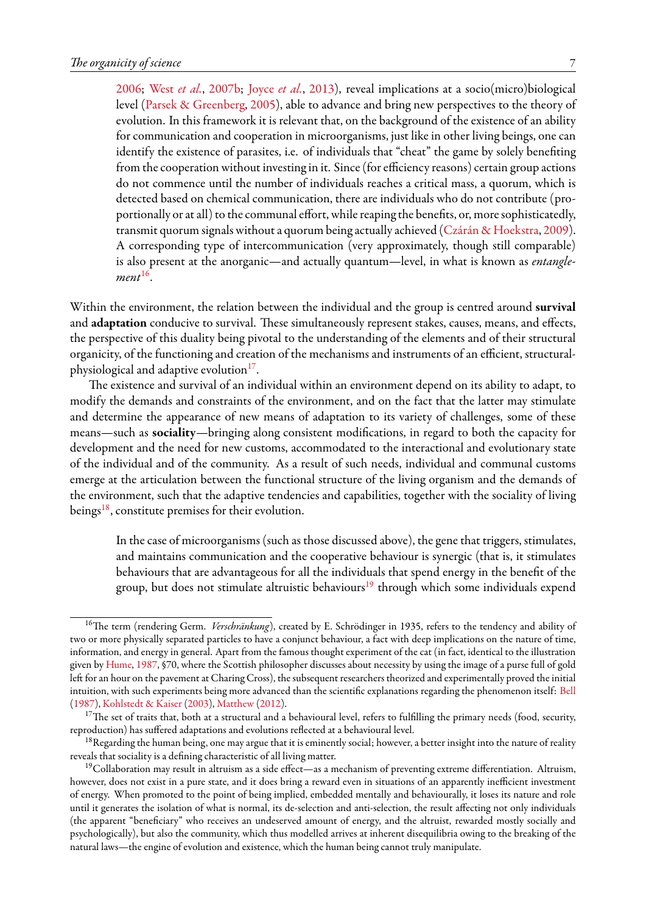[2006](#page-44-1); [West](#page-44-3) *et al.*, [2007b;](#page-44-3) [Joyce](#page-39-2) *et al.*, [2013](#page-39-2)), reveal implications at a socio(micro)biological level [\(Parsek & Greenberg,](#page-41-0) [2005](#page-41-0)), able to advance and bring new perspectives to the theory of evolution. In this framework it is relevant that, on the background of the existence of an ability for communication and cooperation in microorganisms, just like in other living beings, one can identify the existence of parasites, i.e. of individuals that "cheat" the game by solely benefiting from the cooperation without investing in it. Since (for efficiency reasons) certain group actions do not commence until the number of individuals reaches a critical mass, a quorum, which is detected based on chemical communication, there are individuals who do not contribute (proportionally or at all) to the communal effort, while reaping the benefits, or, more sophisticatedly, transmit quorum signals without a quorum being actually achieved([Czárán & Hoekstra,](#page-36-3) [2009](#page-36-3)). A corresponding type of intercommunication (very approximately, though still comparable) is also present at the anorganic—and actually quantum—level, in what is known as *entanglement*[16](#page-6-0) .

Within the environment, the relation between the individual and the group is centred around **survival** and **adaptation** conducive to survival. These simultaneously represent stakes, causes, means, and effects, the perspective of this duality being pivotal to the understanding of the elements and of their structural organicity, of the functioning and creation of the mechanisms and instruments of an efficient, structuralphysiological and adaptive evolution $^{17}$  $^{17}$  $^{17}$ .

The existence and survival of an individual within an environment depend on its ability to adapt, to modify the demands and constraints of the environment, and on the fact that the latter may stimulate and determine the appearance of new means of adaptation to its variety of challenges, some of these means—such as **sociality**—bringing along consistent modifications, in regard to both the capacity for development and the need for new customs, accommodated to the interactional and evolutionary state of the individual and of the community. As a result of such needs, individual and communal customs emerge at the articulation between the functional structure of the living organism and the demands of the environment, such that the adaptive tendencies and capabilities, together with the sociality of living beings $^{18}$  $^{18}$  $^{18}$ , constitute premises for their evolution.

In the case of microorganisms (such as those discussed above), the gene that triggers, stimulates, and maintains communication and the cooperative behaviour is synergic (that is, it stimulates behaviours that are advantageous for all the individuals that spend energy in the benefit of the group, but does not stimulate altruistic behaviours<sup>[19](#page-6-3)</sup> through which some individuals expend

<span id="page-6-0"></span><sup>&</sup>lt;sup>16</sup>The term (rendering Germ. *Verschränkung*), created by E. Schrödinger in 1935, refers to the tendency and ability of two or more physically separated particles to have a conjunct behaviour, a fact with deep implications on the nature of time, information, and energy in general. Apart from the famous thought experiment of the cat (in fact, identical to the illustration given by [Hume](#page-38-2), [1987,](#page-38-2) §70, where the Scottish philosopher discusses about necessity by using the image of a purse full of gold left for an hour on the pavement at Charing Cross), the subsequent researchers theorized and experimentally proved the initial intuition, with such experiments being more advanced than the scientific explanations regarding the phenomenon itself: [Bell](#page-35-3) ([1987](#page-35-3)), [Kohlstedt & Kaiser](#page-39-3) [\(2003](#page-39-3)), [Matthew](#page-40-2) ([2012\)](#page-40-2).

<span id="page-6-1"></span> $17$ The set of traits that, both at a structural and a behavioural level, refers to fulfilling the primary needs (food, security, reproduction) has suffered adaptations and evolutions reflected at a behavioural level.

<span id="page-6-2"></span><sup>&</sup>lt;sup>18</sup>Regarding the human being, one may argue that it is eminently social; however, a better insight into the nature of reality reveals that sociality is a defining characteristic of all living matter.

<span id="page-6-3"></span><sup>&</sup>lt;sup>19</sup>Collaboration may result in altruism as a side effect—as a mechanism of preventing extreme differentiation. Altruism, however, does not exist in a pure state, and it does bring a reward even in situations of an apparently inefficient investment of energy. When promoted to the point of being implied, embedded mentally and behaviourally, it loses its nature and role until it generates the isolation of what is normal, its de-selection and anti-selection, the result affecting not only individuals (the apparent "beneficiary" who receives an undeserved amount of energy, and the altruist, rewarded mostly socially and psychologically), but also the community, which thus modelled arrives at inherent disequilibria owing to the breaking of the natural laws—the engine of evolution and existence, which the human being cannot truly manipulate.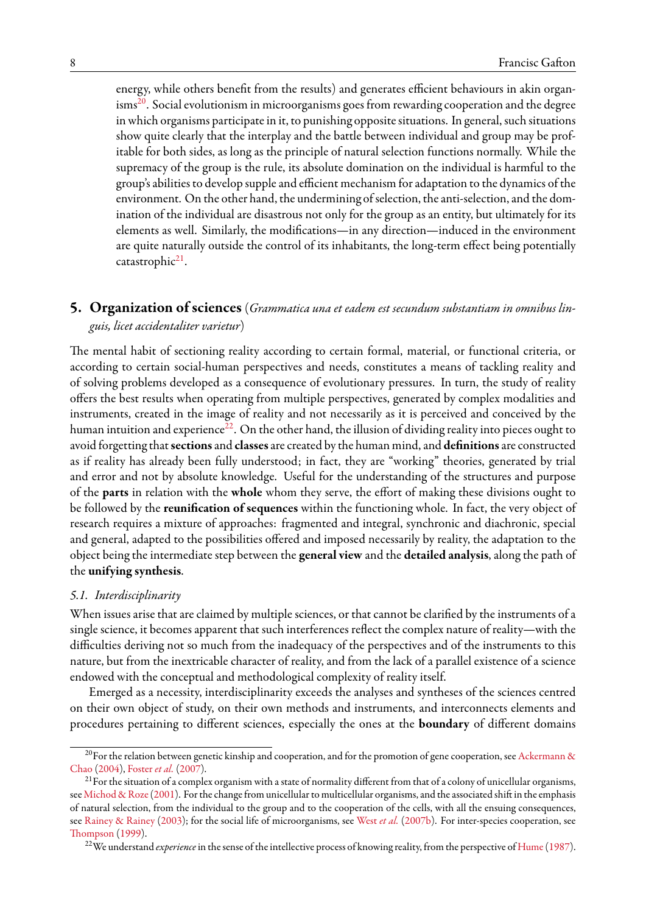energy, while others benefit from the results) and generates efficient behaviours in akin organ- $\mathrm{isms}^{20}$  $\mathrm{isms}^{20}$  $\mathrm{isms}^{20}$ . Social evolutionism in microorganisms goes from rewarding cooperation and the degree in which organisms participate in it, to punishing opposite situations. In general, such situations show quite clearly that the interplay and the battle between individual and group may be profitable for both sides, as long as the principle of natural selection functions normally. While the supremacy of the group is the rule, its absolute domination on the individual is harmful to the group's abilities to develop supple and efficient mechanism for adaptation to the dynamics of the environment. On the other hand, the undermining of selection, the anti-selection, and the domination of the individual are disastrous not only for the group as an entity, but ultimately for its elements as well. Similarly, the modifications—in any direction—induced in the environment are quite naturally outside the control of its inhabitants, the long-term effect being potentially catastrophic<sup>[21](#page-7-2)</sup>.

### <span id="page-7-0"></span>**5. Organization of sciences** (*Grammatica una et eadem est secundum substantiam in omnibus linguis, licet accidentaliter varietur*)

The mental habit of sectioning reality according to certain formal, material, or functional criteria, or according to certain social-human perspectives and needs, constitutes a means of tackling reality and of solving problems developed as a consequence of evolutionary pressures. In turn, the study of reality offers the best results when operating from multiple perspectives, generated by complex modalities and instruments, created in the image of reality and not necessarily as it is perceived and conceived by the human intuition and experience<sup>[22](#page-7-3)</sup>. On the other hand, the illusion of dividing reality into pieces ought to avoid forgetting that**sections**and **classes**are created by the human mind, and **definitions**are constructed as if reality has already been fully understood; in fact, they are "working" theories, generated by trial and error and not by absolute knowledge. Useful for the understanding of the structures and purpose of the **parts** in relation with the **whole** whom they serve, the effort of making these divisions ought to be followed by the **reunification of sequences** within the functioning whole. In fact, the very object of research requires a mixture of approaches: fragmented and integral, synchronic and diachronic, special and general, adapted to the possibilities offered and imposed necessarily by reality, the adaptation to the object being the intermediate step between the **general view** and the **detailed analysis**, along the path of the **unifying synthesis**.

#### *5.1. Interdisciplinarity*

When issues arise that are claimed by multiple sciences, or that cannot be clarified by the instruments of a single science, it becomes apparent that such interferences reflect the complex nature of reality—with the difficulties deriving not so much from the inadequacy of the perspectives and of the instruments to this nature, but from the inextricable character of reality, and from the lack of a parallel existence of a science endowed with the conceptual and methodological complexity of reality itself.

Emerged as a necessity, interdisciplinarity exceeds the analyses and syntheses of the sciences centred on their own object of study, on their own methods and instruments, and interconnects elements and procedures pertaining to different sciences, especially the ones at the **boundary** of different domains

<span id="page-7-1"></span><sup>&</sup>lt;sup>20</sup>For the relation between genetic kinship and cooperation, and for the promotion of gene cooperation, see [Ackermann &](#page-34-4) [Chao](#page-34-4) ([2004](#page-34-4)), [Foster](#page-37-3) *et al.* ([2007](#page-37-3)).

<span id="page-7-2"></span> $^{21}$  For the situation of a complex organism with a state of normality different from that of a colony of unicellular organisms, see [Michod & Roze](#page-40-3)([2001](#page-40-3)). For the change from unicellular to multicellular organisms, and the associated shift in the emphasis of natural selection, from the individual to the group and to the cooperation of the cells, with all the ensuing consequences, see [Rainey & Rainey](#page-42-1) [\(2003\)](#page-42-1); for the social life of microorganisms, see [West](#page-44-3) *et al.* [\(2007b](#page-44-3)). For inter-species cooperation, see [Thompson](#page-43-0) ([1999](#page-43-0)).

<span id="page-7-3"></span><sup>&</sup>lt;sup>22</sup>We understand *experience* in the sense of the intellective process of knowing reality, from the perspective of [Hume](#page-38-2) ([1987](#page-38-2)).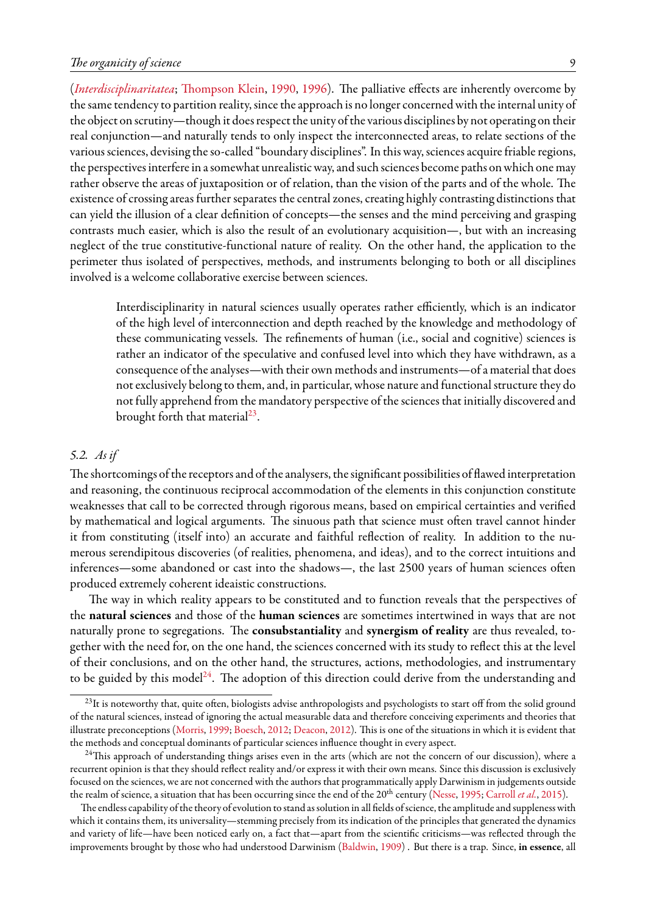#### *The organicity of science* 9

(*[Interdisciplinaritatea](#page-39-4)*; [Thompson Klein](#page-43-1), [1990,](#page-43-1) [1996](#page-43-2)). The palliative effects are inherently overcome by the same tendency to partition reality, since the approach is no longer concerned with the internal unity of the object on scrutiny—though it does respect the unity of the various disciplines by not operating on their real conjunction—and naturally tends to only inspect the interconnected areas, to relate sections of the various sciences, devising the so-called "boundary disciplines". In this way, sciences acquire friable regions, the perspectives interfere in a somewhat unrealistic way, and such sciences become paths on which one may rather observe the areas of juxtaposition or of relation, than the vision of the parts and of the whole. The existence of crossing areas further separates the central zones, creating highly contrasting distinctions that can yield the illusion of a clear definition of concepts—the senses and the mind perceiving and grasping contrasts much easier, which is also the result of an evolutionary acquisition—, but with an increasing neglect of the true constitutive-functional nature of reality. On the other hand, the application to the perimeter thus isolated of perspectives, methods, and instruments belonging to both or all disciplines involved is a welcome collaborative exercise between sciences.

Interdisciplinarity in natural sciences usually operates rather efficiently, which is an indicator of the high level of interconnection and depth reached by the knowledge and methodology of these communicating vessels. The refinements of human (i.e., social and cognitive) sciences is rather an indicator of the speculative and confused level into which they have withdrawn, as a consequence of the analyses—with their own methods and instruments—of a material that does not exclusively belong to them, and, in particular, whose nature and functional structure they do not fully apprehend from the mandatory perspective of the sciences that initially discovered and brought forth that material $^{23}$  $^{23}$  $^{23}$ .

### *5.2. As if*

The shortcomings of the receptors and of the analysers, the significant possibilities of flawed interpretation and reasoning, the continuous reciprocal accommodation of the elements in this conjunction constitute weaknesses that call to be corrected through rigorous means, based on empirical certainties and verified by mathematical and logical arguments. The sinuous path that science must often travel cannot hinder it from constituting (itself into) an accurate and faithful reflection of reality. In addition to the numerous serendipitous discoveries (of realities, phenomena, and ideas), and to the correct intuitions and inferences—some abandoned or cast into the shadows—, the last 2500 years of human sciences often produced extremely coherent ideaistic constructions.

The way in which reality appears to be constituted and to function reveals that the perspectives of the **natural sciences** and those of the **human sciences** are sometimes intertwined in ways that are not naturally prone to segregations. The **consubstantiality** and **synergism of reality** are thus revealed, together with the need for, on the one hand, the sciences concerned with its study to reflect this at the level of their conclusions, and on the other hand, the structures, actions, methodologies, and instrumentary to be guided by this model<sup>[24](#page-8-1)</sup>. The adoption of this direction could derive from the understanding and

<span id="page-8-0"></span><sup>&</sup>lt;sup>23</sup>It is noteworthy that, quite often, biologists advise anthropologists and psychologists to start off from the solid ground of the natural sciences, instead of ignoring the actual measurable data and therefore conceiving experiments and theories that illustrate preconceptions [\(Morris,](#page-40-4) [1999](#page-40-4); [Boesch,](#page-35-4) [2012](#page-35-4); [Deacon,](#page-36-4) [2012](#page-36-4)). This is one of the situations in which it is evident that the methods and conceptual dominants of particular sciences influence thought in every aspect.

<span id="page-8-1"></span> $24$ This approach of understanding things arises even in the arts (which are not the concern of our discussion), where a recurrent opinion is that they should reflect reality and/or express it with their own means. Since this discussion is exclusively focused on the sciences, we are not concerned with the authors that programmatically apply Darwinism in judgements outside therealm of science, a situation that has been occurring since the end of the 20<sup>th</sup> century ([Nesse](#page-41-1), [1995;](#page-41-1) [Carroll](#page-36-5) *et al.*, [2015](#page-36-5)).

The endless capability of the theory of evolution to stand as solution in all fields of science, the amplitude and suppleness with which it contains them, its universality—stemming precisely from its indication of the principles that generated the dynamics and variety of life—have been noticed early on, a fact that—apart from the scientific criticisms—was reflected through the improvements brought by those who had understood Darwinism [\(Baldwin](#page-34-5), [1909](#page-34-5)) . But there is a trap. Since, **in essence**, all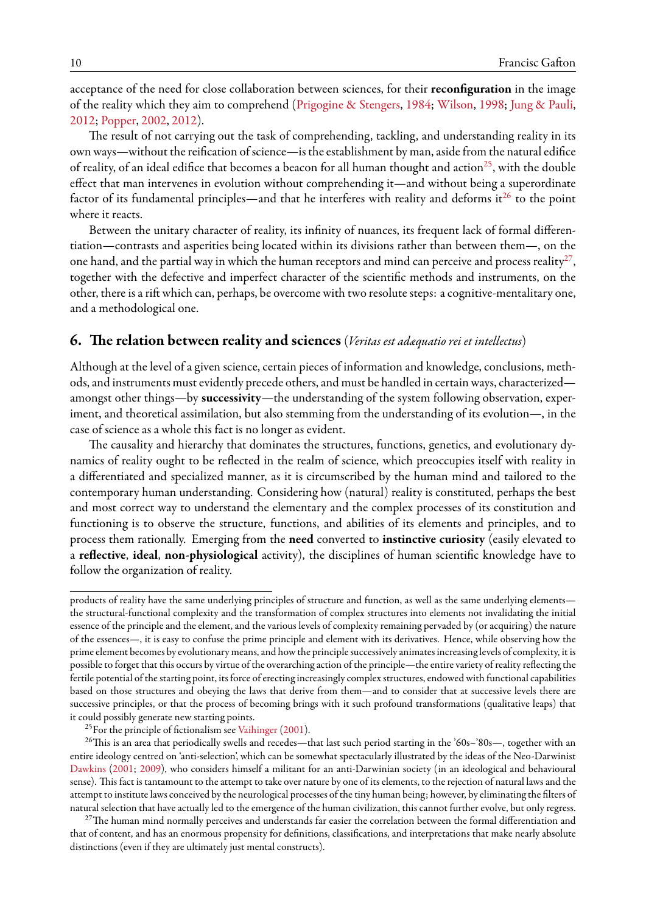acceptance of the need for close collaboration between sciences, for their **reconfiguration** in the image of the reality which they aim to comprehend [\(Prigogine & Stengers,](#page-41-2) [1984](#page-41-2); [Wilson](#page-44-4), [1998;](#page-44-4) [Jung & Pauli](#page-39-5), [2012;](#page-39-5) [Popper](#page-41-3), [2002,](#page-41-3) [2012\)](#page-41-4).

The result of not carrying out the task of comprehending, tackling, and understanding reality in its own ways—without the reification of science—is the establishment by man, aside from the natural edifice of reality, of an ideal edifice that becomes a beacon for all human thought and action<sup>[25](#page-9-1)</sup>, with the double effect that man intervenes in evolution without comprehending it—and without being a superordinate factor of its fundamental principles—and that he interferes with reality and deforms it<sup>[26](#page-9-2)</sup> to the point where it reacts.

Between the unitary character of reality, its infinity of nuances, its frequent lack of formal differentiation—contrasts and asperities being located within its divisions rather than between them—, on the one hand, and the partial way in which the human receptors and mind can perceive and process reality $^{27},$  $^{27},$  $^{27},$ together with the defective and imperfect character of the scientific methods and instruments, on the other, there is a rift which can, perhaps, be overcome with two resolute steps: a cognitive-mentalitary one, and a methodological one.

# <span id="page-9-0"></span>**6. The relation between reality and sciences** (*Veritas est adæquatio rei et intellectus*)

Although at the level of a given science, certain pieces of information and knowledge, conclusions, methods, and instruments must evidently precede others, and must be handled in certain ways, characterized amongst other things—by **successivity**—the understanding of the system following observation, experiment, and theoretical assimilation, but also stemming from the understanding of its evolution—, in the case of science as a whole this fact is no longer as evident.

The causality and hierarchy that dominates the structures, functions, genetics, and evolutionary dynamics of reality ought to be reflected in the realm of science, which preoccupies itself with reality in a differentiated and specialized manner, as it is circumscribed by the human mind and tailored to the contemporary human understanding. Considering how (natural) reality is constituted, perhaps the best and most correct way to understand the elementary and the complex processes of its constitution and functioning is to observe the structure, functions, and abilities of its elements and principles, and to process them rationally. Emerging from the **need** converted to **instinctive curiosity** (easily elevated to a **reflective**, **ideal**, **non-physiological** activity), the disciplines of human scientific knowledge have to follow the organization of reality.

<span id="page-9-2"></span><span id="page-9-1"></span><sup>25</sup>For the principle of fictionalism see [Vaihinger](#page-43-3) [\(2001\)](#page-43-3).

<sup>26</sup>This is an area that periodically swells and recedes—that last such period starting in the '60s-'80s—, together with an entire ideology centred on 'anti-selection', which can be somewhat spectacularly illustrated by the ideas of the Neo-Darwinist [Dawkins](#page-36-6) ([2001](#page-36-6); [2009](#page-36-7)), who considers himself a militant for an anti-Darwinian society (in an ideological and behavioural sense). This fact is tantamount to the attempt to take over nature by one of its elements, to the rejection of natural laws and the attempt to institute laws conceived by the neurological processes of the tiny human being; however, by eliminating the filters of natural selection that have actually led to the emergence of the human civilization, this cannot further evolve, but only regress.

<span id="page-9-3"></span><sup>27</sup>The human mind normally perceives and understands far easier the correlation between the formal differentiation and that of content, and has an enormous propensity for definitions, classifications, and interpretations that make nearly absolute distinctions (even if they are ultimately just mental constructs).

products of reality have the same underlying principles of structure and function, as well as the same underlying elements the structural-functional complexity and the transformation of complex structures into elements not invalidating the initial essence of the principle and the element, and the various levels of complexity remaining pervaded by (or acquiring) the nature of the essences—, it is easy to confuse the prime principle and element with its derivatives. Hence, while observing how the prime element becomes by evolutionary means, and how the principle successively animates increasing levels of complexity, it is possible to forget that this occurs by virtue of the overarching action of the principle—the entire variety of reality reflecting the fertile potential of the starting point, its force of erecting increasingly complex structures, endowed with functional capabilities based on those structures and obeying the laws that derive from them—and to consider that at successive levels there are successive principles, or that the process of becoming brings with it such profound transformations (qualitative leaps) that it could possibly generate new starting points.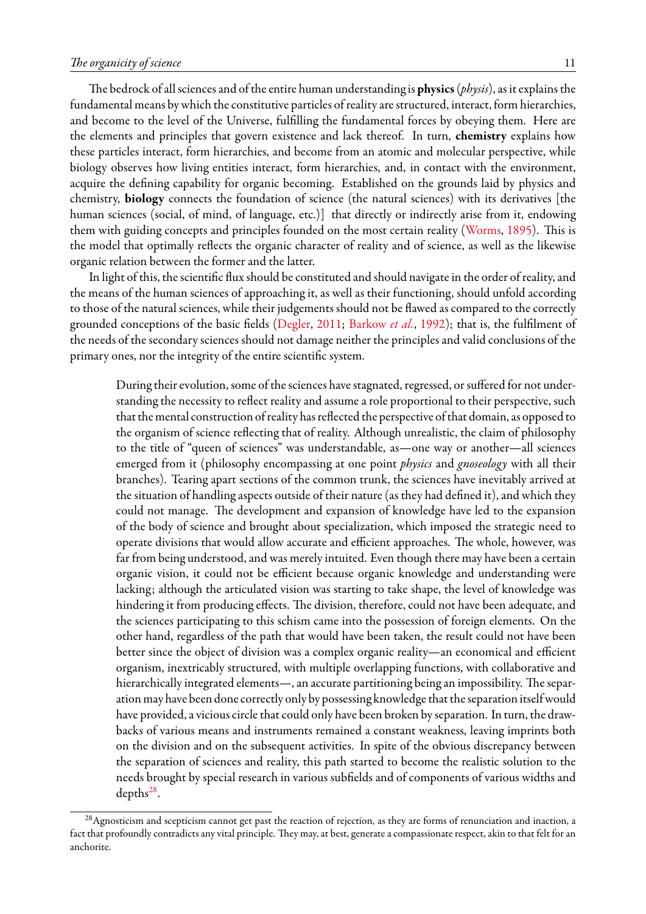The bedrock of all sciences and of the entire human understanding is **physics**(*physis*), as it explains the fundamental means by which the constitutive particles of reality are structured, interact, form hierarchies, and become to the level of the Universe, fulfilling the fundamental forces by obeying them. Here are the elements and principles that govern existence and lack thereof. In turn, **chemistry** explains how these particles interact, form hierarchies, and become from an atomic and molecular perspective, while biology observes how living entities interact, form hierarchies, and, in contact with the environment, acquire the defining capability for organic becoming. Established on the grounds laid by physics and chemistry, **biology** connects the foundation of science (the natural sciences) with its derivatives [the human sciences (social, of mind, of language, etc.)] that directly or indirectly arise from it, endowing them with guiding concepts and principles founded on the most certain reality([Worms,](#page-44-5) [1895](#page-44-5)). This is the model that optimally reflects the organic character of reality and of science, as well as the likewise organic relation between the former and the latter.

In light of this, the scientific flux should be constituted and should navigate in the order of reality, and the means of the human sciences of approaching it, as well as their functioning, should unfold according to those of the natural sciences, while their judgements should not be flawed as compared to the correctly grounded conceptions of the basic fields([Degler](#page-36-8), [2011](#page-36-8); [Barkow](#page-34-6) *et al.*, [1992](#page-34-6)); that is, the fulfilment of the needs of the secondary sciences should not damage neither the principles and valid conclusions of the primary ones, nor the integrity of the entire scientific system.

During their evolution, some of the sciences have stagnated, regressed, or suffered for not understanding the necessity to reflect reality and assume a role proportional to their perspective, such that the mental construction of reality has reflected the perspective of that domain, as opposed to the organism of science reflecting that of reality. Although unrealistic, the claim of philosophy to the title of "queen of sciences" was understandable, as—one way or another—all sciences emerged from it (philosophy encompassing at one point *physics* and *gnoseology* with all their branches). Tearing apart sections of the common trunk, the sciences have inevitably arrived at the situation of handling aspects outside of their nature (as they had defined it), and which they could not manage. The development and expansion of knowledge have led to the expansion of the body of science and brought about specialization, which imposed the strategic need to operate divisions that would allow accurate and efficient approaches. The whole, however, was far from being understood, and was merely intuited. Even though there may have been a certain organic vision, it could not be efficient because organic knowledge and understanding were lacking; although the articulated vision was starting to take shape, the level of knowledge was hindering it from producing effects. The division, therefore, could not have been adequate, and the sciences participating to this schism came into the possession of foreign elements. On the other hand, regardless of the path that would have been taken, the result could not have been better since the object of division was a complex organic reality—an economical and efficient organism, inextricably structured, with multiple overlapping functions, with collaborative and hierarchically integrated elements—, an accurate partitioning being an impossibility. The separation may have been done correctly only by possessing knowledge that the separation itself would have provided, a vicious circle that could only have been broken by separation. In turn, the drawbacks of various means and instruments remained a constant weakness, leaving imprints both on the division and on the subsequent activities. In spite of the obvious discrepancy between the separation of sciences and reality, this path started to become the realistic solution to the needs brought by special research in various subfields and of components of various widths and  $depths<sup>28</sup>$  $depths<sup>28</sup>$  $depths<sup>28</sup>$ .

<span id="page-10-0"></span><sup>&</sup>lt;sup>28</sup> Agnosticism and scepticism cannot get past the reaction of rejection, as they are forms of renunciation and inaction, a fact that profoundly contradicts any vital principle. They may, at best, generate a compassionate respect, akin to that felt for an anchorite.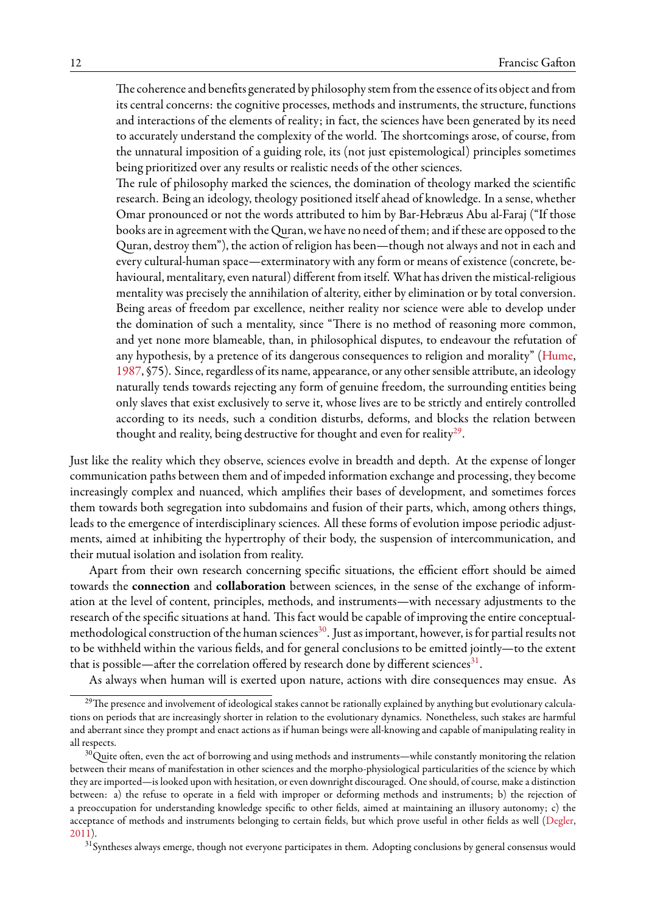The coherence and benefits generated by philosophy stem from the essence of its object and from its central concerns: the cognitive processes, methods and instruments, the structure, functions and interactions of the elements of reality; in fact, the sciences have been generated by its need to accurately understand the complexity of the world. The shortcomings arose, of course, from the unnatural imposition of a guiding role, its (not just epistemological) principles sometimes being prioritized over any results or realistic needs of the other sciences.

The rule of philosophy marked the sciences, the domination of theology marked the scientific research. Being an ideology, theology positioned itself ahead of knowledge. In a sense, whether Omar pronounced or not the words attributed to him by Bar-Hebræus Abu al-Faraj ("If those books are in agreement with the Quran, we have no need of them; and if these are opposed to the Quran, destroy them"), the action of religion has been—though not always and not in each and every cultural-human space—exterminatory with any form or means of existence (concrete, behavioural, mentalitary, even natural) different from itself. What has driven the mistical-religious mentality was precisely the annihilation of alterity, either by elimination or by total conversion. Being areas of freedom par excellence, neither reality nor science were able to develop under the domination of such a mentality, since "There is no method of reasoning more common, and yet none more blameable, than, in philosophical disputes, to endeavour the refutation of anyhypothesis, by a pretence of its dangerous consequences to religion and morality" ([Hume](#page-38-2), [1987](#page-38-2), §75). Since, regardless of its name, appearance, or any other sensible attribute, an ideology naturally tends towards rejecting any form of genuine freedom, the surrounding entities being only slaves that exist exclusively to serve it, whose lives are to be strictly and entirely controlled according to its needs, such a condition disturbs, deforms, and blocks the relation between thought and reality, being destructive for thought and even for reality $^{29}\!.$  $^{29}\!.$  $^{29}\!.$ 

Just like the reality which they observe, sciences evolve in breadth and depth. At the expense of longer communication paths between them and of impeded information exchange and processing, they become increasingly complex and nuanced, which amplifies their bases of development, and sometimes forces them towards both segregation into subdomains and fusion of their parts, which, among others things, leads to the emergence of interdisciplinary sciences. All these forms of evolution impose periodic adjustments, aimed at inhibiting the hypertrophy of their body, the suspension of intercommunication, and their mutual isolation and isolation from reality.

Apart from their own research concerning specific situations, the efficient effort should be aimed towards the **connection** and **collaboration** between sciences, in the sense of the exchange of information at the level of content, principles, methods, and instruments—with necessary adjustments to the research of the specific situations at hand. This fact would be capable of improving the entire conceptual-methodological construction of the human sciences<sup>[30](#page-11-1)</sup>. Just as important, however, is for partial results not to be withheld within the various fields, and for general conclusions to be emitted jointly—to the extent that is possible—after the correlation offered by research done by different sciences $^{31}$  $^{31}$  $^{31}$ .

<span id="page-11-0"></span>As always when human will is exerted upon nature, actions with dire consequences may ensue. As

<sup>&</sup>lt;sup>29</sup>The presence and involvement of ideological stakes cannot be rationally explained by anything but evolutionary calculations on periods that are increasingly shorter in relation to the evolutionary dynamics. Nonetheless, such stakes are harmful and aberrant since they prompt and enact actions as if human beings were all-knowing and capable of manipulating reality in all respects.

<span id="page-11-1"></span> $30$ Quite often, even the act of borrowing and using methods and instruments—while constantly monitoring the relation between their means of manifestation in other sciences and the morpho-physiological particularities of the science by which they are imported—is looked upon with hesitation, or even downright discouraged. One should, of course, make a distinction between: a) the refuse to operate in a field with improper or deforming methods and instruments; b) the rejection of a preoccupation for understanding knowledge specific to other fields, aimed at maintaining an illusory autonomy; c) the acceptance of methods and instruments belonging to certain fields, but which prove useful in other fields as well [\(Degler,](#page-36-8) [2011\)](#page-36-8).

<span id="page-11-2"></span><sup>&</sup>lt;sup>31</sup> Syntheses always emerge, though not everyone participates in them. Adopting conclusions by general consensus would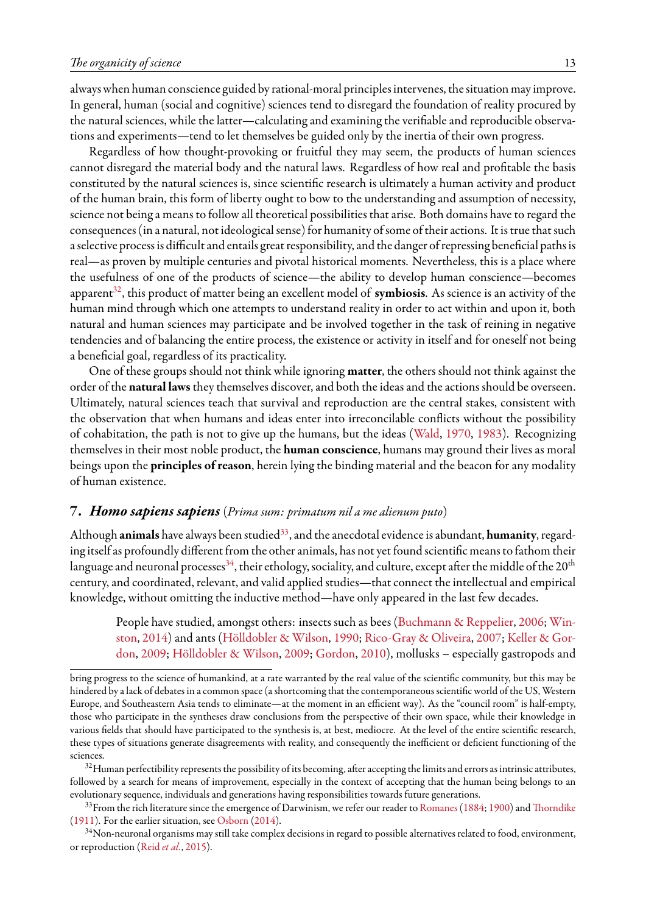always when human conscience guided by rational-moral principles intervenes, the situation may improve. In general, human (social and cognitive) sciences tend to disregard the foundation of reality procured by the natural sciences, while the latter—calculating and examining the verifiable and reproducible observations and experiments—tend to let themselves be guided only by the inertia of their own progress.

Regardless of how thought-provoking or fruitful they may seem, the products of human sciences cannot disregard the material body and the natural laws. Regardless of how real and profitable the basis constituted by the natural sciences is, since scientific research is ultimately a human activity and product of the human brain, this form of liberty ought to bow to the understanding and assumption of necessity, science not being a means to follow all theoretical possibilities that arise. Both domains have to regard the consequences (in a natural, not ideological sense) for humanity of some of their actions. It is true that such a selective process is difficult and entails great responsibility, and the danger of repressing beneficial paths is real—as proven by multiple centuries and pivotal historical moments. Nevertheless, this is a place where the usefulness of one of the products of science—the ability to develop human conscience—becomes apparent<sup>[32](#page-12-1)</sup>, this product of matter being an excellent model of **symbiosis**. As science is an activity of the human mind through which one attempts to understand reality in order to act within and upon it, both natural and human sciences may participate and be involved together in the task of reining in negative tendencies and of balancing the entire process, the existence or activity in itself and for oneself not being a beneficial goal, regardless of its practicality.

One of these groups should not think while ignoring **matter**, the others should not think against the order of the **natural laws**they themselves discover, and both the ideas and the actions should be overseen. Ultimately, natural sciences teach that survival and reproduction are the central stakes, consistent with the observation that when humans and ideas enter into irreconcilable conflicts without the possibility of cohabitation, the path is not to give up the humans, but the ideas [\(Wald](#page-43-4), [1970,](#page-43-4) [1983\)](#page-43-5). Recognizing themselves in their most noble product, the **human conscience**, humans may ground their lives as moral beings upon the **principles of reason**, herein lying the binding material and the beacon for any modality of human existence.

#### <span id="page-12-0"></span>**7.** *Homo sapiens sapiens* (*Prima sum: primatum nil a me alienum puto*)

Although **animals** have always been studied<sup>[33](#page-12-2)</sup>, and the anecdotal evidence is abundant, **humanity**, regarding itself as profoundly different from the other animals, has not yet found scientific means to fathom their language and neuronal processes<sup>[34](#page-12-3)</sup>, their ethology, sociality, and culture, except after the middle of the 20<sup>th</sup> century, and coordinated, relevant, and valid applied studies—that connect the intellectual and empirical knowledge, without omitting the inductive method—have only appeared in the last few decades.

People have studied, amongst others: insects such as bees([Buchmann & Reppelier](#page-35-5), [2006](#page-35-5); [Win](#page-44-6)[ston,](#page-44-6) [2014\)](#page-44-6) and ants [\(Hölldobler & Wilson,](#page-38-3) [1990;](#page-38-3) [Rico-Gray & Oliveira](#page-42-2), [2007](#page-42-2); [Keller & Gor](#page-39-6)[don,](#page-39-6) [2009](#page-39-6); [Hölldobler & Wilson](#page-38-4), [2009](#page-38-4); [Gordon,](#page-37-4) [2010\)](#page-37-4), mollusks – especially gastropods and

bring progress to the science of humankind, at a rate warranted by the real value of the scientific community, but this may be hindered by a lack of debates in a common space (a shortcoming that the contemporaneous scientific world of the US, Western Europe, and Southeastern Asia tends to eliminate—at the moment in an efficient way). As the "council room" is half-empty, those who participate in the syntheses draw conclusions from the perspective of their own space, while their knowledge in various fields that should have participated to the synthesis is, at best, mediocre. At the level of the entire scientific research, these types of situations generate disagreements with reality, and consequently the inefficient or deficient functioning of the sciences.

<span id="page-12-1"></span><sup>&</sup>lt;sup>32</sup>Human perfectibility represents the possibility of its becoming, after accepting the limits and errors as intrinsic attributes, followed by a search for means of improvement, especially in the context of accepting that the human being belongs to an evolutionary sequence, individuals and generations having responsibilities towards future generations.

<span id="page-12-2"></span><sup>&</sup>lt;sup>33</sup>From the rich literature since the emergence of Darwinism, we refer our reader to [Romanes](#page-42-3) [\(1884](#page-42-3); [1900](#page-42-4)) and [Thorndike](#page-43-6) ([1911](#page-43-6)). For the earlier situation, see [Osborn](#page-41-5) ([2014\)](#page-41-5).

<span id="page-12-3"></span><sup>&</sup>lt;sup>34</sup>Non-neuronal organisms may still take complex decisions in regard to possible alternatives related to food, environment, or reproduction (Reid *[et al.](#page-42-5)*, [2015](#page-42-5)).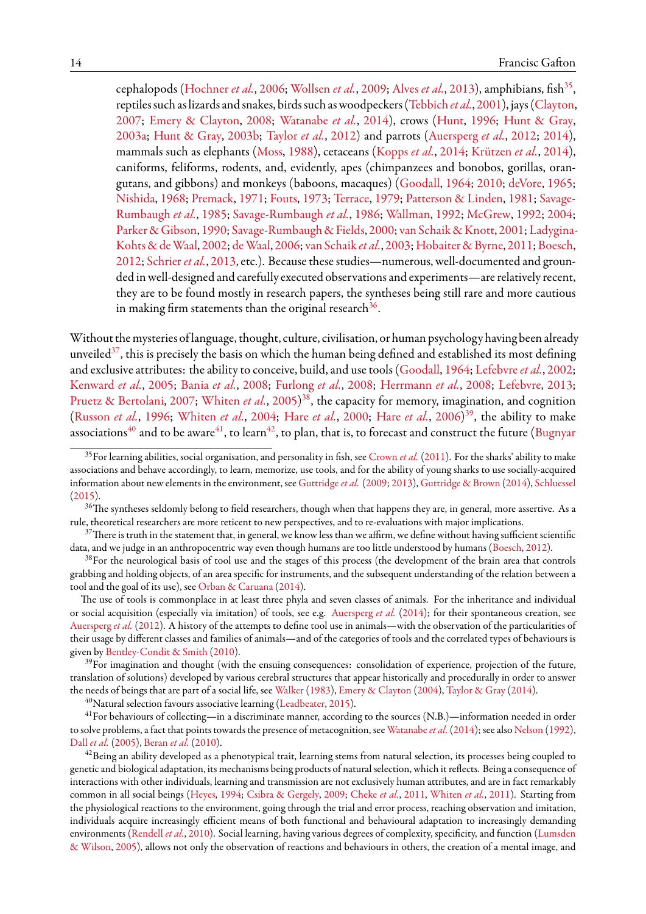cephalopods [\(Hochner](#page-38-5) *et al.*, [2006](#page-38-5); [Wollsen](#page-44-7) *et al.*, [2009](#page-44-7); [Alves](#page-34-7) *et al.*, [2013\)](#page-34-7), amphibians, fish<sup>[35](#page-13-0)</sup>, reptiles such as lizards and snakes, birds such as woodpeckers([Tebbich](#page-43-7) *et al.*, [2001\)](#page-43-7), jays([Clayton,](#page-36-9) [2007](#page-36-9); [Emery & Clayton,](#page-37-5) [2008](#page-37-5); [Watanabe](#page-43-8) *et al.*, [2014](#page-43-8)), crows([Hunt,](#page-39-7) [1996;](#page-39-7) [Hunt & Gray](#page-39-8), [2003a](#page-39-8); [Hunt & Gray](#page-39-9), [2003b;](#page-39-9) [Taylor](#page-43-9) *et al.*, [2012](#page-43-9)) and parrots([Auersperg](#page-34-8) *et al.*, [2012](#page-34-8); [2014](#page-34-9)), mammals such as elephants([Moss,](#page-40-5) [1988\)](#page-40-5), cetaceans([Kopps](#page-39-10) *et al.*, [2014;](#page-39-10) [Krützen](#page-39-11) *et al.*, [2014](#page-39-11)), caniforms, feliforms, rodents, and, evidently, apes (chimpanzees and bonobos, gorillas, orangutans, and gibbons) and monkeys (baboons, macaques) [\(Goodall,](#page-37-6) [1964;](#page-37-6) [2010;](#page-37-7) [deVore](#page-43-10), [1965;](#page-43-10) [Nishida,](#page-41-6) [1968](#page-41-6); [Premack](#page-41-7), [1971](#page-41-7); [Fouts,](#page-37-8) [1973](#page-37-8); [Terrace](#page-43-11), [1979;](#page-43-11) [Patterson & Linden,](#page-41-8) [1981;](#page-41-8) [Savage-](#page-42-6)[Rumbaugh](#page-42-6) *et al.*, [1985](#page-42-6); [Savage-Rumbaugh](#page-42-7) *et al.*, [1986](#page-42-7); [Wallman,](#page-43-12) [1992;](#page-43-12) [McGrew,](#page-40-6) [1992](#page-40-6); [2004;](#page-40-7) [Parker & Gibson,](#page-41-9) [1990;](#page-41-9) [Savage-Rumbaugh & Fields](#page-42-8), [2000](#page-42-8); van Schaik & Knott, [2001](#page-42-9); [Ladygina-](#page-39-12)[Kohts & deWaal,](#page-39-12) [2002](#page-39-12); [deWaal](#page-43-13), [2006;](#page-43-13) [van Schaik](#page-42-10) *et al.*, [2003](#page-42-10); [Hobaiter & Byrne,](#page-38-6) [2011](#page-38-6); [Boesch](#page-35-4), [2012](#page-35-4); [Schrier](#page-42-11)*et al.*, [2013](#page-42-11), etc.). Because these studies—numerous, well-documented and grounded in well-designed and carefully executed observations and experiments—are relatively recent, they are to be found mostly in research papers, the syntheses being still rare and more cautious in making firm statements than the original research $^{36}\cdot$  $^{36}\cdot$  $^{36}\cdot$ 

Without the mysteries of language, thought, culture, civilisation, or human psychology having been already unveiled<sup>[37](#page-13-2)</sup>, this is precisely the basis on which the human being defined and established its most defining and exclusive attributes: the ability to conceive, build, and use tools [\(Goodall](#page-37-6), [1964](#page-37-6); [Lefebvre](#page-39-13)*et al.*, [2002;](#page-39-13) [Kenward](#page-39-14) *et al.*, [2005;](#page-39-14) [Bania](#page-34-10) *et al.*, [2008](#page-34-10); [Furlong](#page-37-9) *et al.*, [2008;](#page-37-9) [Herrmann](#page-38-7) *et al.*, [2008;](#page-38-7) [Lefebvre,](#page-39-15) [2013;](#page-39-15) [Pruetz & Bertolani](#page-41-10), [2007;](#page-41-10) [Whiten](#page-44-8) *et al.*, [2005](#page-44-8)) [38](#page-13-3), the capacity for memory, imagination, and cognition ([Russon](#page-42-12) *et al.*, [1996;](#page-42-12) [Whiten](#page-44-9) *et al.*, [2004;](#page-44-9) [Hare](#page-38-8) *et al.*, [2000;](#page-38-8) [Hare](#page-38-9) *et al.*, [2006\)](#page-38-9) [39](#page-13-4), the ability to make associations<sup>[40](#page-13-5)</sup> and to be aware<sup>[41](#page-13-6)</sup>, to learn<sup>[42](#page-13-7)</sup>, to plan, that is, to forecast and construct the future [\(Bugnyar](#page-35-6)

<span id="page-13-6"></span><span id="page-13-5"></span> $^{40}$ Naturalselection favours associative learning ([Leadbeater](#page-39-16), [2015\)](#page-39-16).

<span id="page-13-0"></span><sup>&</sup>lt;sup>35</sup>[For learning abilities, social organisation, and personality in fish, see](#page-35-6) Crown *et al.* [\(2011\)](#page-36-10). For the sharks' ability to make associations and behave accordingly, to learn, memorize, use tools, and for the ability of young sharks to use socially-acquired information about new elements in the environment, see [Guttridge](#page-38-10)*et al.* [\(2009;](#page-38-10) [2013](#page-38-11)), [Guttridge & Brown](#page-38-12) [\(2014\)](#page-38-12), [Schluessel](#page-42-13)  $(2015).$  $(2015).$  $(2015).$ 

<span id="page-13-1"></span><sup>&</sup>lt;sup>36</sup>The syntheses seldomly belong to field researchers, though when that happens they are, in general, more assertive. As a rule, theoretical researchers are more reticent to new perspectives, and to re-evaluations with major implications.

<span id="page-13-2"></span><sup>&</sup>lt;sup>37</sup>There is truth in the statement that, in general, we know less than we affirm, we define without having sufficient scientific data, and we judge in an anthropocentric way even though humans are too little understood by humans([Boesch,](#page-35-4) [2012](#page-35-4)).

<span id="page-13-3"></span><sup>&</sup>lt;sup>38</sup>For the neurological basis of tool use and the stages of this process (the development of the brain area that controls grabbing and holding objects, of an area specific for instruments, and the subsequent understanding of the relation between a tool and the goal of its use), see [Orban & Caruana\(2014\)](#page-41-11).

The use of tools is commonplace in at least three phyla and seven classes of animals. For the inheritance and individual or social acquisition (especially via imitation) of tools, see e.g. [Auersperg](#page-34-9) *et al.* [\(2014](#page-34-9)); for their spontaneous creation, see [Auersperg](#page-34-8) *et al.* ([2012](#page-34-8)). A history of the attempts to define tool use in animals—with the observation of the particularities of their usage by different classes and families of animals—and of the categories of tools and the correlated types of behaviours is given by [Bentley-Condit & Smith](#page-35-7) ([2010](#page-35-7)).

<span id="page-13-4"></span> $39$  For imagination and thought (with the ensuing consequences: consolidation of experience, projection of the future, translation of solutions) developed by various cerebral structures that appear historically and procedurally in order to answer the needs of beings that are part of a social life, see [Walker](#page-43-14) [\(1983\)](#page-43-14), [Emery & Clayton](#page-37-10) ([2004](#page-37-10)), [Taylor & Gray](#page-43-15) [\(2014\)](#page-43-15).

 $^{41}$ For behaviours of collecting—in a discriminate manner, according to the sources (N.B.)—information needed in order to solve problems, a fact that points towards the presence of metacognition, see [Watanabe](#page-43-8)*et al.*[\(2014](#page-43-8)); see also [Nelson](#page-40-8) ([1992](#page-40-8)), Dall *[et al.](#page-36-11)* ([2005](#page-36-11)), [Beran](#page-35-8) *et al.* ([2010](#page-35-8)).

<span id="page-13-7"></span> $42$ Being an ability developed as a phenotypical trait, learning stems from natural selection, its processes being coupled to genetic and biological adaptation, its mechanisms being products of natural selection, which it reflects. Being a consequence of interactions with other individuals, learning and transmission are not exclusively human attributes, and are in fact remarkably common in all social beings [\(Heyes,](#page-38-13) [1994](#page-38-13); [Csibra & Gergely](#page-36-12), [2009](#page-36-12); [Cheke](#page-36-13) *et al.*, [2011,](#page-36-13) [Whiten](#page-44-10) *et al.*, [2011](#page-44-10)). Starting from the physiological reactions to the environment, going through the trial and error process, reaching observation and imitation, individuals acquire increasingly efficient means of both functional and behavioural adaptation to increasingly demanding environments [\(Rendell](#page-42-14) *et al.*, [2010](#page-42-14)). Social learning, having various degrees of complexity, specificity, and function([Lumsden](#page-40-9) [& Wilson](#page-40-9), [2005](#page-40-9)), allows not only the observation of reactions and behaviours in others, the creation of a mental image, and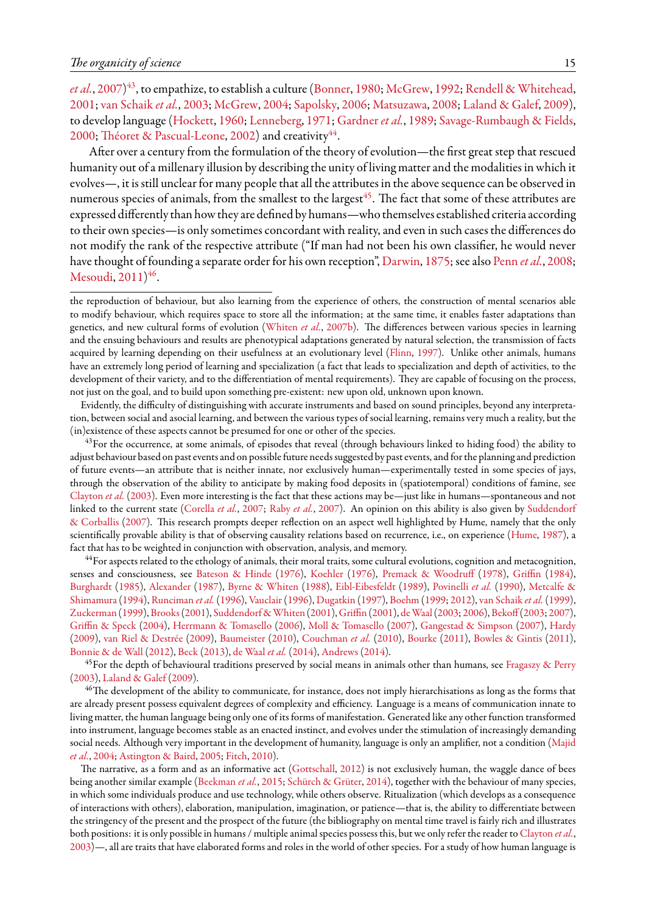*et al.*, [2007\)](#page-35-6)<sup>[43](#page-14-0)</sup>, to empathize, to establish a culture [\(Bonner,](#page-35-9) [1980;](#page-35-9) [McGrew](#page-40-6), [1992;](#page-40-6) [Rendell & Whitehead](#page-42-15), [2001;](#page-42-15) [van Schaik](#page-42-10) *et al.*, [2003](#page-42-10); [McGrew,](#page-40-7) [2004;](#page-40-7) [Sapolsky](#page-42-16), [2006](#page-42-16); [Matsuzawa,](#page-40-10) [2008;](#page-40-10) [Laland & Galef](#page-39-17), [2009](#page-39-17)), to develop language [\(Hockett](#page-38-14), [1960;](#page-38-14) [Lenneberg,](#page-39-18) [1971;](#page-39-18) [Gardner](#page-37-11) *et al.*, [1989;](#page-37-11) [Savage-Rumbaugh & Fields](#page-42-8), [2000;](#page-42-8) [Théoret & Pascual-Leone](#page-43-16), [2002](#page-43-16)) and creativity $^{44}$  $^{44}$  $^{44}$ .

After over a century from the formulation of the theory of evolution—the first great step that rescued humanity out of a millenary illusion by describing the unity of living matter and the modalities in which it evolves—, it is still unclear for many people that all the attributes in the above sequence can be observed in numerous species of animals, from the smallest to the largest<sup>[45](#page-14-2)</sup>. The fact that some of these attributes are expressed differently than how they are defined by humans—who themselves established criteria according to their own species—is only sometimes concordant with reality, and even in such cases the differences do not modify the rank of the respective attribute ("If man had not been his own classifier, he would never have thought of founding a separate order for his own reception", [Darwin](#page-36-14), [1875;](#page-36-14) see also [Penn](#page-41-12) *et al.*, [2008;](#page-41-12) [Mesoudi](#page-40-11), [2011](#page-40-11))<sup>[46](#page-14-3)</sup>.

the reproduction of behaviour, but also learning from the experience of others, the construction of mental scenarios able to modify behaviour, which requires space to store all the information; at the same time, it enables faster adaptations than genetics, and new cultural forms of evolution([Whiten](#page-44-11) *et al.*, [2007b](#page-44-11)). The differences between various species in learning and the ensuing behaviours and results are phenotypical adaptations generated by natural selection, the transmission of facts acquired by learning depending on their usefulness at an evolutionary level [\(Flinn](#page-37-0), [1997\)](#page-37-0). Unlike other animals, humans have an extremely long period of learning and specialization (a fact that leads to specialization and depth of activities, to the development of their variety, and to the differentiation of mental requirements). They are capable of focusing on the process, not just on the goal, and to build upon something pre-existent: new upon old, unknown upon known.

Evidently, the difficulty of distinguishing with accurate instruments and based on sound principles, beyond any interpretation, between social and asocial learning, and between the various types of social learning, remains very much a reality, but the (in)existence of these aspects cannot be presumed for one or other of the species.

<span id="page-14-0"></span> $43$ For the occurrence, at some animals, of episodes that reveal (through behaviours linked to hiding food) the ability to adjust behaviour based on past events and on possible future needs suggested by past events, and for the planning and prediction of future events—an attribute that is neither innate, nor exclusively human—experimentally tested in some species of jays, through the observation of the ability to anticipate by making food deposits in (spatiotemporal) conditions of famine, see [Clayton](#page-36-15) *et al.* [\(2003\)](#page-36-15). Even more interesting is the fact that these actions may be—just like in humans—spontaneous and not linked to the current state([Corella](#page-36-16) *et al.*, [2007;](#page-36-16) [Raby](#page-42-17) *et al.*, [2007\)](#page-42-17). An opinion on this ability is also given by [Suddendorf](#page-43-17) [& Corballis](#page-43-17) ([2007](#page-43-17)). This research prompts deeper reflection on an aspect well highlighted by Hume, namely that the only scientifically provable ability is that of observing causality relations based on recurrence, i.e., on experience [\(Hume](#page-38-2), [1987\)](#page-38-2), a fact that has to be weighted in conjunction with observation, analysis, and memory.

<span id="page-14-1"></span><sup>44</sup>For aspects related to the ethology of animals, their moral traits, some cultural evolutions, cognition and metacognition, senses and consciousness, see [Bateson & Hinde](#page-35-10) [\(1976\)](#page-35-10), [Koehler](#page-39-19) ([1976\)](#page-39-19), [Premack & Woodruff](#page-41-13) [\(1978](#page-41-13)), [Griffin](#page-38-15) ([1984](#page-38-15)), [Burghardt](#page-35-11) [\(1985\)](#page-35-11), [Alexander](#page-34-11) [\(1987\)](#page-34-11), [Byrne & Whiten](#page-36-17) [\(1988\)](#page-36-17), [Eibl-Eibesfeldt](#page-37-12) ([1989](#page-37-12)), [Povinelli](#page-41-14) *et al.* ([1990\)](#page-41-14), [Metcalfe &](#page-40-12) [Shimamura](#page-40-12)([1994](#page-40-12)), [Runciman](#page-42-18) *et al.*([1996](#page-42-18)), [Vauclair\(1996](#page-43-18)), [Dugatkin](#page-37-13) ([1997](#page-37-13)), [Boehm](#page-35-12) ([1999](#page-35-12); [2012\)](#page-35-13), [van Schaik](#page-42-19) *et al.*([1999](#page-42-19)), [Zuckerman](#page-44-12) ([1999\)](#page-44-12), [Brooks\(2001\)](#page-35-14), [Suddendorf &Whiten](#page-43-19) [\(2001](#page-43-19)), [Griffin](#page-38-16) [\(2001](#page-38-16)), [deWaal\(2003;](#page-43-20) [2006](#page-43-13)), [Bekoff](#page-35-15)([2003;](#page-35-15) [2007](#page-35-16)), [Griffin & Speck](#page-38-17) ([2004](#page-38-17)), [Herrmann & Tomasello](#page-38-18) ([2006\)](#page-38-18), [Moll & Tomasello](#page-40-13) ([2007](#page-40-13)), [Gangestad & Simpson](#page-37-14) [\(2007](#page-37-14)), [Hardy](#page-38-19) ([2009](#page-38-19)), [van Riel & Destrée](#page-42-20) ([2009](#page-42-20)), [Baumeister](#page-35-17) ([2010\)](#page-35-17), [Couchman](#page-36-18) *et al.* ([2010](#page-36-18)), [Bourke](#page-35-18) ([2011](#page-35-18)), [Bowles & Gintis](#page-35-19) ([2011](#page-35-19)), [Bonnie & de Wall](#page-35-20) [\(2012\)](#page-35-20), [Beck](#page-35-21) [\(2013](#page-35-21)), [de Waal](#page-43-21) *et al.* ([2014\)](#page-43-21), [Andrews](#page-34-12) ([2014\)](#page-34-12).

<span id="page-14-2"></span> $45$  For the depth of behavioural traditions preserved by social means in animals other than humans, see [Fragaszy & Perry](#page-37-15) ([2003](#page-37-15)), [Laland & Galef](#page-39-17) [\(2009\)](#page-39-17).

<span id="page-14-3"></span><sup>46</sup>The development of the ability to communicate, for instance, does not imply hierarchisations as long as the forms that are already present possess equivalent degrees of complexity and efficiency. Language is a means of communication innate to living matter, the human language being only one of its forms of manifestation. Generated like any other function transformed into instrument, language becomes stable as an enacted instinct, and evolves under the stimulation of increasingly demanding social needs. Although very important in the development of humanity, language is only an amplifier, not a condition [\(Majid](#page-40-14) *[et al.](#page-40-14)*, [2004](#page-40-14); [Astington & Baird](#page-34-13), [2005;](#page-34-13) [Fitch,](#page-37-16) [2010](#page-37-16)).

The narrative, as a form and as an informative act [\(Gottschall,](#page-37-17) [2012\)](#page-37-17) is not exclusively human, the waggle dance of bees being another similar example [\(Beekman](#page-35-22) *et al.*, [2015;](#page-35-22) [Schürch & Grüter](#page-42-21), [2014\)](#page-42-21), together with the behaviour of many species, in which some individuals produce and use technology, while others observe. Ritualization (which develops as a consequence of interactions with others), elaboration, manipulation, imagination, or patience—that is, the ability to differentiate between the stringency of the present and the prospect of the future (the bibliography on mental time travel is fairly rich and illustrates both positions: it is only possible in humans / multiple animal species possess this, but we only refer the reader to [Clayton](#page-36-15) *et al.*, [2003\)](#page-36-15)—, all are traits that have elaborated forms and roles in the world of other species. For a study of how human language is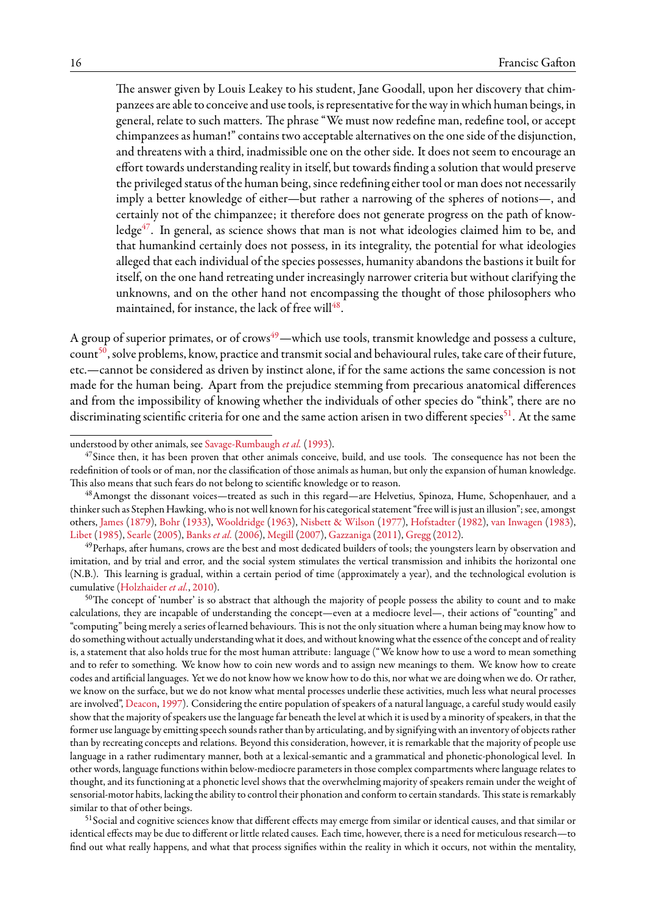The answer given by Louis Leakey to his student, Jane Goodall, upon her discovery that chimpanzees are able to conceive and use tools, is representative for the way in which human beings, in general, relate to such matters. The phrase "We must now redefine man, redefine tool, or accept chimpanzees as human!" contains two acceptable alternatives on the one side of the disjunction, and threatens with a third, inadmissible one on the other side. It does not seem to encourage an effort towards understanding reality in itself, but towards finding a solution that would preserve the privileged status of the human being, since redefining either tool or man does not necessarily imply a better knowledge of either—but rather a narrowing of the spheres of notions—, and certainly not of the chimpanzee; it therefore does not generate progress on the path of knowledge $47$ . In general, as science shows that man is not what ideologies claimed him to be, and that humankind certainly does not possess, in its integrality, the potential for what ideologies alleged that each individual of the species possesses, humanity abandons the bastions it built for itself, on the one hand retreating under increasingly narrower criteria but without clarifying the unknowns, and on the other hand not encompassing the thought of those philosophers who maintained, for instance, the lack of free will $^{48}\!.$  $^{48}\!.$  $^{48}\!.$ 

A group of superior primates, or of crows<sup>[49](#page-15-2)</sup>—which use tools, transmit knowledge and possess a culture, count<sup>[50](#page-15-3)</sup>, solve problems, know, practice and transmit social and behavioural rules, take care of their future, etc.—cannot be considered as driven by instinct alone, if for the same actions the same concession is not made for the human being. Apart from the prejudice stemming from precarious anatomical differences and from the impossibility of knowing whether the individuals of other species do "think", there are no discriminating scientific criteria for one and the same action arisen in two different species<sup>[51](#page-15-4)</sup>. At the same

understood by other animals, see [Savage-Rumbaugh](#page-42-22) *et al.* [\(1993\)](#page-42-22).

<span id="page-15-0"></span> $47$  Since then, it has been proven that other animals conceive, build, and use tools. The consequence has not been the redefinition of tools or of man, nor the classification of those animals as human, but only the expansion of human knowledge. This also means that such fears do not belong to scientific knowledge or to reason.

<span id="page-15-1"></span><sup>48</sup>Amongst the dissonant voices—treated as such in this regard—are Helvetius, Spinoza, Hume, Schopenhauer, and a thinker such as Stephen Hawking, who is not well known for his categorical statement "free will is just an illusion"; see, amongst others, [James](#page-39-20) ([1879](#page-39-20)), [Bohr](#page-35-23) ([1933](#page-35-23)), [Wooldridge](#page-44-13) ([1963\)](#page-44-13), [Nisbett & Wilson](#page-41-15) [\(1977\)](#page-41-15), [Hofstadter](#page-38-20) [\(1982\)](#page-38-20), [van Inwagen](#page-39-21) ([1983](#page-39-21)), [Libet](#page-40-15) [\(1985\)](#page-40-15), [Searle](#page-42-23) ([2005](#page-42-23)), [Banks](#page-34-14) *et al.* ([2006\)](#page-34-14), [Megill](#page-40-16) [\(2007](#page-40-16)), [Gazzaniga](#page-37-18) [\(2011\)](#page-37-18), [Gregg](#page-38-21) [\(2012\)](#page-38-21).

<span id="page-15-2"></span><sup>&</sup>lt;sup>49</sup>Perhaps, after humans, crows are the best and most dedicated builders of tools; the youngsters learn by observation and imitation, and by trial and error, and the social system stimulates the vertical transmission and inhibits the horizontal one (N.B.). This learning is gradual, within a certain period of time (approximately a year), and the technological evolution is cumulative([Holzhaider](#page-38-22) *et al.*, [2010\)](#page-38-22).

<span id="page-15-3"></span> $50$ The concept of 'number' is so abstract that although the majority of people possess the ability to count and to make calculations, they are incapable of understanding the concept—even at a mediocre level—, their actions of "counting" and "computing" being merely a series of learned behaviours. This is not the only situation where a human being may know how to do something without actually understanding what it does, and without knowing what the essence of the concept and of reality is, a statement that also holds true for the most human attribute: language ("We know how to use a word to mean something and to refer to something. We know how to coin new words and to assign new meanings to them. We know how to create codes and artificial languages. Yet we do not know how we know how to do this, nor what we are doing when we do. Or rather, we know on the surface, but we do not know what mental processes underlie these activities, much less what neural processes are involved", [Deacon,](#page-36-19) [1997](#page-36-19)). Considering the entire population of speakers of a natural language, a careful study would easily show that the majority of speakers use the language far beneath the level at which it is used by a minority of speakers, in that the former use language by emitting speech sounds rather than by articulating, and by signifying with an inventory of objects rather than by recreating concepts and relations. Beyond this consideration, however, it is remarkable that the majority of people use language in a rather rudimentary manner, both at a lexical-semantic and a grammatical and phonetic-phonological level. In other words, language functions within below-mediocre parameters in those complex compartments where language relates to thought, and its functioning at a phonetic level shows that the overwhelming majority of speakers remain under the weight of sensorial-motor habits, lacking the ability to control their phonation and conform to certain standards. This state is remarkably similar to that of other beings.

<span id="page-15-4"></span><sup>&</sup>lt;sup>51</sup>Social and cognitive sciences know that different effects may emerge from similar or identical causes, and that similar or identical effects may be due to different or little related causes. Each time, however, there is a need for meticulous research—to find out what really happens, and what that process signifies within the reality in which it occurs, not within the mentality,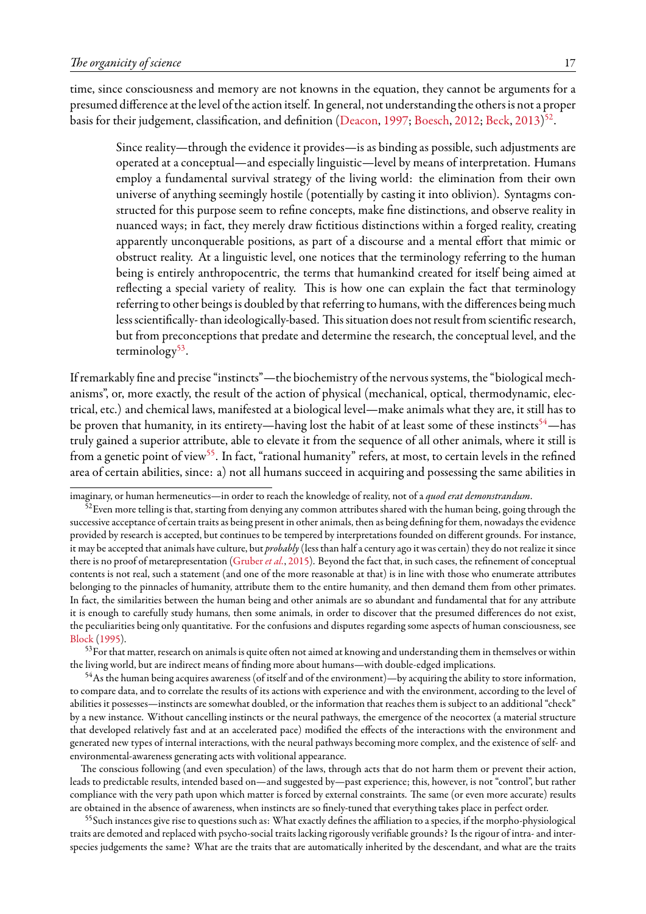time, since consciousness and memory are not knowns in the equation, they cannot be arguments for a presumed difference at the level of the action itself. In general, not understanding the others is not a proper basis for their judgement, classification, and definition [\(Deacon,](#page-36-19) [1997;](#page-36-19) [Boesch](#page-35-4), [2012](#page-35-4); [Beck,](#page-35-21) [2013](#page-35-21))<sup>[52](#page-16-0)</sup>.

Since reality—through the evidence it provides—is as binding as possible, such adjustments are operated at a conceptual—and especially linguistic—level by means of interpretation. Humans employ a fundamental survival strategy of the living world: the elimination from their own universe of anything seemingly hostile (potentially by casting it into oblivion). Syntagms constructed for this purpose seem to refine concepts, make fine distinctions, and observe reality in nuanced ways; in fact, they merely draw fictitious distinctions within a forged reality, creating apparently unconquerable positions, as part of a discourse and a mental effort that mimic or obstruct reality. At a linguistic level, one notices that the terminology referring to the human being is entirely anthropocentric, the terms that humankind created for itself being aimed at reflecting a special variety of reality. This is how one can explain the fact that terminology referring to other beings is doubled by that referring to humans, with the differences being much less scientifically-than ideologically-based. This situation does not result from scientific research, but from preconceptions that predate and determine the research, the conceptual level, and the terminology<sup>[53](#page-16-1)</sup>.

If remarkably fine and precise "instincts"—the biochemistry of the nervous systems, the "biological mechanisms", or, more exactly, the result of the action of physical (mechanical, optical, thermodynamic, electrical, etc.) and chemical laws, manifested at a biological level—make animals what they are, it still has to be proven that humanity, in its entirety—having lost the habit of at least some of these instincts<sup>[54](#page-16-2)</sup>—has truly gained a superior attribute, able to elevate it from the sequence of all other animals, where it still is from a genetic point of view<sup>[55](#page-16-3)</sup>. In fact, "rational humanity" refers, at most, to certain levels in the refined area of certain abilities, since: a) not all humans succeed in acquiring and possessing the same abilities in

imaginary, or human hermeneutics—in order to reach the knowledge of reality, not of a *quod erat demonstrandum*.

<span id="page-16-0"></span> $52$  Even more telling is that, starting from denying any common attributes shared with the human being, going through the successive acceptance of certain traits as being present in other animals, then as being defining for them, nowadays the evidence provided by research is accepted, but continues to be tempered by interpretations founded on different grounds. For instance, it may be accepted that animals have culture, but *probably*(less than half a century ago it was certain) they do not realize it since there is no proof of metarepresentation([Gruber](#page-38-23) *et al.*, [2015](#page-38-23)). Beyond the fact that, in such cases, the refinement of conceptual contents is not real, such a statement (and one of the more reasonable at that) is in line with those who enumerate attributes belonging to the pinnacles of humanity, attribute them to the entire humanity, and then demand them from other primates. In fact, the similarities between the human being and other animals are so abundant and fundamental that for any attribute it is enough to carefully study humans, then some animals, in order to discover that the presumed differences do not exist, the peculiarities being only quantitative. For the confusions and disputes regarding some aspects of human consciousness, see [Block](#page-35-24) ([1995](#page-35-24)).

<span id="page-16-1"></span><sup>53</sup> For that matter, research on animals is quite often not aimed at knowing and understanding them in themselves or within the living world, but are indirect means of finding more about humans—with double-edged implications.

<span id="page-16-2"></span> $54$ As the human being acquires awareness (of itself and of the environment)—by acquiring the ability to store information, to compare data, and to correlate the results of its actions with experience and with the environment, according to the level of abilities it possesses—instincts are somewhat doubled, or the information that reaches them is subject to an additional "check" by a new instance. Without cancelling instincts or the neural pathways, the emergence of the neocortex (a material structure that developed relatively fast and at an accelerated pace) modified the effects of the interactions with the environment and generated new types of internal interactions, with the neural pathways becoming more complex, and the existence of self- and environmental-awareness generating acts with volitional appearance.

The conscious following (and even speculation) of the laws, through acts that do not harm them or prevent their action, leads to predictable results, intended based on—and suggested by—past experience; this, however, is not "control", but rather compliance with the very path upon which matter is forced by external constraints. The same (or even more accurate) results are obtained in the absence of awareness, when instincts are so finely-tuned that everything takes place in perfect order.

<span id="page-16-3"></span><sup>55</sup>Such instances give rise to questions such as: What exactly defines the affiliation to a species, if the morpho-physiological traits are demoted and replaced with psycho-social traits lacking rigorously verifiable grounds? Is the rigour of intra- and interspecies judgements the same? What are the traits that are automatically inherited by the descendant, and what are the traits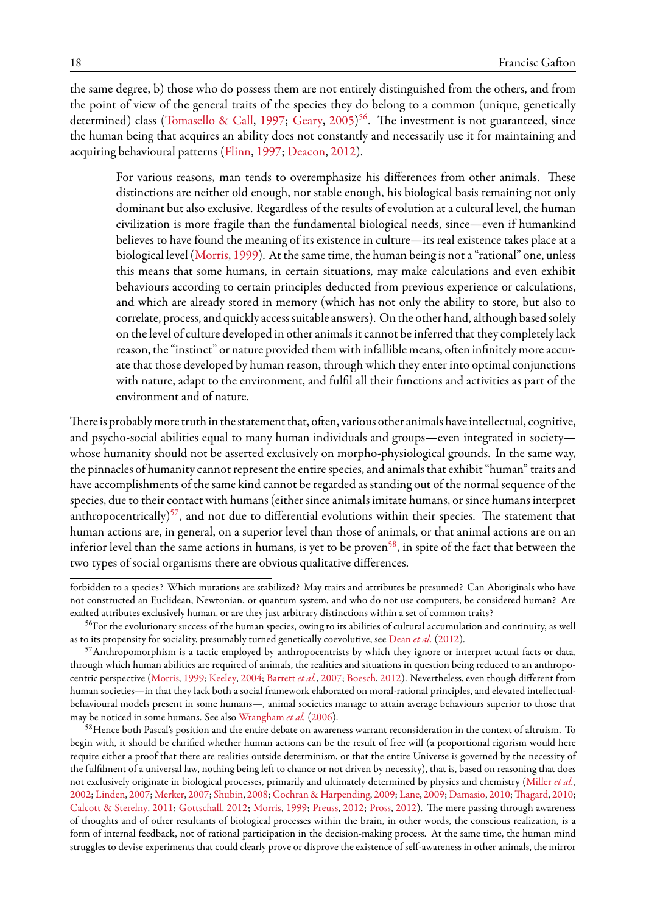the same degree, b) those who do possess them are not entirely distinguished from the others, and from the point of view of the general traits of the species they do belong to a common (unique, genetically determined) class [\(Tomasello & Call,](#page-43-22) [1997;](#page-43-22) [Geary](#page-37-19), [2005\)](#page-37-19)<sup>[56](#page-17-0)</sup>. The investment is not guaranteed, since the human being that acquires an ability does not constantly and necessarily use it for maintaining and acquiring behavioural patterns [\(Flinn](#page-37-0), [1997](#page-37-0); [Deacon](#page-36-4), [2012](#page-36-4)).

For various reasons, man tends to overemphasize his differences from other animals. These distinctions are neither old enough, nor stable enough, his biological basis remaining not only dominant but also exclusive. Regardless of the results of evolution at a cultural level, the human civilization is more fragile than the fundamental biological needs, since—even if humankind believes to have found the meaning of its existence in culture—its real existence takes place at a biological level([Morris](#page-40-4), [1999](#page-40-4)). At the same time, the human being is not a "rational" one, unless this means that some humans, in certain situations, may make calculations and even exhibit behaviours according to certain principles deducted from previous experience or calculations, and which are already stored in memory (which has not only the ability to store, but also to correlate, process, and quickly access suitable answers). On the other hand, although based solely on the level of culture developed in other animals it cannot be inferred that they completely lack reason, the "instinct" or nature provided them with infallible means, often infinitely more accurate that those developed by human reason, through which they enter into optimal conjunctions with nature, adapt to the environment, and fulfil all their functions and activities as part of the environment and of nature.

There is probably more truth in the statement that, often, various other animals have intellectual, cognitive, and psycho-social abilities equal to many human individuals and groups—even integrated in society whose humanity should not be asserted exclusively on morpho-physiological grounds. In the same way, the pinnacles of humanity cannot represent the entire species, and animals that exhibit "human" traits and have accomplishments of the same kind cannot be regarded as standing out of the normal sequence of the species, due to their contact with humans (either since animals imitate humans, or since humans interpret anthropocentrically)<sup>[57](#page-17-1)</sup>, and not due to differential evolutions within their species. The statement that human actions are, in general, on a superior level than those of animals, or that animal actions are on an inferior level than the same actions in humans, is yet to be proven<sup>[58](#page-17-2)</sup>, in spite of the fact that between the two types of social organisms there are obvious qualitative differences.

forbidden to a species? Which mutations are stabilized? May traits and attributes be presumed? Can Aboriginals who have not constructed an Euclidean, Newtonian, or quantum system, and who do not use computers, be considered human? Are exalted attributes exclusively human, or are they just arbitrary distinctions within a set of common traits?

<span id="page-17-0"></span><sup>&</sup>lt;sup>56</sup>For the evolutionary success of the human species, owing to its abilities of cultural accumulation and continuity, as well as to its propensity for sociality, presumably turned genetically coevolutive, see [Dean](#page-36-20) *et al.* ([2012](#page-36-20)).

<span id="page-17-1"></span><sup>&</sup>lt;sup>57</sup>Anthropomorphism is a tactic employed by anthropocentrists by which they ignore or interpret actual facts or data, through which human abilities are required of animals, the realities and situations in question being reduced to an anthropocentric perspective [\(Morris,](#page-40-4) [1999](#page-40-4); [Keeley,](#page-39-22) [2004](#page-39-22); [Barrett](#page-35-25) *et al.*, [2007](#page-35-25); [Boesch,](#page-35-4) [2012\)](#page-35-4). Nevertheless, even though different from human societies—in that they lack both a social framework elaborated on moral-rational principles, and elevated intellectualbehavioural models present in some humans—, animal societies manage to attain average behaviours superior to those that may be noticed in some humans. See also [Wrangham](#page-44-14) *et al.* [\(2006](#page-44-14)).

<span id="page-17-2"></span><sup>58</sup> Hence both Pascal's position and the entire debate on awareness warrant reconsideration in the context of altruism. To begin with, it should be clarified whether human actions can be the result of free will (a proportional rigorism would here require either a proof that there are realities outside determinism, or that the entire Universe is governed by the necessity of the fulfilment of a universal law, nothing being left to chance or not driven by necessity), that is, based on reasoning that does not exclusively originate in biological processes, primarily and ultimately determined by physics and chemistry([Miller](#page-40-17) *et al.*, [2002;](#page-40-17) [Linden](#page-40-18), [2007](#page-40-18); [Merker,](#page-40-19) [2007;](#page-40-19) [Shubin](#page-42-24), [2008](#page-42-24); [Cochran & Harpending](#page-36-21), [2009](#page-36-21); [Lane,](#page-39-23) [2009;](#page-39-23) [Damasio](#page-36-22), [2010](#page-43-23); [Thagard](#page-43-23), 2010; [Calcott & Sterelny,](#page-36-23) [2011;](#page-36-23) [Gottschall](#page-37-17), [2012](#page-37-17); [Morris](#page-40-4), [1999](#page-40-4); [Preuss,](#page-41-16) [2012;](#page-41-16) [Pross](#page-41-17), [2012](#page-41-17)). The mere passing through awareness of thoughts and of other resultants of biological processes within the brain, in other words, the conscious realization, is a form of internal feedback, not of rational participation in the decision-making process. At the same time, the human mind struggles to devise experiments that could clearly prove or disprove the existence of self-awareness in other animals, the mirror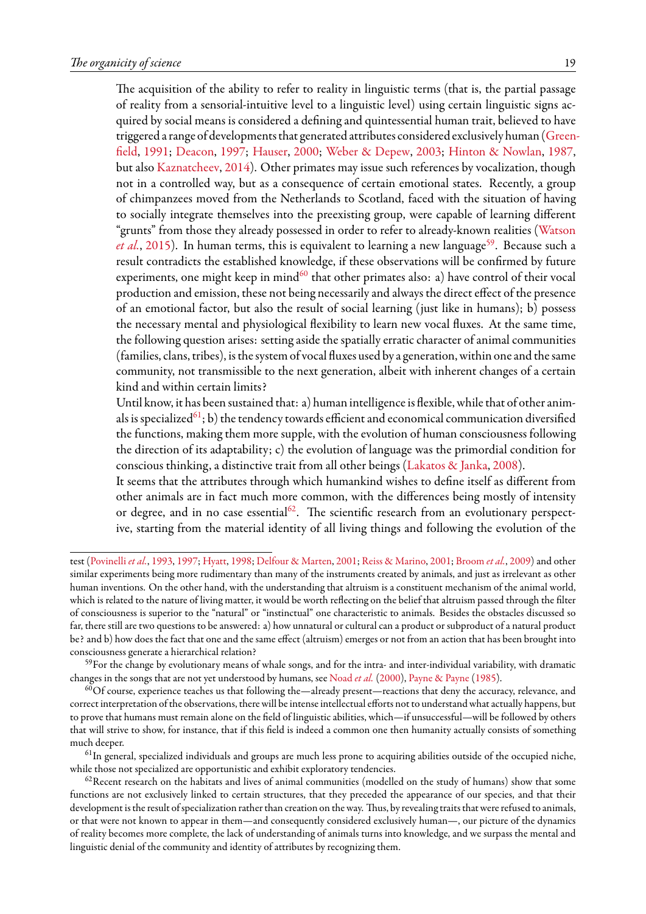The acquisition of the ability to refer to reality in linguistic terms (that is, the partial passage of reality from a sensorial-intuitive level to a linguistic level) using certain linguistic signs acquired by social means is considered a defining and quintessential human trait, believed to have triggered a range of developments that generated attributes considered exclusively human [\(Green](#page-37-20)[field,](#page-37-20) [1991;](#page-37-20) [Deacon](#page-36-19), [1997](#page-36-19); [Hauser](#page-38-24), [2000;](#page-38-24) [Weber & Depew](#page-43-24), [2003;](#page-43-24) [Hinton & Nowlan](#page-38-25), [1987](#page-38-25), but also [Kaznatcheev](#page-39-24), [2014](#page-39-24)). Other primates may issue such references by vocalization, though not in a controlled way, but as a consequence of certain emotional states. Recently, a group of chimpanzees moved from the Netherlands to Scotland, faced with the situation of having to socially integrate themselves into the preexisting group, were capable of learning different "grunts" from those they already possessed in order to refer to already-known realities [\(Watson](#page-43-25) [et al.](#page-43-25), [2015](#page-43-25)). In human terms, this is equivalent to learning a new language<sup>[59](#page-18-0)</sup>. Because such a result contradicts the established knowledge, if these observations will be confirmed by future experiments, one might keep in mind<sup>[60](#page-18-1)</sup> that other primates also: a) have control of their vocal production and emission, these not being necessarily and always the direct effect of the presence of an emotional factor, but also the result of social learning (just like in humans); b) possess the necessary mental and physiological flexibility to learn new vocal fluxes. At the same time, the following question arises: setting aside the spatially erratic character of animal communities (families, clans, tribes), is the system of vocal fluxes used by a generation, within one and the same community, not transmissible to the next generation, albeit with inherent changes of a certain kind and within certain limits?

Until know, it has been sustained that: a) human intelligence is flexible, while that of other anim-als is specialized<sup>[61](#page-18-2)</sup>; b) the tendency towards efficient and economical communication diversified the functions, making them more supple, with the evolution of human consciousness following the direction of its adaptability; c) the evolution of language was the primordial condition for conscious thinking, a distinctive trait from all other beings [\(Lakatos & Janka](#page-39-25), [2008\)](#page-39-25).

It seems that the attributes through which humankind wishes to define itself as different from other animals are in fact much more common, with the differences being mostly of intensity or degree, and in no case essential<sup>[62](#page-18-3)</sup>. The scientific research from an evolutionary perspective, starting from the material identity of all living things and following the evolution of the

<span id="page-18-0"></span> $59$  For the change by evolutionary means of whale songs, and for the intra- and inter-individual variability, with dramatic changes in the songs that are not yet understood by humans, see [Noad](#page-41-20) *et al.* ([2000](#page-41-20)), [Payne & Payne](#page-41-21) [\(1985](#page-41-21)).

<span id="page-18-1"></span> $^{60}$ Of course, experience teaches us that following the—already present—reactions that deny the accuracy, relevance, and correct interpretation of the observations, there will be intense intellectual efforts not to understand what actually happens, but to prove that humans must remain alone on the field of linguistic abilities, which—if unsuccessful—will be followed by others that will strive to show, for instance, that if this field is indeed a common one then humanity actually consists of something much deeper.

<span id="page-18-2"></span><sup>61</sup>In general, specialized individuals and groups are much less prone to acquiring abilities outside of the occupied niche, while those not specialized are opportunistic and exhibit exploratory tendencies.

<span id="page-18-3"></span> $62$ Recent research on the habitats and lives of animal communities (modelled on the study of humans) show that some functions are not exclusively linked to certain structures, that they preceded the appearance of our species, and that their development is the result of specialization rather than creation on the way. Thus, by revealing traits that were refused to animals, or that were not known to appear in them—and consequently considered exclusively human—, our picture of the dynamics of reality becomes more complete, the lack of understanding of animals turns into knowledge, and we surpass the mental and linguistic denial of the community and identity of attributes by recognizing them.

test [\(Povinelli](#page-41-18) *et al.*, [1993](#page-41-18), [1997](#page-41-19); [Hyatt,](#page-39-26) [1998](#page-39-26); [Delfour & Marten,](#page-37-21) [2001](#page-37-21); [Reiss & Marino,](#page-42-25) [2001;](#page-42-25) [Broom](#page-35-26) *et al.*, [2009](#page-35-26)) and other similar experiments being more rudimentary than many of the instruments created by animals, and just as irrelevant as other human inventions. On the other hand, with the understanding that altruism is a constituent mechanism of the animal world, which is related to the nature of living matter, it would be worth reflecting on the belief that altruism passed through the filter of consciousness is superior to the "natural" or "instinctual" one characteristic to animals. Besides the obstacles discussed so far, there still are two questions to be answered: a) how unnatural or cultural can a product or subproduct of a natural product be? and b) how does the fact that one and the same effect (altruism) emerges or not from an action that has been brought into consciousness generate a hierarchical relation?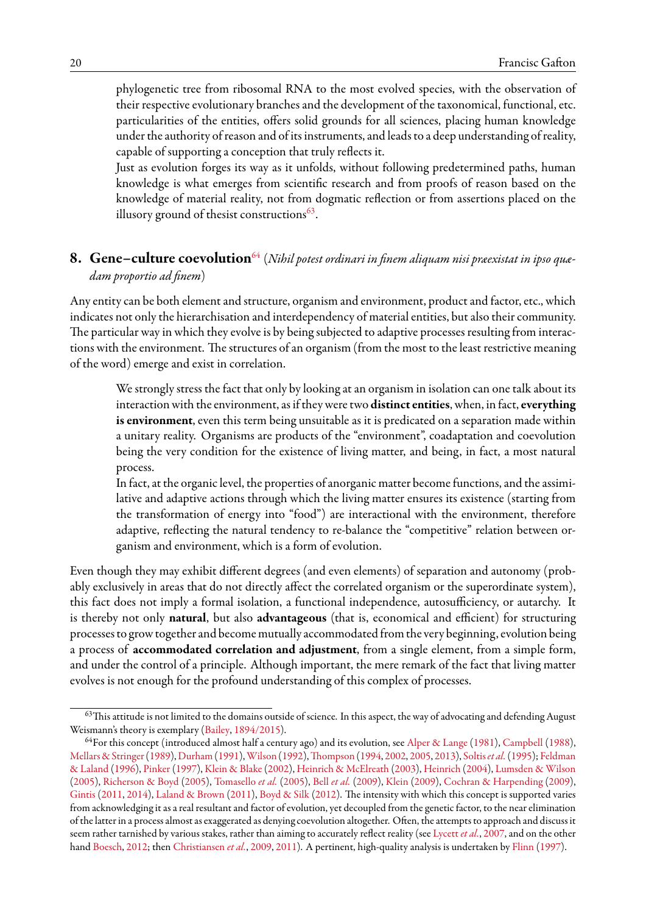phylogenetic tree from ribosomal RNA to the most evolved species, with the observation of their respective evolutionary branches and the development of the taxonomical, functional, etc. particularities of the entities, offers solid grounds for all sciences, placing human knowledge under the authority of reason and of its instruments, and leads to a deep understanding of reality, capable of supporting a conception that truly reflects it.

Just as evolution forges its way as it unfolds, without following predetermined paths, human knowledge is what emerges from scientific research and from proofs of reason based on the knowledge of material reality, not from dogmatic reflection or from assertions placed on the illusory ground of thesist constructions $^{63}.$  $^{63}.$  $^{63}.$ 

# <span id="page-19-0"></span>**8. Gene–culture coevolution**[64](#page-19-2) (*Nihil potest ordinari in finem aliquam nisi præexistat in ipso quædam proportio ad finem*)

Any entity can be both element and structure, organism and environment, product and factor, etc., which indicates not only the hierarchisation and interdependency of material entities, but also their community. The particular way in which they evolve is by being subjected to adaptive processes resulting from interactions with the environment. The structures of an organism (from the most to the least restrictive meaning of the word) emerge and exist in correlation.

We strongly stress the fact that only by looking at an organism in isolation can one talk about its interaction with the environment, as if they were two **distinct entities**, when, in fact, **everything is environment**, even this term being unsuitable as it is predicated on a separation made within a unitary reality. Organisms are products of the "environment", coadaptation and coevolution being the very condition for the existence of living matter, and being, in fact, a most natural process.

In fact, at the organic level, the properties of anorganic matter become functions, and the assimilative and adaptive actions through which the living matter ensures its existence (starting from the transformation of energy into "food") are interactional with the environment, therefore adaptive, reflecting the natural tendency to re-balance the "competitive" relation between organism and environment, which is a form of evolution.

Even though they may exhibit different degrees (and even elements) of separation and autonomy (probably exclusively in areas that do not directly affect the correlated organism or the superordinate system), this fact does not imply a formal isolation, a functional independence, autosufficiency, or autarchy. It is thereby not only **natural**, but also **advantageous** (that is, economical and efficient) for structuring processes to grow together and become mutually accommodated from the very beginning, evolution being a process of **accommodated correlation and adjustment**, from a single element, from a simple form, and under the control of a principle. Although important, the mere remark of the fact that living matter evolves is not enough for the profound understanding of this complex of processes.

<span id="page-19-1"></span> $63$ This attitude is not limited to the domains outside of science. In this aspect, the way of advocating and defending August Weismann's theory is exemplary([Bailey,](#page-34-15) [1894/2015\)](#page-34-15).

<span id="page-19-2"></span><sup>&</sup>lt;sup>64</sup>For this concept (introduced almost half a century ago) and its evolution, see [Alper & Lange](#page-34-16) [\(1981\)](#page-34-16), [Campbell](#page-36-24) ([1988](#page-36-24)), [Mellars & Stringer](#page-40-20)([1989](#page-40-20)), [Durham\(1991](#page-37-22)),[Wilson](#page-44-15) [\(1992](#page-44-15)),[Thompson](#page-43-26) ([1994](#page-43-26), [2002](#page-43-27), [2005](#page-43-28), [2013](#page-43-29)), [Soltis](#page-43-30)*et al.*[\(1995](#page-43-30)); [Feldman](#page-37-23) [& Laland](#page-37-23) [\(1996\)](#page-37-23), [Pinker](#page-41-22) [\(1997](#page-41-22)), [Klein & Blake](#page-39-27)([2002](#page-39-27)), [Heinrich & McElreath](#page-38-26) ([2003](#page-38-26)), [Heinrich](#page-38-27) ([2004](#page-38-27)), [Lumsden & Wilson](#page-40-9) ([2005](#page-40-9)), [Richerson & Boyd](#page-42-26) [\(2005\)](#page-42-26), [Tomasello](#page-43-31) *et al.* [\(2005\)](#page-43-31), Bell *[et al.](#page-35-27)* ([2009](#page-35-27)), [Klein](#page-39-28) [\(2009](#page-39-28)), [Cochran & Harpending](#page-36-21) ([2009](#page-36-21)), [Gintis](#page-37-24) [\(2011,](#page-37-24) [2014](#page-37-25)), [Laland & Brown](#page-39-29) [\(2011\)](#page-39-29), [Boyd & Silk](#page-35-28) ([2012](#page-35-28)). The intensity with which this concept is supported varies from acknowledging it as a real resultant and factor of evolution, yet decoupled from the genetic factor, to the near elimination of the latter in a process almost as exaggerated as denying coevolution altogether. Often, the attempts to approach and discuss it seem rather tarnished by various stakes, rather than aiming to accurately reflect reality (see [Lycett](#page-40-21) *et al.*, [2007](#page-40-21), and on the other hand [Boesch,](#page-35-4) [2012;](#page-35-4) then [Christiansen](#page-36-25) *et al.*, [2009](#page-36-25), [2011\)](#page-36-26). A pertinent, high-quality analysis is undertaken by [Flinn](#page-37-0) ([1997](#page-37-0)).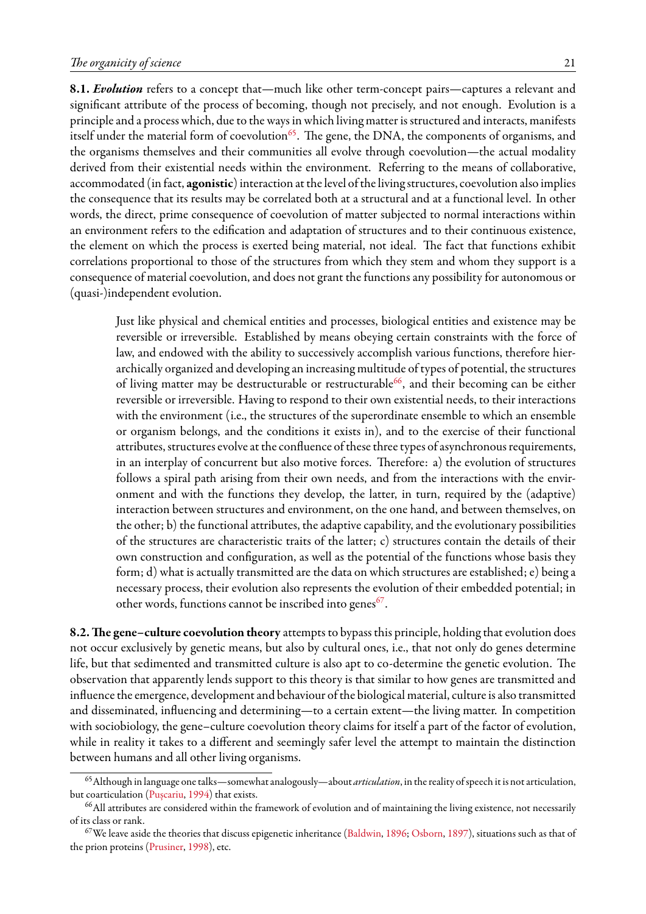**8.1.** *Evolution* refers to a concept that—much like other term-concept pairs—captures a relevant and significant attribute of the process of becoming, though not precisely, and not enough. Evolution is a principle and a process which, due to the ways in which living matter is structured and interacts, manifests itself under the material form of coevolution<sup>[65](#page-20-0)</sup>. The gene, the DNA, the components of organisms, and the organisms themselves and their communities all evolve through coevolution—the actual modality derived from their existential needs within the environment. Referring to the means of collaborative, accommodated (in fact, **agonistic**) interaction at the level of the living structures, coevolution also implies the consequence that its results may be correlated both at a structural and at a functional level. In other words, the direct, prime consequence of coevolution of matter subjected to normal interactions within an environment refers to the edification and adaptation of structures and to their continuous existence, the element on which the process is exerted being material, not ideal. The fact that functions exhibit correlations proportional to those of the structures from which they stem and whom they support is a consequence of material coevolution, and does not grant the functions any possibility for autonomous or (quasi-)independent evolution.

Just like physical and chemical entities and processes, biological entities and existence may be reversible or irreversible. Established by means obeying certain constraints with the force of law, and endowed with the ability to successively accomplish various functions, therefore hierarchically organized and developing an increasing multitude of types of potential, the structures of living matter may be destructurable or restructurable<sup>[66](#page-20-1)</sup>, and their becoming can be either reversible or irreversible. Having to respond to their own existential needs, to their interactions with the environment (i.e., the structures of the superordinate ensemble to which an ensemble or organism belongs, and the conditions it exists in), and to the exercise of their functional attributes, structures evolve at the confluence of these three types of asynchronous requirements, in an interplay of concurrent but also motive forces. Therefore: a) the evolution of structures follows a spiral path arising from their own needs, and from the interactions with the environment and with the functions they develop, the latter, in turn, required by the (adaptive) interaction between structures and environment, on the one hand, and between themselves, on the other; b) the functional attributes, the adaptive capability, and the evolutionary possibilities of the structures are characteristic traits of the latter; c) structures contain the details of their own construction and configuration, as well as the potential of the functions whose basis they form; d) what is actually transmitted are the data on which structures are established; e) being a necessary process, their evolution also represents the evolution of their embedded potential; in other words, functions cannot be inscribed into genes<sup>[67](#page-20-2)</sup>.

**8.2.The gene–culture coevolution theory** attempts to bypass this principle, holding that evolution does not occur exclusively by genetic means, but also by cultural ones, i.e., that not only do genes determine life, but that sedimented and transmitted culture is also apt to co-determine the genetic evolution. The observation that apparently lends support to this theory is that similar to how genes are transmitted and influence the emergence, development and behaviour of the biological material, culture is also transmitted and disseminated, influencing and determining—to a certain extent—the living matter. In competition with sociobiology, the gene–culture coevolution theory claims for itself a part of the factor of evolution, while in reality it takes to a different and seemingly safer level the attempt to maintain the distinction between humans and all other living organisms.

<span id="page-20-0"></span><sup>65</sup>Although in language one talks—somewhat analogously—about *articulation*, in the reality of speech it is not articulation, but coarticulation [\(Pușcariu](#page-42-27), [1994\)](#page-42-27) that exists.

<span id="page-20-1"></span><sup>&</sup>lt;sup>66</sup>All attributes are considered within the framework of evolution and of maintaining the living existence, not necessarily of its class or rank.

<span id="page-20-2"></span> $67$ We leave aside the theories that discuss epigenetic inheritance [\(Baldwin](#page-34-17), [1896;](#page-34-17) [Osborn](#page-41-23), [1897\)](#page-41-23), situations such as that of the prion proteins [\(Prusiner](#page-41-24), [1998](#page-41-24)), etc.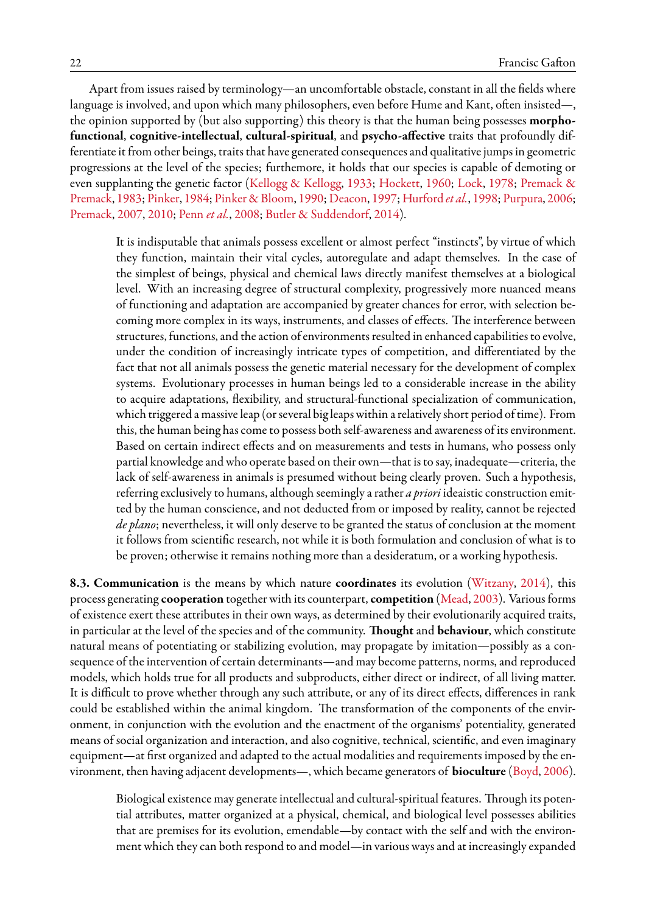Apart from issues raised by terminology—an uncomfortable obstacle, constant in all the fields where language is involved, and upon which many philosophers, even before Hume and Kant, often insisted—, the opinion supported by (but also supporting) this theory is that the human being possesses **morphofunctional**, **cognitive-intellectual**, **cultural-spiritual**, and **psycho-affective** traits that profoundly differentiate it from other beings, traits that have generated consequences and qualitative jumps in geometric progressions at the level of the species; furthemore, it holds that our species is capable of demoting or even supplanting the genetic factor [\(Kellogg & Kellogg](#page-39-30), [1933](#page-39-30); [Hockett](#page-38-14), [1960;](#page-38-14) [Lock,](#page-40-22) [1978;](#page-40-22) [Premack &](#page-41-25) [Premack](#page-41-25), [1983;](#page-41-25) [Pinker](#page-41-26), [1984;](#page-41-26) [Pinker & Bloom,](#page-41-27) [1990](#page-41-27); [Deacon](#page-36-19), [1997;](#page-36-19) [Hurford](#page-39-31) *et al.*, [1998;](#page-39-31) [Purpura](#page-42-28), [2006;](#page-42-28) [Premack](#page-41-28), [2007](#page-41-28), [2010;](#page-41-29) [Penn](#page-41-12) *et al.*, [2008](#page-41-12); [Butler & Suddendorf](#page-36-27), [2014](#page-36-27)).

It is indisputable that animals possess excellent or almost perfect "instincts", by virtue of which they function, maintain their vital cycles, autoregulate and adapt themselves. In the case of the simplest of beings, physical and chemical laws directly manifest themselves at a biological level. With an increasing degree of structural complexity, progressively more nuanced means of functioning and adaptation are accompanied by greater chances for error, with selection becoming more complex in its ways, instruments, and classes of effects. The interference between structures, functions, and the action of environments resulted in enhanced capabilities to evolve, under the condition of increasingly intricate types of competition, and differentiated by the fact that not all animals possess the genetic material necessary for the development of complex systems. Evolutionary processes in human beings led to a considerable increase in the ability to acquire adaptations, flexibility, and structural-functional specialization of communication, which triggered a massive leap (or several big leaps within a relatively short period of time). From this, the human being has come to possess both self-awareness and awareness of its environment. Based on certain indirect effects and on measurements and tests in humans, who possess only partial knowledge and who operate based on their own—that is to say, inadequate—criteria, the lack of self-awareness in animals is presumed without being clearly proven. Such a hypothesis, referring exclusively to humans, although seemingly a rather *a priori* ideaistic construction emitted by the human conscience, and not deducted from or imposed by reality, cannot be rejected *de plano*; nevertheless, it will only deserve to be granted the status of conclusion at the moment it follows from scientific research, not while it is both formulation and conclusion of what is to be proven; otherwise it remains nothing more than a desideratum, or a working hypothesis.

**8.3. Communication** is the means by which nature **coordinates** its evolution([Witzany,](#page-44-16) [2014](#page-44-16)), this process generating **cooperation** together with its counterpart, **competition** ([Mead,](#page-40-23) [2003](#page-40-23)). Various forms of existence exert these attributes in their own ways, as determined by their evolutionarily acquired traits, in particular at the level of the species and of the community. **Thought** and **behaviour**, which constitute natural means of potentiating or stabilizing evolution, may propagate by imitation—possibly as a consequence of the intervention of certain determinants—and may become patterns, norms, and reproduced models, which holds true for all products and subproducts, either direct or indirect, of all living matter. It is difficult to prove whether through any such attribute, or any of its direct effects, differences in rank could be established within the animal kingdom. The transformation of the components of the environment, in conjunction with the evolution and the enactment of the organisms' potentiality, generated means of social organization and interaction, and also cognitive, technical, scientific, and even imaginary equipment—at first organized and adapted to the actual modalities and requirements imposed by the environment, then having adjacent developments—, which became generators of **bioculture** ([Boyd](#page-35-29), [2006](#page-35-29)).

Biological existence may generate intellectual and cultural-spiritual features. Through its potential attributes, matter organized at a physical, chemical, and biological level possesses abilities that are premises for its evolution, emendable—by contact with the self and with the environment which they can both respond to and model—in various ways and at increasingly expanded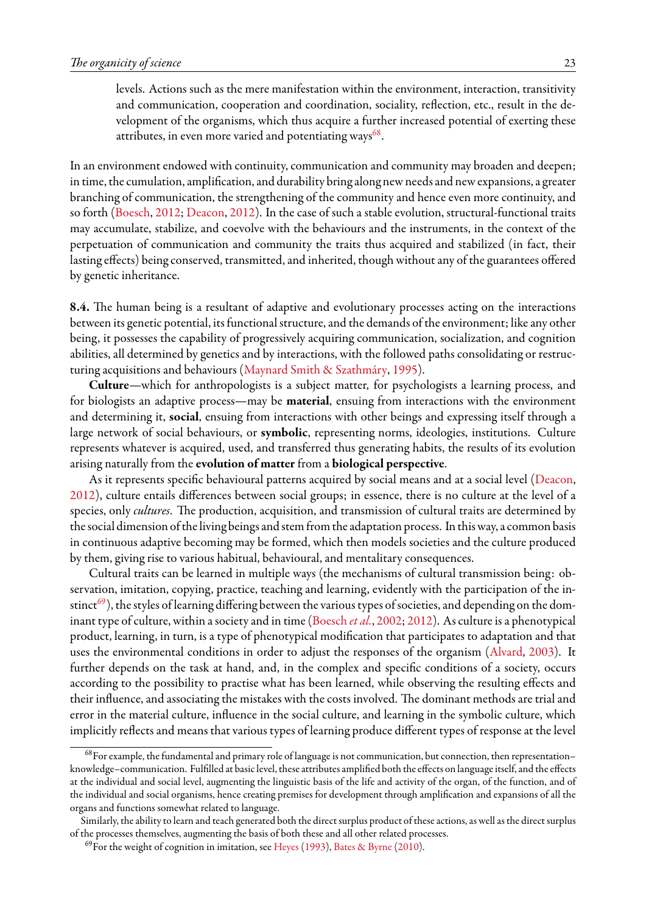levels. Actions such as the mere manifestation within the environment, interaction, transitivity and communication, cooperation and coordination, sociality, reflection, etc., result in the development of the organisms, which thus acquire a further increased potential of exerting these attributes, in even more varied and potentiating ways $^{68}.$  $^{68}.$  $^{68}.$ 

In an environment endowed with continuity, communication and community may broaden and deepen; in time, the cumulation, amplification, and durability bring along new needs and new expansions, a greater branching of communication, the strengthening of the community and hence even more continuity, and so forth [\(Boesch](#page-35-4), [2012](#page-35-4); [Deacon](#page-36-4), [2012](#page-36-4)). In the case of such a stable evolution, structural-functional traits may accumulate, stabilize, and coevolve with the behaviours and the instruments, in the context of the perpetuation of communication and community the traits thus acquired and stabilized (in fact, their lasting effects) being conserved, transmitted, and inherited, though without any of the guarantees offered by genetic inheritance.

**8.4.** The human being is a resultant of adaptive and evolutionary processes acting on the interactions between its genetic potential, its functional structure, and the demands of the environment; like any other being, it possesses the capability of progressively acquiring communication, socialization, and cognition abilities, all determined by genetics and by interactions, with the followed paths consolidating or restructuring acquisitions and behaviours([Maynard Smith & Szathmáry,](#page-40-24) [1995](#page-40-24)).

**Culture**—which for anthropologists is a subject matter, for psychologists a learning process, and for biologists an adaptive process—may be **material**, ensuing from interactions with the environment and determining it, **social**, ensuing from interactions with other beings and expressing itself through a large network of social behaviours, or **symbolic**, representing norms, ideologies, institutions. Culture represents whatever is acquired, used, and transferred thus generating habits, the results of its evolution arising naturally from the **evolution of matter** from a **biological perspective**.

As it represents specific behavioural patterns acquired by social means and at a social level [\(Deacon](#page-36-4), [2012\)](#page-36-4), culture entails differences between social groups; in essence, there is no culture at the level of a species, only *cultures*. The production, acquisition, and transmission of cultural traits are determined by the social dimension of the living beings and stem from the adaptation process. In this way, a common basis in continuous adaptive becoming may be formed, which then models societies and the culture produced by them, giving rise to various habitual, behavioural, and mentalitary consequences.

Cultural traits can be learned in multiple ways (the mechanisms of cultural transmission being: observation, imitation, copying, practice, teaching and learning, evidently with the participation of the in-stinct<sup>[69](#page-22-1)</sup>), the styles of learning differing between the various types of societies, and depending on the dominant type of culture, within a society and in time([Boesch](#page-35-30) *et al.*, [2002;](#page-35-30) [2012\)](#page-35-4). As culture is a phenotypical product, learning, in turn, is a type of phenotypical modification that participates to adaptation and that uses the environmental conditions in order to adjust the responses of the organism [\(Alvard,](#page-34-18) [2003\)](#page-34-18). It further depends on the task at hand, and, in the complex and specific conditions of a society, occurs according to the possibility to practise what has been learned, while observing the resulting effects and their influence, and associating the mistakes with the costs involved. The dominant methods are trial and error in the material culture, influence in the social culture, and learning in the symbolic culture, which implicitly reflects and means that various types of learning produce different types of response at the level

<span id="page-22-0"></span><sup>68</sup>For example, the fundamental and primary role of language is not communication, but connection, then representation– knowledge–communication. Fulfilled at basic level, these attributes amplified both the effects on language itself, and the effects at the individual and social level, augmenting the linguistic basis of the life and activity of the organ, of the function, and of the individual and social organisms, hence creating premises for development through amplification and expansions of all the organs and functions somewhat related to language.

Similarly, the ability to learn and teach generated both the direct surplus product of these actions, as well as the direct surplus of the processes themselves, augmenting the basis of both these and all other related processes.

<span id="page-22-1"></span> $^{69}$ For the weight of cognition in imitation, see [Heyes](#page-38-28) ([1993](#page-38-28)), [Bates & Byrne](#page-35-31) ([2010](#page-35-31)).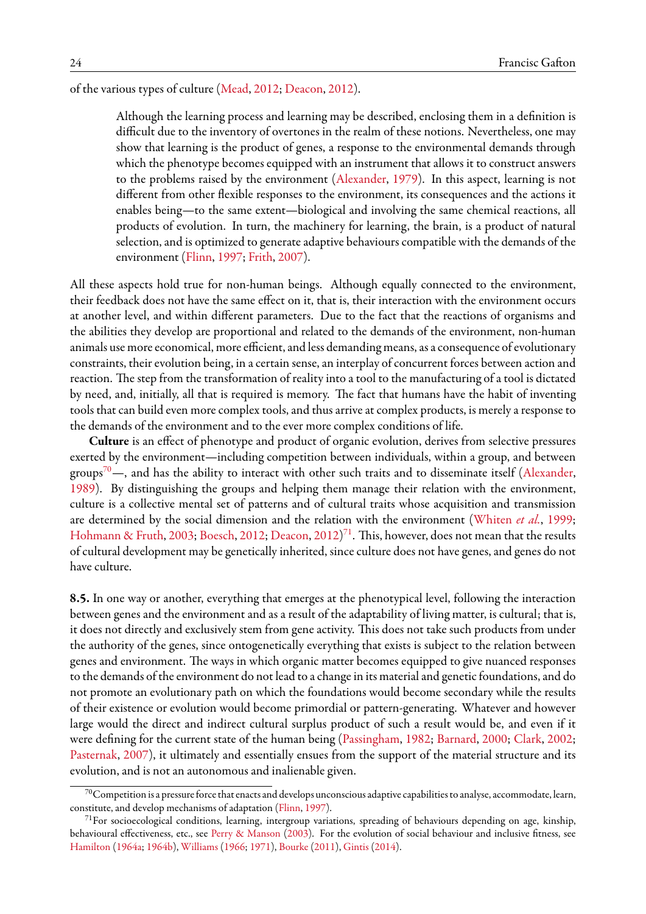of the various types of culture [\(Mead](#page-40-25), [2012](#page-40-25); [Deacon,](#page-36-4) [2012\)](#page-36-4).

Although the learning process and learning may be described, enclosing them in a definition is difficult due to the inventory of overtones in the realm of these notions. Nevertheless, one may show that learning is the product of genes, a response to the environmental demands through which the phenotype becomes equipped with an instrument that allows it to construct answers to the problems raised by the environment([Alexander](#page-34-2), [1979](#page-34-2)). In this aspect, learning is not different from other flexible responses to the environment, its consequences and the actions it enables being—to the same extent—biological and involving the same chemical reactions, all products of evolution. In turn, the machinery for learning, the brain, is a product of natural selection, and is optimized to generate adaptive behaviours compatible with the demands of the environment [\(Flinn,](#page-37-0) [1997;](#page-37-0) [Frith](#page-37-26), [2007\)](#page-37-26).

All these aspects hold true for non-human beings. Although equally connected to the environment, their feedback does not have the same effect on it, that is, their interaction with the environment occurs at another level, and within different parameters. Due to the fact that the reactions of organisms and the abilities they develop are proportional and related to the demands of the environment, non-human animals use more economical, more efficient, and less demanding means, as a consequence of evolutionary constraints, their evolution being, in a certain sense, an interplay of concurrent forces between action and reaction. The step from the transformation of reality into a tool to the manufacturing of a tool is dictated by need, and, initially, all that is required is memory. The fact that humans have the habit of inventing tools that can build even more complex tools, and thus arrive at complex products, is merely a response to the demands of the environment and to the ever more complex conditions of life.

**Culture** is an effect of phenotype and product of organic evolution, derives from selective pressures exerted by the environment—including competition between individuals, within a group, and between groups<sup>[70](#page-23-0)</sup>—,and has the ability to interact with other such traits and to disseminate itself ([Alexander](#page-34-3), [1989\)](#page-34-3). By distinguishing the groups and helping them manage their relation with the environment, culture is a collective mental set of patterns and of cultural traits whose acquisition and transmission are determined by the social dimension and the relation with the environment [\(Whiten](#page-44-17) *et al.*, [1999;](#page-44-17) [Hohmann & Fruth,](#page-38-29) [2003;](#page-38-29) [Boesch](#page-35-4), [2012](#page-35-4); [Deacon,](#page-36-4) [2012\)](#page-36-4)<sup>[71](#page-23-1)</sup>. This, however, does not mean that the results of cultural development may be genetically inherited, since culture does not have genes, and genes do not have culture.

**8.5.** In one way or another, everything that emerges at the phenotypical level, following the interaction between genes and the environment and as a result of the adaptability of living matter, is cultural; that is, it does not directly and exclusively stem from gene activity. This does not take such products from under the authority of the genes, since ontogenetically everything that exists is subject to the relation between genes and environment. The ways in which organic matter becomes equipped to give nuanced responses to the demands of the environment do not lead to a change in its material and genetic foundations, and do not promote an evolutionary path on which the foundations would become secondary while the results of their existence or evolution would become primordial or pattern-generating. Whatever and however large would the direct and indirect cultural surplus product of such a result would be, and even if it were defining for the current state of the human being([Passingham](#page-41-30), [1982;](#page-41-30) [Barnard](#page-35-32), [2000;](#page-35-32) [Clark](#page-36-28), [2002;](#page-36-28) [Pasternak](#page-41-31), [2007\)](#page-41-31), it ultimately and essentially ensues from the support of the material structure and its evolution, and is not an autonomous and inalienable given.

<span id="page-23-0"></span> $^{70}$ Competition is a pressure force that enacts and develops unconscious adaptive capabilities to analyse, accommodate, learn, constitute, and develop mechanisms of adaptation([Flinn](#page-37-0), [1997](#page-37-0)).

<span id="page-23-1"></span><sup>&</sup>lt;sup>71</sup>For socioecological conditions, learning, intergroup variations, spreading of behaviours depending on age, kinship, behavioural effectiveness, etc., see [Perry & Manson](#page-41-32) ([2003](#page-41-32)). For the evolution of social behaviour and inclusive fitness, see [Hamilton](#page-38-30) [\(1964a;](#page-38-30) [1964b](#page-38-31)), [Williams](#page-44-18) [\(1966;](#page-44-18) [1971\)](#page-44-19), [Bourke](#page-35-18) ([2011](#page-35-18)), [Gintis](#page-37-25) [\(2014\)](#page-37-25).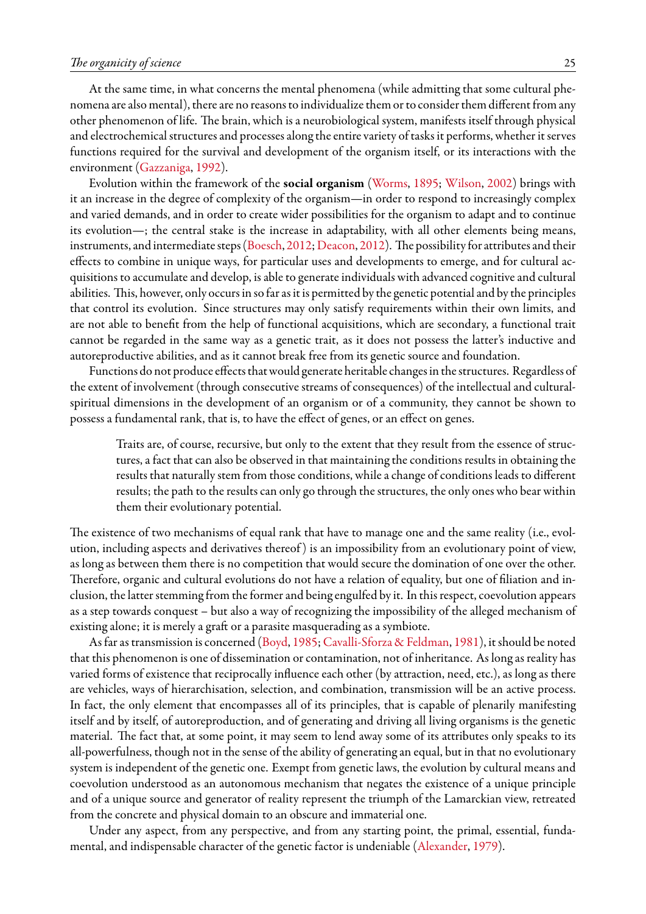At the same time, in what concerns the mental phenomena (while admitting that some cultural phenomena are also mental), there are no reasons to individualize them or to consider them different from any other phenomenon of life. The brain, which is a neurobiological system, manifests itself through physical and electrochemical structures and processes along the entire variety of tasks it performs, whether it serves functions required for the survival and development of the organism itself, or its interactions with the environment([Gazzaniga,](#page-37-27) [1992\)](#page-37-27).

Evolution within the framework of the **social organism** ([Worms,](#page-44-5) [1895](#page-44-5); [Wilson,](#page-44-20) [2002](#page-44-20)) brings with it an increase in the degree of complexity of the organism—in order to respond to increasingly complex and varied demands, and in order to create wider possibilities for the organism to adapt and to continue its evolution—; the central stake is the increase in adaptability, with all other elements being means, instruments, and intermediate steps([Boesch](#page-35-4), [2012](#page-35-4); [Deacon](#page-36-4), [2012\)](#page-36-4). The possibilityfor attributes and their effects to combine in unique ways, for particular uses and developments to emerge, and for cultural acquisitions to accumulate and develop, is able to generate individuals with advanced cognitive and cultural abilities. This, however, only occurs in so far as it is permitted by the genetic potential and by the principles that control its evolution. Since structures may only satisfy requirements within their own limits, and are not able to benefit from the help of functional acquisitions, which are secondary, a functional trait cannot be regarded in the same way as a genetic trait, as it does not possess the latter's inductive and autoreproductive abilities, and as it cannot break free from its genetic source and foundation.

Functions do not produce effects that would generate heritable changes in the structures. Regardless of the extent of involvement (through consecutive streams of consequences) of the intellectual and culturalspiritual dimensions in the development of an organism or of a community, they cannot be shown to possess a fundamental rank, that is, to have the effect of genes, or an effect on genes.

Traits are, of course, recursive, but only to the extent that they result from the essence of structures, a fact that can also be observed in that maintaining the conditions results in obtaining the results that naturally stem from those conditions, while a change of conditions leads to different results; the path to the results can only go through the structures, the only ones who bear within them their evolutionary potential.

The existence of two mechanisms of equal rank that have to manage one and the same reality (i.e., evolution, including aspects and derivatives thereof ) is an impossibility from an evolutionary point of view, as long as between them there is no competition that would secure the domination of one over the other. Therefore, organic and cultural evolutions do not have a relation of equality, but one of filiation and inclusion, the latter stemming from the former and being engulfed by it. In this respect, coevolution appears as a step towards conquest – but also a way of recognizing the impossibility of the alleged mechanism of existing alone; it is merely a graft or a parasite masquerading as a symbiote.

As far as transmission is concerned([Boyd](#page-35-33), [1985;](#page-35-33) [Cavalli-Sforza & Feldman](#page-36-29), [1981\)](#page-36-29), it should be noted that this phenomenon is one of dissemination or contamination, not of inheritance. As long as reality has varied forms of existence that reciprocally influence each other (by attraction, need, etc.), as long as there are vehicles, ways of hierarchisation, selection, and combination, transmission will be an active process. In fact, the only element that encompasses all of its principles, that is capable of plenarily manifesting itself and by itself, of autoreproduction, and of generating and driving all living organisms is the genetic material. The fact that, at some point, it may seem to lend away some of its attributes only speaks to its all-powerfulness, though not in the sense of the ability of generating an equal, but in that no evolutionary system is independent of the genetic one. Exempt from genetic laws, the evolution by cultural means and coevolution understood as an autonomous mechanism that negates the existence of a unique principle and of a unique source and generator of reality represent the triumph of the Lamarckian view, retreated from the concrete and physical domain to an obscure and immaterial one.

Under any aspect, from any perspective, and from any starting point, the primal, essential, fundamental, and indispensable character of the genetic factor is undeniable([Alexander,](#page-34-2) [1979](#page-34-2)).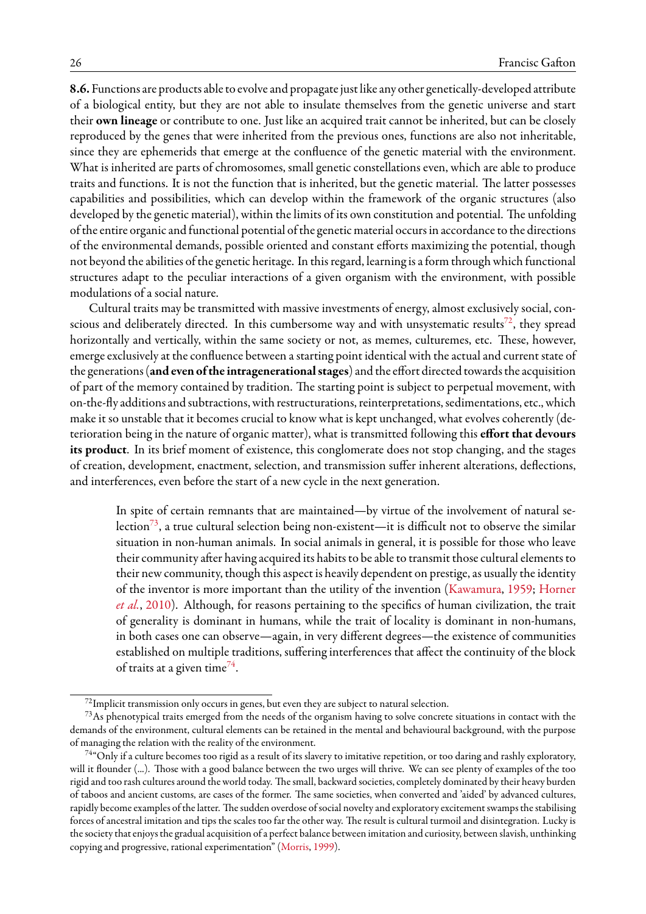**8.6.** Functions are products able to evolve and propagate just like any other genetically-developed attribute of a biological entity, but they are not able to insulate themselves from the genetic universe and start their **own lineage** or contribute to one. Just like an acquired trait cannot be inherited, but can be closely reproduced by the genes that were inherited from the previous ones, functions are also not inheritable, since they are ephemerids that emerge at the confluence of the genetic material with the environment. What is inherited are parts of chromosomes, small genetic constellations even, which are able to produce traits and functions. It is not the function that is inherited, but the genetic material. The latter possesses capabilities and possibilities, which can develop within the framework of the organic structures (also developed by the genetic material), within the limits of its own constitution and potential. The unfolding of the entire organic and functional potential of the genetic material occurs in accordance to the directions of the environmental demands, possible oriented and constant efforts maximizing the potential, though not beyond the abilities of the genetic heritage. In this regard, learning is a form through which functional structures adapt to the peculiar interactions of a given organism with the environment, with possible modulations of a social nature.

Cultural traits may be transmitted with massive investments of energy, almost exclusively social, con-scious and deliberately directed. In this cumbersome way and with unsystematic results<sup>[72](#page-25-0)</sup>, they spread horizontally and vertically, within the same society or not, as memes, culturemes, etc. These, however, emerge exclusively at the confluence between a starting point identical with the actual and current state of the generations (and even of the intragenerational stages) and the effort directed towards the acquisition of part of the memory contained by tradition. The starting point is subject to perpetual movement, with on-the-fly additions and subtractions, with restructurations, reinterpretations, sedimentations, etc., which make it so unstable that it becomes crucial to know what is kept unchanged, what evolves coherently (deterioration being in the nature of organic matter), what is transmitted following this **effort that devours its product**. In its brief moment of existence, this conglomerate does not stop changing, and the stages of creation, development, enactment, selection, and transmission suffer inherent alterations, deflections, and interferences, even before the start of a new cycle in the next generation.

In spite of certain remnants that are maintained—by virtue of the involvement of natural se-lection<sup>[73](#page-25-1)</sup>, a true cultural selection being non-existent—it is difficult not to observe the similar situation in non-human animals. In social animals in general, it is possible for those who leave their community after having acquired its habits to be able to transmit those cultural elements to their new community, though this aspect is heavily dependent on prestige, as usually the identity of the inventor is more important than the utility of the invention([Kawamura](#page-39-32), [1959;](#page-39-32) [Horner](#page-38-32) *[et al.](#page-38-32)*, [2010\)](#page-38-32). Although, for reasons pertaining to the specifics of human civilization, the trait of generality is dominant in humans, while the trait of locality is dominant in non-humans, in both cases one can observe—again, in very different degrees—the existence of communities established on multiple traditions, suffering interferences that affect the continuity of the block of traits at a given time<sup>[74](#page-25-2)</sup>.

<span id="page-25-1"></span><span id="page-25-0"></span> $^{72}$ Implicit transmission only occurs in genes, but even they are subject to natural selection.

 $^{73}$ As phenotypical traits emerged from the needs of the organism having to solve concrete situations in contact with the demands of the environment, cultural elements can be retained in the mental and behavioural background, with the purpose of managing the relation with the reality of the environment.

<span id="page-25-2"></span><sup>&</sup>lt;sup>74</sup>"Only if a culture becomes too rigid as a result of its slavery to imitative repetition, or too daring and rashly exploratory, will it flounder (...). Those with a good balance between the two urges will thrive. We can see plenty of examples of the too rigid and too rash cultures around the world today. The small, backward societies, completely dominated by their heavy burden of taboos and ancient customs, are cases of the former. The same societies, when converted and 'aided' by advanced cultures, rapidly become examples of the latter. The sudden overdose of social novelty and exploratory excitement swamps the stabilising forces of ancestral imitation and tips the scales too far the other way. The result is cultural turmoil and disintegration. Lucky is the society that enjoys the gradual acquisition of a perfect balance between imitation and curiosity, between slavish, unthinking copying and progressive, rational experimentation" [\(Morris,](#page-40-4) [1999](#page-40-4)).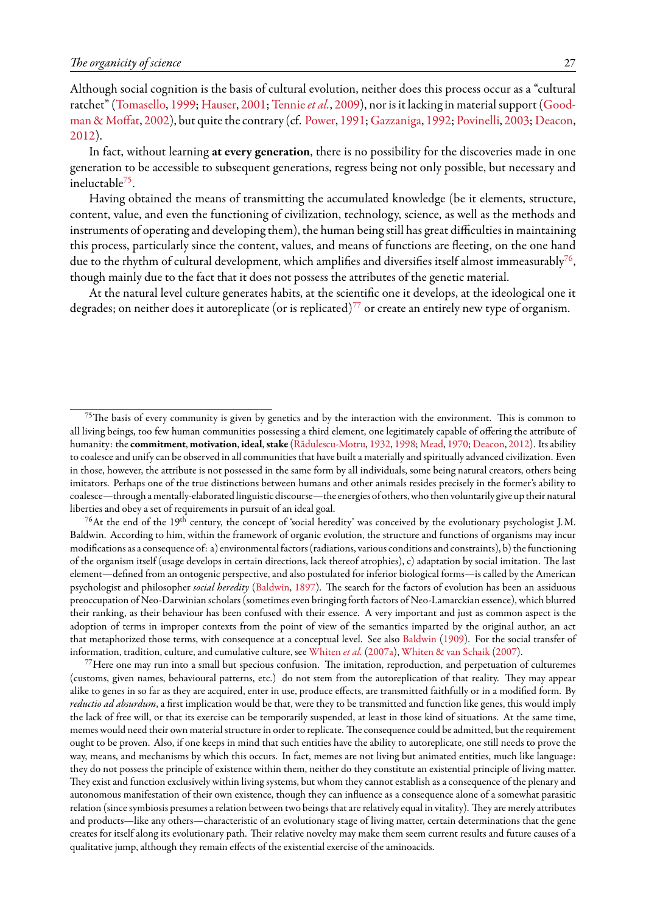Although social cognition is the basis of cultural evolution, neither does this process occur as a "cultural ratchet"([Tomasello,](#page-43-32) [1999](#page-43-32); [Hauser,](#page-38-33) [2001](#page-38-33); [Tennie](#page-43-33)*et al.*, [2009\)](#page-43-33), nor is it lacking in material support([Good](#page-37-28)[man & Moffat,](#page-37-28) [2002](#page-37-28)), but quite the contrary (cf. [Power](#page-41-33), [1991;](#page-41-33) [Gazzaniga](#page-37-27), [1992;](#page-37-27) [Povinelli,](#page-41-34) [2003](#page-41-34); [Deacon](#page-36-4), [2012\)](#page-36-4).

In fact, without learning **at every generation**, there is no possibility for the discoveries made in one generation to be accessible to subsequent generations, regress being not only possible, but necessary and ineluctable<sup>[75](#page-26-0)</sup>.

Having obtained the means of transmitting the accumulated knowledge (be it elements, structure, content, value, and even the functioning of civilization, technology, science, as well as the methods and instruments of operating and developing them), the human being still has great difficulties in maintaining this process, particularly since the content, values, and means of functions are fleeting, on the one hand due to the rhythm of cultural development, which amplifies and diversifies itself almost immeasurably<sup>[76](#page-26-1)</sup>, though mainly due to the fact that it does not possess the attributes of the genetic material.

At the natural level culture generates habits, at the scientific one it develops, at the ideological one it degrades; on neither does it autoreplicate (or is replicated)<sup>[77](#page-26-2)</sup> or create an entirely new type of organism.

<span id="page-26-1"></span> $^{76}$ At the end of the 19<sup>th</sup> century, the concept of 'social heredity' was conceived by the evolutionary psychologist J.M. Baldwin. According to him, within the framework of organic evolution, the structure and functions of organisms may incur modifications as a consequence of: a) environmentalfactors (radiations, various conditions and constraints), b) thefunctioning of the organism itself (usage develops in certain directions, lack thereof atrophies), c) adaptation by social imitation. The last element—defined from an ontogenic perspective, and also postulated for inferior biological forms—is called by the American psychologist and philosopher *social heredity* ([Baldwin](#page-34-19), [1897\)](#page-34-19). The search for the factors of evolution has been an assiduous preoccupation of Neo-Darwinian scholars (sometimes even bringing forth factors of Neo-Lamarckian essence), which blurred their ranking, as their behaviour has been confused with their essence. A very important and just as common aspect is the adoption of terms in improper contexts from the point of view of the semantics imparted by the original author, an act that metaphorized those terms, with consequence at a conceptual level. See also [Baldwin](#page-34-5) [\(1909\)](#page-34-5). For the social transfer of information, tradition, culture, and cumulative culture, see [Whiten](#page-44-21) *et al.* [\(2007a\)](#page-44-21), [Whiten & van Schaik](#page-44-22) [\(2007](#page-44-22)).

<span id="page-26-2"></span> $^{77}$ Here one may run into a small but specious confusion. The imitation, reproduction, and perpetuation of culturemes (customs, given names, behavioural patterns, etc.) do not stem from the autoreplication of that reality. They may appear alike to genes in so far as they are acquired, enter in use, produce effects, are transmitted faithfully or in a modified form. By *reductio ad absurdum*, a first implication would be that, were they to be transmitted and function like genes, this would imply the lack of free will, or that its exercise can be temporarily suspended, at least in those kind of situations. At the same time, memes would need their own material structure in order to replicate. The consequence could be admitted, but the requirement ought to be proven. Also, if one keeps in mind that such entities have the ability to autoreplicate, one still needs to prove the way, means, and mechanisms by which this occurs. In fact, memes are not living but animated entities, much like language: they do not possess the principle of existence within them, neither do they constitute an existential principle of living matter. They exist and function exclusively within living systems, but whom they cannot establish as a consequence of the plenary and autonomous manifestation of their own existence, though they can influence as a consequence alone of a somewhat parasitic relation (since symbiosis presumes a relation between two beings that are relatively equal in vitality). They are merely attributes and products—like any others—characteristic of an evolutionary stage of living matter, certain determinations that the gene creates for itself along its evolutionary path. Their relative novelty may make them seem current results and future causes of a qualitative jump, although they remain effects of the existential exercise of the aminoacids.

<span id="page-26-0"></span> $75$ The basis of every community is given by genetics and by the interaction with the environment. This is common to all living beings, too few human communities possessing a third element, one legitimately capable of offering the attribute of humanity: the **commitment**, **motivation**, **ideal**,**stake** ([Rădulescu-Motru](#page-42-29), [1932,](#page-42-29) [1998](#page-42-30); [Mead,](#page-40-26) [1970;](#page-40-26) [Deacon](#page-36-4), [2012](#page-36-4)). Its ability to coalesce and unify can be observed in all communities that have built a materially and spiritually advanced civilization. Even in those, however, the attribute is not possessed in the same form by all individuals, some being natural creators, others being imitators. Perhaps one of the true distinctions between humans and other animals resides precisely in the former's ability to coalesce—through a mentally-elaborated linguistic discourse—the energies of others, who then voluntarily give up their natural liberties and obey a set of requirements in pursuit of an ideal goal.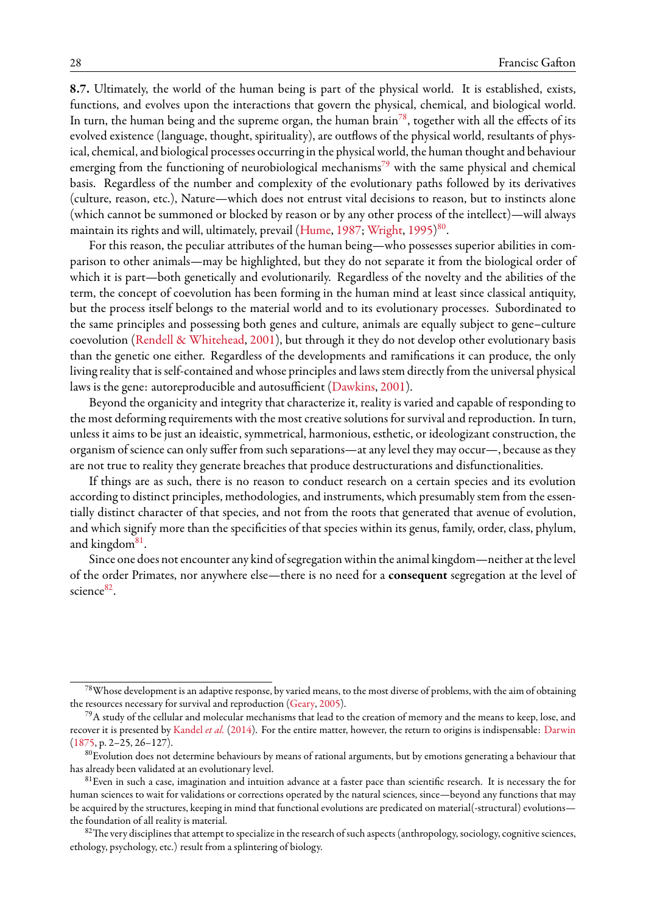**8.7.** Ultimately, the world of the human being is part of the physical world. It is established, exists, functions, and evolves upon the interactions that govern the physical, chemical, and biological world. In turn, the human being and the supreme organ, the human brain<sup>[78](#page-27-0)</sup>, together with all the effects of its evolved existence (language, thought, spirituality), are outflows of the physical world, resultants of physical, chemical, and biological processes occurring in the physical world, the human thought and behaviour emerging from the functioning of neurobiological mechanisms<sup>[79](#page-27-1)</sup> with the same physical and chemical basis. Regardless of the number and complexity of the evolutionary paths followed by its derivatives (culture, reason, etc.), Nature—which does not entrust vital decisions to reason, but to instincts alone (which cannot be summoned or blocked by reason or by any other process of the intellect)—will always maintain its rights and will, ultimately, prevail [\(Hume](#page-38-2), [1987](#page-38-2); [Wright](#page-44-23), [1995](#page-44-23)) [80](#page-27-2) .

For this reason, the peculiar attributes of the human being—who possesses superior abilities in comparison to other animals—may be highlighted, but they do not separate it from the biological order of which it is part—both genetically and evolutionarily. Regardless of the novelty and the abilities of the term, the concept of coevolution has been forming in the human mind at least since classical antiquity, but the process itself belongs to the material world and to its evolutionary processes. Subordinated to the same principles and possessing both genes and culture, animals are equally subject to gene–culture coevolution([Rendell & Whitehead](#page-42-15), [2001\)](#page-42-15), but through it they do not develop other evolutionary basis than the genetic one either. Regardless of the developments and ramifications it can produce, the only living reality that is self-contained and whose principles and laws stem directly from the universal physical laws is the gene: autoreproducible and autosufficient([Dawkins,](#page-36-6) [2001\)](#page-36-6).

Beyond the organicity and integrity that characterize it, reality is varied and capable of responding to the most deforming requirements with the most creative solutions for survival and reproduction. In turn, unless it aims to be just an ideaistic, symmetrical, harmonious, esthetic, or ideologizant construction, the organism of science can only suffer from such separations—at any level they may occur—, because as they are not true to reality they generate breaches that produce destructurations and disfunctionalities.

If things are as such, there is no reason to conduct research on a certain species and its evolution according to distinct principles, methodologies, and instruments, which presumably stem from the essentially distinct character of that species, and not from the roots that generated that avenue of evolution, and which signify more than the specificities of that species within its genus, family, order, class, phylum, and kingdom<sup>[81](#page-27-3)</sup>.

Since one does not encounter any kind of segregation within the animal kingdom—neither at the level of the order Primates, nor anywhere else—there is no need for a **consequent** segregation at the level of science<sup>[82](#page-27-4)</sup>.

<span id="page-27-0"></span> $^{78}$ Whose development is an adaptive response, by varied means, to the most diverse of problems, with the aim of obtaining the resources necessary for survival and reproduction [\(Geary](#page-37-19), [2005\)](#page-37-19).

<span id="page-27-1"></span> $^{79}$ A study of the cellular and molecular mechanisms that lead to the creation of memory and the means to keep, lose, and recover it is presented by [Kandel](#page-39-33) *et al.* ([2014](#page-39-33)). For the entire matter, however, the return to origins is indispensable: [Darwin](#page-36-14)  $(1875, p. 2 - 25, 26 - 127)$  $(1875, p. 2 - 25, 26 - 127)$  $(1875, p. 2 - 25, 26 - 127)$ .

<span id="page-27-2"></span> $80$ Evolution does not determine behaviours by means of rational arguments, but by emotions generating a behaviour that has already been validated at an evolutionary level.

<span id="page-27-3"></span><sup>&</sup>lt;sup>81</sup> Even in such a case, imagination and intuition advance at a faster pace than scientific research. It is necessary the for human sciences to wait for validations or corrections operated by the natural sciences, since—beyond any functions that may be acquired by the structures, keeping in mind that functional evolutions are predicated on material(-structural) evolutions the foundation of all reality is material.

<span id="page-27-4"></span> $82$ The very disciplines that attempt to specialize in the research of such aspects (anthropology, sociology, cognitive sciences, ethology, psychology, etc.) result from a splintering of biology.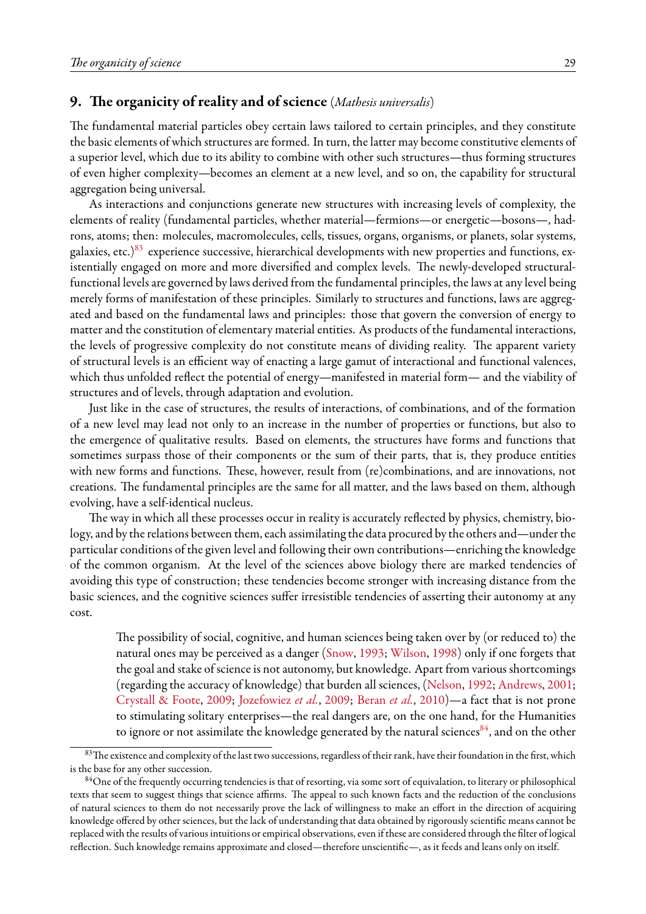### <span id="page-28-0"></span>**9. The organicity of reality and of science** (*Mathesis universalis*)

The fundamental material particles obey certain laws tailored to certain principles, and they constitute the basic elements of which structures are formed. In turn, the latter may become constitutive elements of a superior level, which due to its ability to combine with other such structures—thus forming structures of even higher complexity—becomes an element at a new level, and so on, the capability for structural aggregation being universal.

As interactions and conjunctions generate new structures with increasing levels of complexity, the elements of reality (fundamental particles, whether material—fermions—or energetic—bosons—, hadrons, atoms; then: molecules, macromolecules, cells, tissues, organs, organisms, or planets, solar systems, galaxies, etc.) $83$  experience successive, hierarchical developments with new properties and functions, existentially engaged on more and more diversified and complex levels. The newly-developed structuralfunctional levels are governed by laws derived from the fundamental principles, the laws at any level being merely forms of manifestation of these principles. Similarly to structures and functions, laws are aggregated and based on the fundamental laws and principles: those that govern the conversion of energy to matter and the constitution of elementary material entities. As products of the fundamental interactions, the levels of progressive complexity do not constitute means of dividing reality. The apparent variety of structural levels is an efficient way of enacting a large gamut of interactional and functional valences, which thus unfolded reflect the potential of energy—manifested in material form— and the viability of structures and of levels, through adaptation and evolution.

Just like in the case of structures, the results of interactions, of combinations, and of the formation of a new level may lead not only to an increase in the number of properties or functions, but also to the emergence of qualitative results. Based on elements, the structures have forms and functions that sometimes surpass those of their components or the sum of their parts, that is, they produce entities with new forms and functions. These, however, result from (re)combinations, and are innovations, not creations. The fundamental principles are the same for all matter, and the laws based on them, although evolving, have a self-identical nucleus.

The way in which all these processes occur in reality is accurately reflected by physics, chemistry, biology, and by the relations between them, each assimilating the data procured by the others and—under the particular conditions of the given level and following their own contributions—enriching the knowledge of the common organism. At the level of the sciences above biology there are marked tendencies of avoiding this type of construction; these tendencies become stronger with increasing distance from the basic sciences, and the cognitive sciences suffer irresistible tendencies of asserting their autonomy at any cost.

The possibility of social, cognitive, and human sciences being taken over by (or reduced to) the natural ones may be perceived as a danger([Snow,](#page-42-31) [1993](#page-42-31); [Wilson](#page-44-4), [1998\)](#page-44-4) only if one forgets that the goal and stake of science is not autonomy, but knowledge. Apart from various shortcomings (regarding the accuracy of knowledge) that burden all sciences,([Nelson,](#page-40-8) [1992;](#page-40-8) [Andrews,](#page-34-20) [2001;](#page-34-20) [Crystall & Foote,](#page-36-30) [2009;](#page-36-30) [Jozefowiez](#page-39-34) *et al.*, [2009;](#page-39-34) [Beran](#page-35-8) *et al.*, [2010](#page-35-8))—a fact that is not prone to stimulating solitary enterprises—the real dangers are, on the one hand, for the Humanities to ignore or not assimilate the knowledge generated by the natural sciences  $84$ , and on the other

<span id="page-28-1"></span><sup>83</sup> The existence and complexity of the last two successions, regardless of their rank, have their foundation in the first, which is the base for any other succession.

<span id="page-28-2"></span><sup>&</sup>lt;sup>84</sup>One of the frequently occurring tendencies is that of resorting, via some sort of equivalation, to literary or philosophical texts that seem to suggest things that science affirms. The appeal to such known facts and the reduction of the conclusions of natural sciences to them do not necessarily prove the lack of willingness to make an effort in the direction of acquiring knowledge offered by other sciences, but the lack of understanding that data obtained by rigorously scientific means cannot be replaced with the results of various intuitions or empirical observations, even if these are considered through the filter of logical reflection. Such knowledge remains approximate and closed—therefore unscientific—, as it feeds and leans only on itself.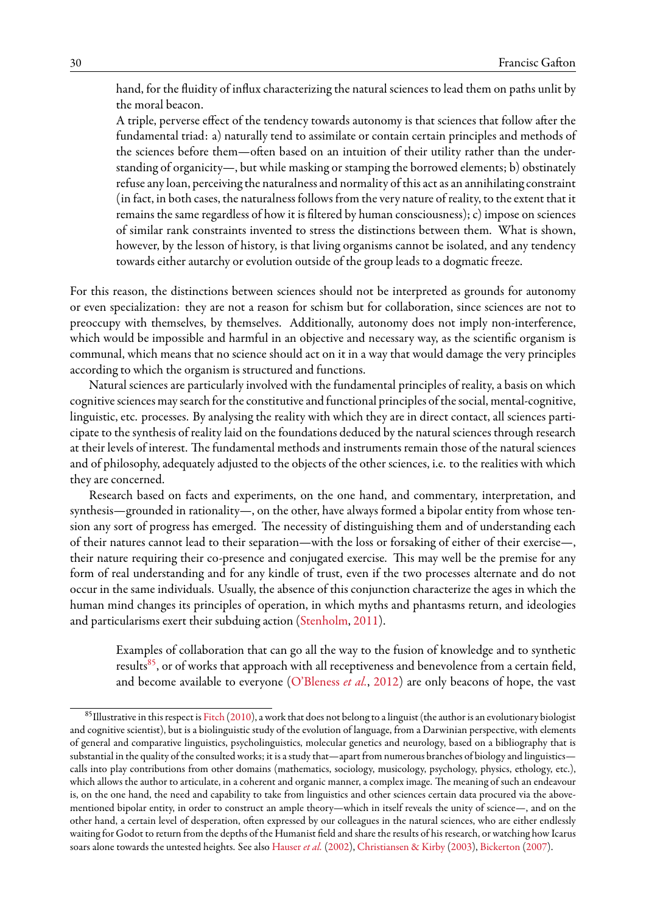hand, for the fluidity of influx characterizing the natural sciences to lead them on paths unlit by the moral beacon.

A triple, perverse effect of the tendency towards autonomy is that sciences that follow after the fundamental triad: a) naturally tend to assimilate or contain certain principles and methods of the sciences before them—often based on an intuition of their utility rather than the understanding of organicity—, but while masking or stamping the borrowed elements; b) obstinately refuse any loan, perceiving the naturalness and normality of this act as an annihilating constraint (in fact, in both cases, the naturalness follows from the very nature of reality, to the extent that it remains the same regardless of how it is filtered by human consciousness); c) impose on sciences of similar rank constraints invented to stress the distinctions between them. What is shown, however, by the lesson of history, is that living organisms cannot be isolated, and any tendency towards either autarchy or evolution outside of the group leads to a dogmatic freeze.

For this reason, the distinctions between sciences should not be interpreted as grounds for autonomy or even specialization: they are not a reason for schism but for collaboration, since sciences are not to preoccupy with themselves, by themselves. Additionally, autonomy does not imply non-interference, which would be impossible and harmful in an objective and necessary way, as the scientific organism is communal, which means that no science should act on it in a way that would damage the very principles according to which the organism is structured and functions.

Natural sciences are particularly involved with the fundamental principles of reality, a basis on which cognitive sciences may search for the constitutive and functional principles of the social, mental-cognitive, linguistic, etc. processes. By analysing the reality with which they are in direct contact, all sciences participate to the synthesis of reality laid on the foundations deduced by the natural sciences through research at their levels of interest. The fundamental methods and instruments remain those of the natural sciences and of philosophy, adequately adjusted to the objects of the other sciences, i.e. to the realities with which they are concerned.

Research based on facts and experiments, on the one hand, and commentary, interpretation, and synthesis—grounded in rationality—, on the other, have always formed a bipolar entity from whose tension any sort of progress has emerged. The necessity of distinguishing them and of understanding each of their natures cannot lead to their separation—with the loss or forsaking of either of their exercise—, their nature requiring their co-presence and conjugated exercise. This may well be the premise for any form of real understanding and for any kindle of trust, even if the two processes alternate and do not occur in the same individuals. Usually, the absence of this conjunction characterize the ages in which the human mind changes its principles of operation, in which myths and phantasms return, and ideologies and particularisms exert their subduing action([Stenholm,](#page-43-34) [2011\)](#page-43-34).

Examples of collaboration that can go all the way to the fusion of knowledge and to synthetic results<sup>[85](#page-29-0)</sup>, or of works that approach with all receptiveness and benevolence from a certain field, and become available to everyone [\(O'Bleness](#page-41-35) *et al.*, [2012\)](#page-41-35) are only beacons of hope, the vast

<span id="page-29-0"></span> $85$ Illustrative in this respect is [Fitch](#page-37-16) [\(2010\)](#page-37-16), a work that does not belong to a linguist (the author is an evolutionary biologist and cognitive scientist), but is a biolinguistic study of the evolution of language, from a Darwinian perspective, with elements of general and comparative linguistics, psycholinguistics, molecular genetics and neurology, based on a bibliography that is substantial in the quality of the consulted works; it is a study that—apart from numerous branches of biology and linguistics calls into play contributions from other domains (mathematics, sociology, musicology, psychology, physics, ethology, etc.), which allows the author to articulate, in a coherent and organic manner, a complex image. The meaning of such an endeavour is, on the one hand, the need and capability to take from linguistics and other sciences certain data procured via the abovementioned bipolar entity, in order to construct an ample theory—which in itself reveals the unity of science—, and on the other hand, a certain level of desperation, often expressed by our colleagues in the natural sciences, who are either endlessly waiting for Godot to return from the depths of the Humanist field and share the results of his research, or watching how Icarus soars alone towards the untested heights. See also [Hauser](#page-38-34) *et al.* ([2002\)](#page-38-34), [Christiansen & Kirby](#page-36-31) ([2003](#page-36-31)), [Bickerton](#page-35-34) [\(2007](#page-35-34)).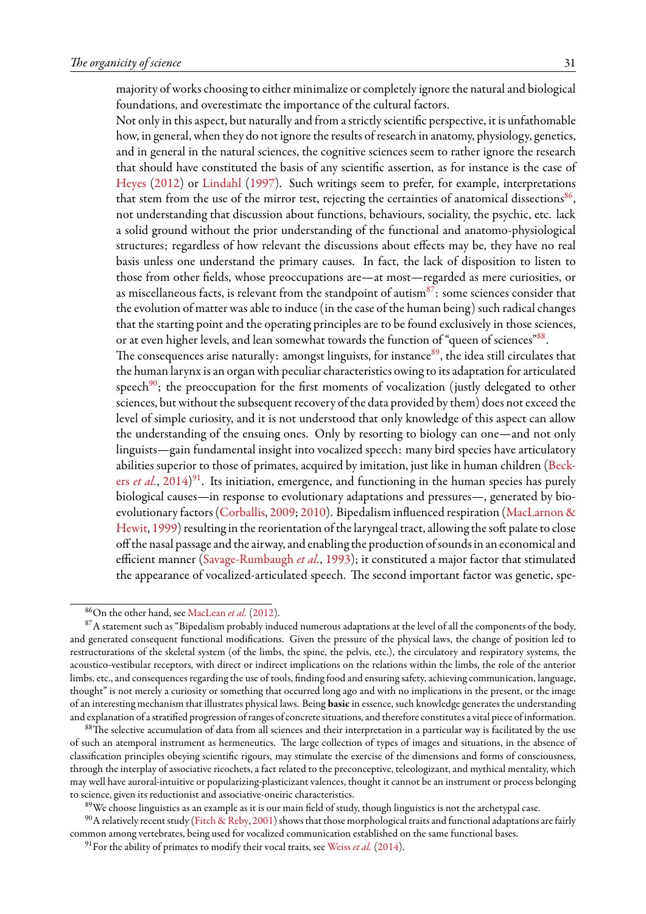majority of works choosing to either minimalize or completely ignore the natural and biological foundations, and overestimate the importance of the cultural factors.

Not only in this aspect, but naturally and from a strictly scientific perspective, it is unfathomable how, in general, when they do not ignore the results of research in anatomy, physiology, genetics, and in general in the natural sciences, the cognitive sciences seem to rather ignore the research that should have constituted the basis of any scientific assertion, as for instance is the case of [Heyes](#page-38-35) [\(2012\)](#page-38-35) or [Lindahl](#page-40-27) [\(1997](#page-40-27)). Such writings seem to prefer, for example, interpretations that stem from the use of the mirror test, rejecting the certainties of anatomical dissections $^{86},$  $^{86},$  $^{86},$ not understanding that discussion about functions, behaviours, sociality, the psychic, etc. lack a solid ground without the prior understanding of the functional and anatomo-physiological structures; regardless of how relevant the discussions about effects may be, they have no real basis unless one understand the primary causes. In fact, the lack of disposition to listen to those from other fields, whose preoccupations are—at most—regarded as mere curiosities, or as miscellaneous facts, is relevant from the standpoint of autism $87$ : some sciences consider that the evolution of matter was able to induce (in the case of the human being) such radical changes that the starting point and the operating principles are to be found exclusively in those sciences, or at even higher levels, and lean somewhat towards the function of "queen of sciences"  $88$ .

The consequences arise naturally: amongst linguists, for instance $89$ , the idea still circulates that the human larynx is an organ with peculiar characteristics owing to its adaptation for articulated speech<sup>[90](#page-30-4)</sup>; the preoccupation for the first moments of vocalization (justly delegated to other sciences, but without the subsequent recovery of the data provided by them) does not exceed the level of simple curiosity, and it is not understood that only knowledge of this aspect can allow the understanding of the ensuing ones. Only by resorting to biology can one—and not only linguists—gain fundamental insight into vocalized speech: many bird species have articulatory abilities superior to those of primates, acquired by imitation, just like in human children [\(Beck](#page-35-35)ers *[et al.](#page-35-35)*, [2014](#page-35-35)) [91](#page-30-5). Its initiation, emergence, and functioning in the human species has purely biological causes—in response to evolutionary adaptations and pressures—, generated by bioevolutionary factors [\(Corballis](#page-36-32), [2009](#page-36-32); [2010](#page-36-33)). Bipedalism influenced respiration [\(MacLarnon &](#page-40-28) [Hewit,](#page-40-28) [1999](#page-40-28)) resulting in the reorientation of the laryngeal tract, allowing the soft palate to close off the nasal passage and the airway, and enabling the production of sounds in an economical and efficient manner [\(Savage-Rumbaugh](#page-42-22) *et al.*, [1993](#page-42-22)); it constituted a major factor that stimulated the appearance of vocalized-articulated speech. The second important factor was genetic, spe-

<span id="page-30-1"></span><span id="page-30-0"></span><sup>86</sup>On the other hand, see [MacLean](#page-40-29) *et al.* [\(2012](#page-40-29)).

 $87A$  statement such as "Bipedalism probably induced numerous adaptations at the level of all the components of the body, and generated consequent functional modifications. Given the pressure of the physical laws, the change of position led to restructurations of the skeletal system (of the limbs, the spine, the pelvis, etc.), the circulatory and respiratory systems, the acoustico-vestibular receptors, with direct or indirect implications on the relations within the limbs, the role of the anterior limbs, etc., and consequences regarding the use of tools, finding food and ensuring safety, achieving communication, language, thought" is not merely a curiosity or something that occurred long ago and with no implications in the present, or the image of an interesting mechanism that illustrates physical laws. Being **basic** in essence, such knowledge generates the understanding and explanation of a stratified progression of ranges of concrete situations, and therefore constitutes a vital piece of information.

<span id="page-30-2"></span><sup>88</sup>The selective accumulation of data from all sciences and their interpretation in a particular way is facilitated by the use of such an atemporal instrument as hermeneutics. The large collection of types of images and situations, in the absence of classification principles obeying scientific rigours, may stimulate the exercise of the dimensions and forms of consciousness, through the interplay of associative ricochets, a fact related to the preconceptive, teleologizant, and mythical mentality, which may well have auroral-intuitive or popularizing-plasticizant valences, thought it cannot be an instrument or process belonging to science, given its reductionist and associative-oneiric characteristics.

<span id="page-30-4"></span><span id="page-30-3"></span><sup>&</sup>lt;sup>89</sup>We choose linguistics as an example as it is our main field of study, though linguistics is not the archetypal case.

 $^{90}$ A relatively recent study [\(Fitch & Reby](#page-37-29), [2001](#page-37-29)) shows that those morphological traits and functional adaptations are fairly common among vertebrates, being used for vocalized communication established on the same functional bases.

<span id="page-30-5"></span><sup>&</sup>lt;sup>91</sup> For the ability of primates to modify their vocal traits, see [Weiss](#page-43-35) *et al.* [\(2014](#page-43-35)).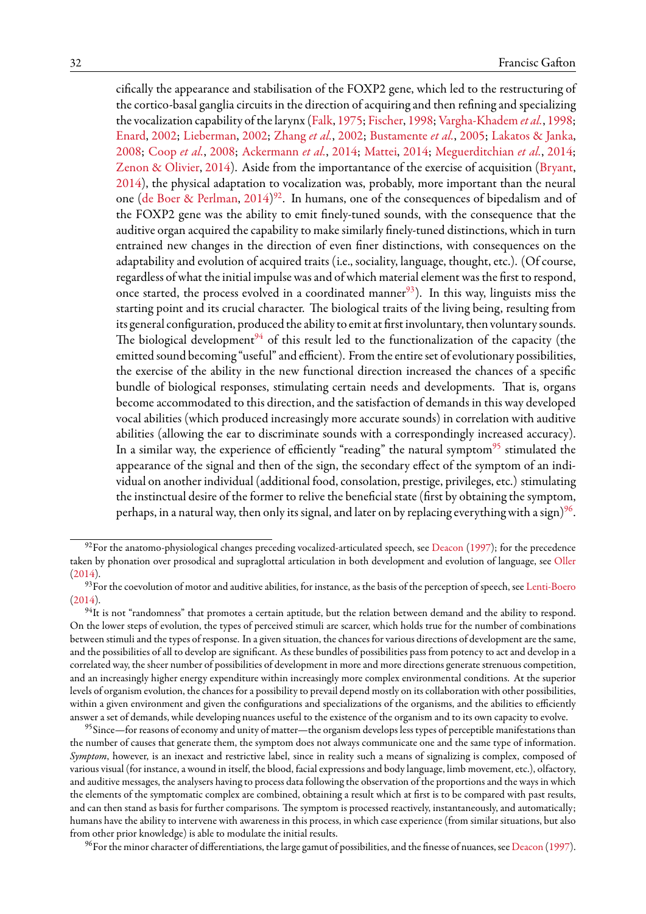cifically the appearance and stabilisation of the FOXP2 gene, which led to the restructuring of the cortico-basal ganglia circuits in the direction of acquiring and then refining and specializing the vocalization capability of the larynx [\(Falk,](#page-37-30) [1975](#page-37-30); [Fischer,](#page-37-31) [1998](#page-37-31); [Vargha-Khadem](#page-43-36) *et al.*, [1998;](#page-43-36) [Enard](#page-37-32), [2002;](#page-37-32) [Lieberman,](#page-40-30) [2002;](#page-40-30) [Zhang](#page-44-24) *et al.*, [2002;](#page-44-24) [Bustamente](#page-36-34) *et al.*, [2005](#page-36-34); [Lakatos & Janka](#page-39-25), [2008](#page-39-25); [Coop](#page-36-35) *et al.*, [2008;](#page-36-35) [Ackermann](#page-34-21) *et al.*, [2014](#page-34-21); [Mattei](#page-40-31), [2014;](#page-40-31) [Meguerditchian](#page-40-32) *et al.*, [2014;](#page-40-32) [Zenon & Olivier,](#page-44-25) [2014](#page-44-25)). Aside from the importantance of the exercise of acquisition [\(Bryant](#page-35-36), [2014](#page-35-36)), the physical adaptation to vocalization was, probably, more important than the neural one([de Boer & Perlman](#page-35-37), [2014](#page-35-37)) $^{92}$  $^{92}$  $^{92}$ . In humans, one of the consequences of bipedalism and of the FOXP2 gene was the ability to emit finely-tuned sounds, with the consequence that the auditive organ acquired the capability to make similarly finely-tuned distinctions, which in turn entrained new changes in the direction of even finer distinctions, with consequences on the adaptability and evolution of acquired traits (i.e., sociality, language, thought, etc.). (Of course, regardless of what the initial impulse was and of which material element was the first to respond, once started, the process evolved in a coordinated manner<sup>[93](#page-31-1)</sup>). In this way, linguists miss the starting point and its crucial character. The biological traits of the living being, resulting from its general configuration, produced the ability to emit at first involuntary, then voluntary sounds. The biological development<sup>[94](#page-31-2)</sup> of this result led to the functionalization of the capacity (the emitted sound becoming "useful" and efficient). From the entire set of evolutionary possibilities, the exercise of the ability in the new functional direction increased the chances of a specific bundle of biological responses, stimulating certain needs and developments. That is, organs become accommodated to this direction, and the satisfaction of demands in this way developed vocal abilities (which produced increasingly more accurate sounds) in correlation with auditive abilities (allowing the ear to discriminate sounds with a correspondingly increased accuracy). In a similar way, the experience of efficiently "reading" the natural symptom $95$  stimulated the appearance of the signal and then of the sign, the secondary effect of the symptom of an individual on another individual (additional food, consolation, prestige, privileges, etc.) stimulating the instinctual desire of the former to relive the beneficial state (first by obtaining the symptom, perhaps, in a natural way, then only its signal, and later on by replacing everything with a sign) $^{96}\!$  $^{96}\!$  $^{96}\!$ .

<span id="page-31-4"></span> $^{96}$ For the minor character of differentiations, the large gamut of possibilities, and the finesse of nuances, see [Deacon](#page-36-19) ([1997](#page-36-19)).

<span id="page-31-0"></span> $92$  For the anatomo-physiological changes preceding vocalized-articulated speech, see [Deacon](#page-36-19) [\(1997](#page-36-19)); for the precedence taken by phonation over prosodical and supraglottal articulation in both development and evolution of language, see [Oller](#page-41-36) ([2014](#page-41-36)).

<span id="page-31-1"></span><sup>&</sup>lt;sup>93</sup>For the coevolution of motor and auditive abilities, for instance, as the basis of the perception of speech, see [Lenti-Boero](#page-39-35)  $(2014).$  $(2014).$  $(2014).$ 

<span id="page-31-2"></span> $94$ It is not "randomness" that promotes a certain aptitude, but the relation between demand and the ability to respond. On the lower steps of evolution, the types of perceived stimuli are scarcer, which holds true for the number of combinations between stimuli and the types of response. In a given situation, the chances for various directions of development are the same, and the possibilities of all to develop are significant. As these bundles of possibilities pass from potency to act and develop in a correlated way, the sheer number of possibilities of development in more and more directions generate strenuous competition, and an increasingly higher energy expenditure within increasingly more complex environmental conditions. At the superior levels of organism evolution, the chances for a possibility to prevail depend mostly on its collaboration with other possibilities, within a given environment and given the configurations and specializations of the organisms, and the abilities to efficiently answer a set of demands, while developing nuances useful to the existence of the organism and to its own capacity to evolve.

<span id="page-31-3"></span><sup>&</sup>lt;sup>95</sup>Since—for reasons of economy and unity of matter—the organism develops less types of perceptible manifestations than the number of causes that generate them, the symptom does not always communicate one and the same type of information. *Symptom*, however, is an inexact and restrictive label, since in reality such a means of signalizing is complex, composed of various visual (for instance, a wound in itself, the blood, facial expressions and body language, limb movement, etc.), olfactory, and auditive messages, the analysers having to process data following the observation of the proportions and the ways in which the elements of the symptomatic complex are combined, obtaining a result which at first is to be compared with past results, and can then stand as basis for further comparisons. The symptom is processed reactively, instantaneously, and automatically; humans have the ability to intervene with awareness in this process, in which case experience (from similar situations, but also from other prior knowledge) is able to modulate the initial results.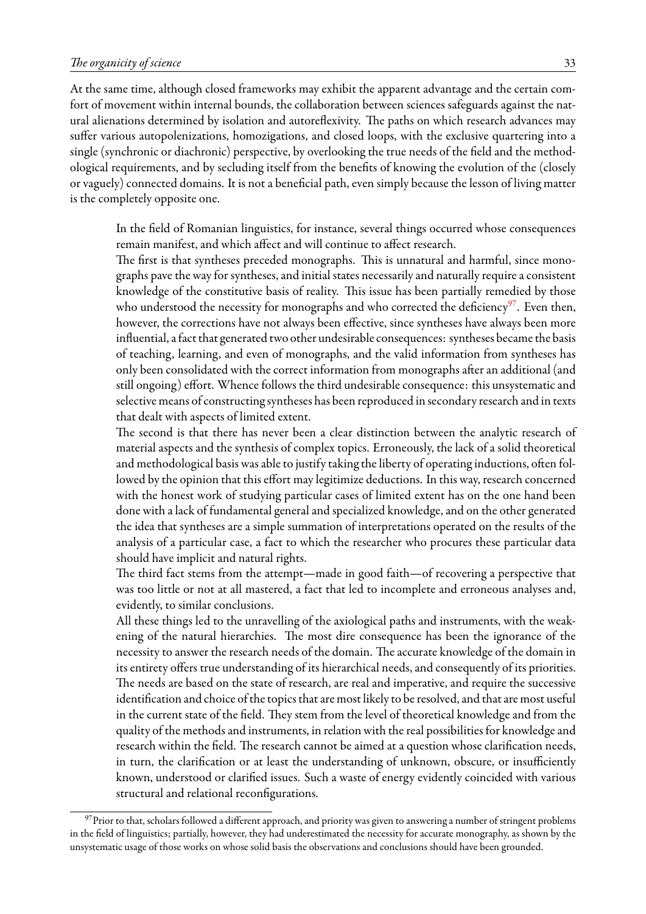At the same time, although closed frameworks may exhibit the apparent advantage and the certain comfort of movement within internal bounds, the collaboration between sciences safeguards against the natural alienations determined by isolation and autoreflexivity. The paths on which research advances may suffer various autopolenizations, homozigations, and closed loops, with the exclusive quartering into a single (synchronic or diachronic) perspective, by overlooking the true needs of the field and the methodological requirements, and by secluding itself from the benefits of knowing the evolution of the (closely or vaguely) connected domains. It is not a beneficial path, even simply because the lesson of living matter is the completely opposite one.

In the field of Romanian linguistics, for instance, several things occurred whose consequences remain manifest, and which affect and will continue to affect research.

The first is that syntheses preceded monographs. This is unnatural and harmful, since monographs pave the way for syntheses, and initial states necessarily and naturally require a consistent knowledge of the constitutive basis of reality. This issue has been partially remedied by those who understood the necessity for monographs and who corrected the deficiency<sup>[97](#page-32-0)</sup>. Even then, however, the corrections have not always been effective, since syntheses have always been more influential, afact that generated two other undesirable consequences: syntheses became the basis of teaching, learning, and even of monographs, and the valid information from syntheses has only been consolidated with the correct information from monographs after an additional (and still ongoing) effort. Whence follows the third undesirable consequence: this unsystematic and selective means of constructing syntheses has been reproduced in secondary research and in texts that dealt with aspects of limited extent.

The second is that there has never been a clear distinction between the analytic research of material aspects and the synthesis of complex topics. Erroneously, the lack of a solid theoretical and methodological basis was able to justify taking the liberty of operating inductions, often followed by the opinion that this effort may legitimize deductions. In this way, research concerned with the honest work of studying particular cases of limited extent has on the one hand been done with a lack of fundamental general and specialized knowledge, and on the other generated the idea that syntheses are a simple summation of interpretations operated on the results of the analysis of a particular case, a fact to which the researcher who procures these particular data should have implicit and natural rights.

The third fact stems from the attempt—made in good faith—of recovering a perspective that was too little or not at all mastered, a fact that led to incomplete and erroneous analyses and, evidently, to similar conclusions.

All these things led to the unravelling of the axiological paths and instruments, with the weakening of the natural hierarchies. The most dire consequence has been the ignorance of the necessity to answer the research needs of the domain. The accurate knowledge of the domain in its entirety offers true understanding of its hierarchical needs, and consequently of its priorities. The needs are based on the state of research, are real and imperative, and require the successive identification and choice of the topics that are most likely to be resolved, and that are most useful in the current state of the field. They stem from the level of theoretical knowledge and from the quality of the methods and instruments, in relation with the real possibilities for knowledge and research within the field. The research cannot be aimed at a question whose clarification needs, in turn, the clarification or at least the understanding of unknown, obscure, or insufficiently known, understood or clarified issues. Such a waste of energy evidently coincided with various structural and relational reconfigurations.

<span id="page-32-0"></span> $97$ Prior to that, scholars followed a different approach, and priority was given to answering a number of stringent problems in the field of linguistics; partially, however, they had underestimated the necessity for accurate monography, as shown by the unsystematic usage of those works on whose solid basis the observations and conclusions should have been grounded.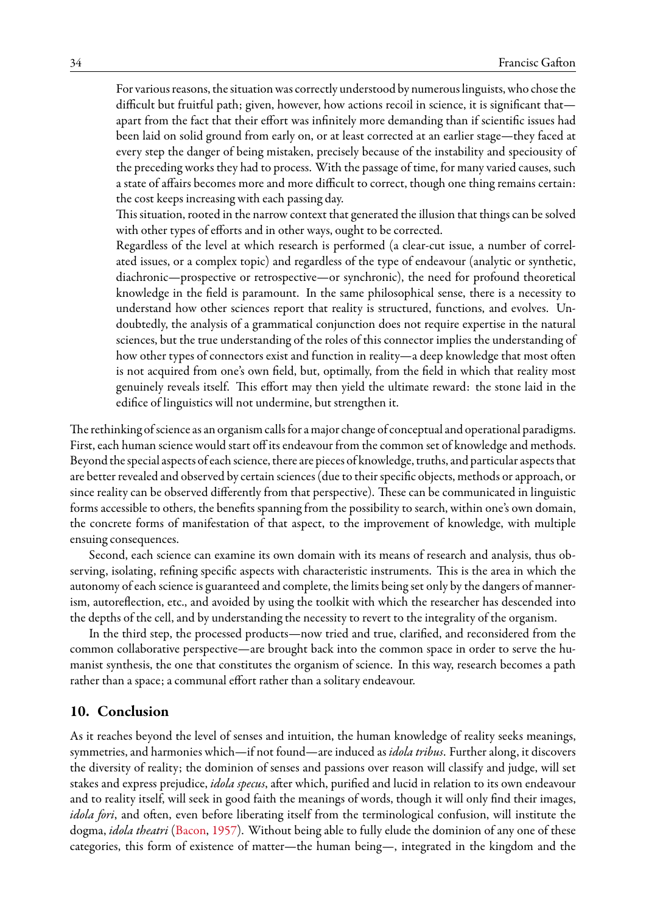For various reasons, the situation was correctly understood by numerous linguists, who chose the difficult but fruitful path; given, however, how actions recoil in science, it is significant that apart from the fact that their effort was infinitely more demanding than if scientific issues had been laid on solid ground from early on, or at least corrected at an earlier stage—they faced at every step the danger of being mistaken, precisely because of the instability and speciousity of the preceding works they had to process. With the passage of time, for many varied causes, such a state of affairs becomes more and more difficult to correct, though one thing remains certain: the cost keeps increasing with each passing day.

This situation, rooted in the narrow context that generated the illusion that things can be solved with other types of efforts and in other ways, ought to be corrected.

Regardless of the level at which research is performed (a clear-cut issue, a number of correlated issues, or a complex topic) and regardless of the type of endeavour (analytic or synthetic, diachronic—prospective or retrospective—or synchronic), the need for profound theoretical knowledge in the field is paramount. In the same philosophical sense, there is a necessity to understand how other sciences report that reality is structured, functions, and evolves. Undoubtedly, the analysis of a grammatical conjunction does not require expertise in the natural sciences, but the true understanding of the roles of this connector implies the understanding of how other types of connectors exist and function in reality—a deep knowledge that most often is not acquired from one's own field, but, optimally, from the field in which that reality most genuinely reveals itself. This effort may then yield the ultimate reward: the stone laid in the edifice of linguistics will not undermine, but strengthen it.

The rethinking of science as an organism calls for a major change of conceptual and operational paradigms. First, each human science would start off its endeavour from the common set of knowledge and methods. Beyond the special aspects of each science, there are pieces of knowledge, truths, and particular aspects that are better revealed and observed by certain sciences (due to their specific objects, methods or approach, or since reality can be observed differently from that perspective). These can be communicated in linguistic forms accessible to others, the benefits spanning from the possibility to search, within one's own domain, the concrete forms of manifestation of that aspect, to the improvement of knowledge, with multiple ensuing consequences.

Second, each science can examine its own domain with its means of research and analysis, thus observing, isolating, refining specific aspects with characteristic instruments. This is the area in which the autonomy of each science is guaranteed and complete, the limits being set only by the dangers of mannerism, autoreflection, etc., and avoided by using the toolkit with which the researcher has descended into the depths of the cell, and by understanding the necessity to revert to the integrality of the organism.

In the third step, the processed products—now tried and true, clarified, and reconsidered from the common collaborative perspective—are brought back into the common space in order to serve the humanist synthesis, the one that constitutes the organism of science. In this way, research becomes a path rather than a space; a communal effort rather than a solitary endeavour.

### <span id="page-33-0"></span>**10. Conclusion**

As it reaches beyond the level of senses and intuition, the human knowledge of reality seeks meanings, symmetries, and harmonies which—if not found—are induced as *idola tribus*. Further along, it discovers the diversity of reality; the dominion of senses and passions over reason will classify and judge, will set stakes and express prejudice, *idola specus*, after which, purified and lucid in relation to its own endeavour and to reality itself, will seek in good faith the meanings of words, though it will only find their images, *idola fori*, and often, even before liberating itself from the terminological confusion, will institute the dogma, *idola theatri* ([Bacon](#page-34-22), [1957](#page-34-22)). Without being able to fully elude the dominion of any one of these categories, this form of existence of matter—the human being—, integrated in the kingdom and the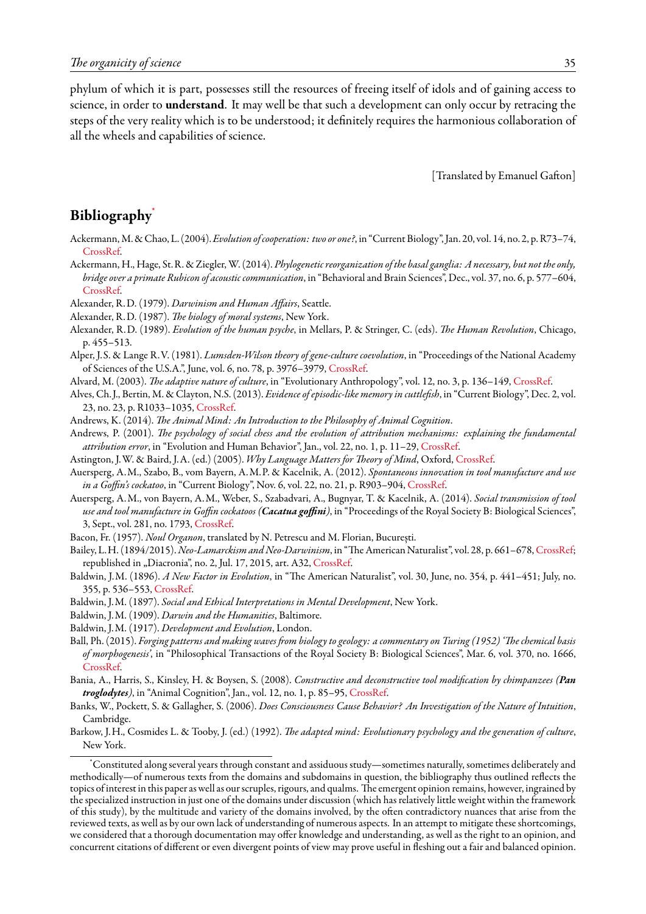phylum of which it is part, possesses still the resources of freeing itself of idols and of gaining access to science, in order to **understand**. It may well be that such a development can only occur by retracing the steps of the very reality which is to be understood; it definitely requires the harmonious collaboration of all the wheels and capabilities of science.

[Translated by Emanuel Gafton]

### <span id="page-34-0"></span>**Bibliography**[\\*](#page-34-23)

- <span id="page-34-4"></span>Ackermann, M. & Chao, L. (2004).*Evolution of cooperation: two or one?*, in "Current Biology", Jan. 20, vol. 14, no. 2, p. R73–74, [CrossRef.](http://dx.doi.org/10.1016/j.cub.2003.12.049)
- <span id="page-34-21"></span>Ackermann, H., Hage, St.R. & Ziegler, W. (2014). *Phylogenetic reorganization of the basal ganglia: A necessary, but not the only, bridge over a primate Rubicon of acoustic communication*, in "Behavioral and Brain Sciences", Dec., vol. 37, no. 6, p. 577–604, [CrossRef.](http://dx.doi.org/10.1017/S0140525X1400003X)
- <span id="page-34-2"></span>Alexander, R.D. (1979). *Darwinism and Human Affairs*, Seattle.
- <span id="page-34-11"></span><span id="page-34-3"></span>Alexander, R.D. (1987). *The biology of moral systems*, New York.
- Alexander, R.D. (1989). *Evolution of the human psyche*, in Mellars, P. & Stringer, C. (eds). *The Human Revolution*, Chicago, p. 455–513.
- <span id="page-34-16"></span>Alper, J.S. & Lange R.V. (1981). *Lumsden-Wilson theory of gene-culture coevolution*, in "Proceedings of the National Academy of Sciences of the U.S.A.", June, vol. 6, no. 78, p. 3976–3979, [CrossRef](http://dx.doi.org/10.1073/pnas.78.6.3976).
- <span id="page-34-18"></span>Alvard, M. (2003). *The adaptive nature of culture*, in "Evolutionary Anthropology", vol. 12, no. 3, p. 136–149, [CrossRef.](http://dx.doi.org/10.1002/evan.10109)
- <span id="page-34-7"></span>Alves, Ch. J., Bertin, M. & Clayton, N.S. (2013). *Evidence of episodic-like memory in cuttlefish*, in "Current Biology", Dec. 2, vol. 23, no. 23, p. R1033–1035, [CrossRef](http://dx.doi.org/10.1016/j.cub.2013.10.021).
- <span id="page-34-12"></span>Andrews, K. (2014). *The Animal Mind: An Introduction to the Philosophy of Animal Cognition*.
- <span id="page-34-20"></span>Andrews, P. (2001). *The psychology of social chess and the evolution of attribution mechanisms: explaining the fundamental attribution error*, in "Evolution and Human Behavior", Jan., vol. 22, no. 1, p. 11–29, [CrossRef](http://dx.doi.org/10.1016/S1090-5138(00)00059-3).
- <span id="page-34-13"></span><span id="page-34-8"></span>Astington, J.W. & Baird, J.A. (ed.) (2005). *Why Language Matters for Theory of Mind*, Oxford, [CrossRef](http://dx.doi.org/10.1093/acprof:oso/9780195159912.001.0001).
- Auersperg, A.M., Szabo, B., vom Bayern, A.M.P. & Kacelnik, A. (2012). *Spontaneous innovation in tool manufacture and use in a Goffin's cockatoo*, in "Current Biology", Nov. 6, vol. 22, no. 21, p. R903–904, [CrossRef](http://dx.doi.org/10.1016/j.cub.2012.09.002).
- <span id="page-34-9"></span>Auersperg, A.M., von Bayern, A.M., Weber, S., Szabadvari, A., Bugnyar, T. & Kacelnik, A. (2014). *Social transmission of tool use and tool manufacture in Goffin cockatoos (Cacatua goffini)*, in "Proceedings of the Royal Society B: Biological Sciences", 3, Sept., vol. 281, no. 1793, [CrossRef.](http://dx.doi.org/10.1098/rspb.2014.0972)
- <span id="page-34-22"></span>Bacon, Fr. (1957). *Noul Organon*, translated by N. Petrescu and M. Florian, București.
- <span id="page-34-15"></span>Bailey, L.H. (1894/2015).*Neo-Lamarckism and Neo-Darwinism*, in "The American Naturalist", vol. 28, p. 661–678, [CrossRef](http://dx.doi.org/10.1086/275987); republished in "Diacronia", no. 2, Jul. 17, 2015, art. A32, [CrossRef](http://dx.doi.org/10.17684/i2A32en).
- <span id="page-34-17"></span>Baldwin, J.M. (1896). *A New Factor in Evolution*, in "The American Naturalist", vol. 30, June, no. 354, p. 441–451; July, no. 355, p. 536–553, [CrossRef.](http://dx.doi.org/10.1086/276408)
- <span id="page-34-19"></span>Baldwin, J.M. (1897). *Social and Ethical Interpretations in Mental Development*, New York.
- <span id="page-34-5"></span>Baldwin, J.M. (1909). *Darwin and the Humanities*, Baltimore.
- Baldwin, J.M. (1917). *Development and Evolution*, London.
- <span id="page-34-1"></span>Ball, Ph. (2015). *Forging patterns and making waves from biology to geology: a commentary on Turing (1952) 'The chemical basis of morphogenesis'*, in "Philosophical Transactions of the Royal Society B: Biological Sciences", Mar. 6, vol. 370, no. 1666, [CrossRef.](http://dx.doi.org/10.1098/rstb.2014.0218)
- <span id="page-34-10"></span>Bania, A., Harris, S., Kinsley, H. & Boysen, S. (2008). *Constructive and deconstructive tool modification by chimpanzees (Pan troglodytes)*, in "Animal Cognition", Jan., vol. 12, no. 1, p. 85–95, [CrossRef](http://dx.doi.org/10.1007/s10071-008-0173-0).
- <span id="page-34-14"></span>Banks, W., Pockett, S. & Gallagher, S. (2006). *Does Consciousness Cause Behavior? An Investigation of the Nature of Intuition*, Cambridge.
- <span id="page-34-6"></span>Barkow, J.H., Cosmides L. & Tooby, J. (ed.) (1992). *The adapted mind: Evolutionary psychology and the generation of culture*, New York.

<span id="page-34-23"></span><sup>\*</sup>Constituted along several years through constant and assiduous study—sometimes naturally, sometimes deliberately and methodically—of numerous texts from the domains and subdomains in question, the bibliography thus outlined reflects the topics of interest in this paper as well as our scruples, rigours, and qualms. The emergent opinion remains, however, ingrained by the specialized instruction in just one of the domains under discussion (which has relatively little weight within the framework of this study), by the multitude and variety of the domains involved, by the often contradictory nuances that arise from the reviewed texts, as well as by our own lack of understanding of numerous aspects. In an attempt to mitigate these shortcomings, we considered that a thorough documentation may offer knowledge and understanding, as well as the right to an opinion, and concurrent citations of different or even divergent points of view may prove useful in fleshing out a fair and balanced opinion.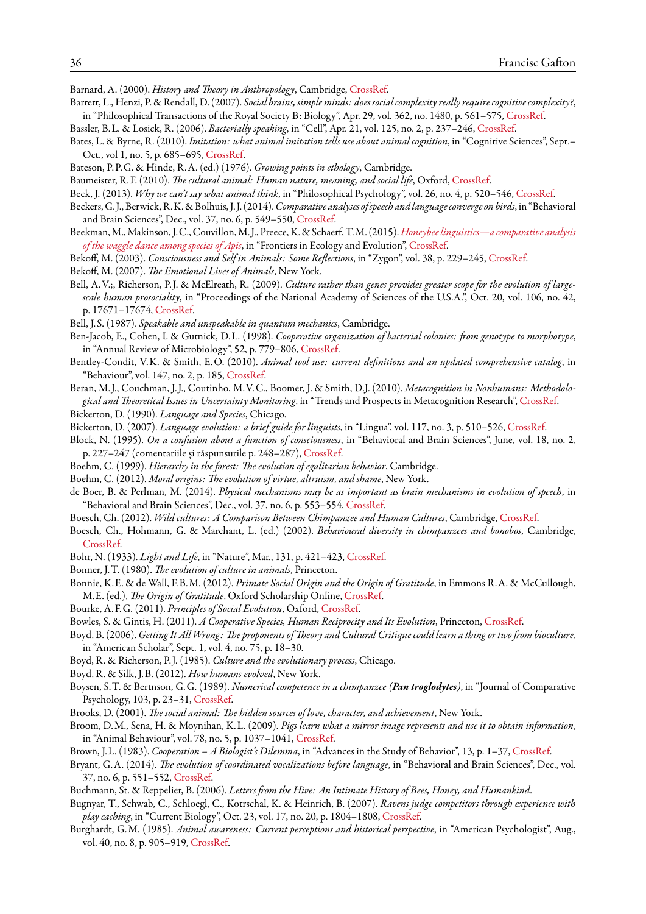<span id="page-35-32"></span>Barnard, A. (2000). *History and Theory in Anthropology*, Cambridge, [CrossRef.](http://dx.doi.org/10.1017/CBO9780511808111)

- <span id="page-35-25"></span>Barrett, L., Henzi, P. & Rendall, D. (2007). *Social brains, simple minds: does social complexity really require cognitive complexity?*, in "Philosophical Transactions of the Royal Society B: Biology", Apr. 29, vol. 362, no. 1480, p. 561–575, [CrossRef](http://dx.doi.org/10.1098/rstb.2006.1995).
- <span id="page-35-2"></span>Bassler, B.L. & Losick, R. (2006). *Bacterially speaking*, in "Cell", Apr. 21, vol. 125, no. 2, p. 237–246, [CrossRef](http://dx.doi.org/10.1016/j.cell.2006.04.001).
- <span id="page-35-31"></span>Bates, L. & Byrne, R. (2010). *Imitation: what animal imitation tells use about animal cognition*, in "Cognitive Sciences", Sept.– Oct., vol 1, no. 5, p. 685–695, [CrossRef](http://dx.doi.org/10.1002/wcs.77).
- <span id="page-35-10"></span>Bateson, P.P.G. & Hinde, R.A. (ed.) (1976). *Growing points in ethology*, Cambridge.
- <span id="page-35-17"></span>Baumeister, R.F. (2010). *The cultural animal: Human nature, meaning, and social life*, Oxford, [CrossRef](http://dx.doi.org/10.1093/acprof:oso/9780195167030.001.0001).
- <span id="page-35-21"></span>Beck, J. (2013). *Why we can't say what animal think*, in "Philosophical Psychology", vol. 26, no. 4, p. 520–546, [CrossRef](http://dx.doi.org/10.1080/09515089.2012.670922).
- <span id="page-35-35"></span>Beckers, G. J., Berwick, R.K. & Bolhuis, J. J. (2014).*Comparative analyses ofspeech and language converge on birds*, in "Behavioral and Brain Sciences", Dec., vol. 37, no. 6, p. 549–550, [CrossRef.](http://dx.doi.org/10.1017/S0140525X13003956)
- <span id="page-35-22"></span>Beekman,M.,Makinson, J.C., Couvillon,M. J., Preece, K. & Schaerf, T.M. (2015).*[Honeybee linguistics—a comparative analysis](https://www.researchgate.net/publication/272493732) [of the waggle dance among species of Apis](https://www.researchgate.net/publication/272493732)*, in "Frontiers in Ecology and Evolution", [CrossRef](http://dx.doi.org/10.3389/fevo.2015.00011).
- <span id="page-35-15"></span>Bekoff, M. (2003). *Consciousness and Self in Animals: Some Reflections*, in "Zygon", vol. 38, p. 229–245, [CrossRef.](http://dx.doi.org/10.1111/1467-9744.00497)
- <span id="page-35-16"></span>Bekoff, M. (2007). *The Emotional Lives of Animals*, New York.
- <span id="page-35-27"></span>Bell, A.V.;, Richerson, P. J. & McElreath, R. (2009). *Culture rather than genes provides greater scope for the evolution of largescale human prosociality*, in "Proceedings of the National Academy of Sciences of the U.S.A.", Oct. 20, vol. 106, no. 42, p. 17671–17674, [CrossRef](http://dx.doi.org/10.1073/pnas.0903232106).
- <span id="page-35-3"></span>Bell, J.S. (1987). *Speakable and unspeakable in quantum mechanics*, Cambridge.
- <span id="page-35-1"></span>Ben-Jacob, E., Cohen, I. & Gutnick, D.L. (1998). *Cooperative organization of bacterial colonies: from genotype to morphotype*, in "Annual Review of Microbiology", 52, p. 779–806, [CrossRef.](http://dx.doi.org/10.1146/annurev.micro.52.1.779)
- <span id="page-35-7"></span>Bentley-Condit, V.K. & Smith, E.O. (2010). *Animal tool use: current definitions and an updated comprehensive catalog*, in "Behaviour", vol. 147, no. 2, p. 185, [CrossRef](http://dx.doi.org/10.1163/000579509X12512865686555).
- <span id="page-35-8"></span>Beran, M. J., Couchman, J. J., Coutinho, M.V.C., Boomer, J. & Smith, D.J. (2010). *Metacognition in Nonhumans: Methodological and Theoretical Issues in Uncertainty Monitoring*, in "Trends and Prospects in Metacognition Research", [CrossRef](http://dx.doi.org/10.1007/978-1-4419-6546-2_2). Bickerton, D. (1990). *Language and Species*, Chicago.
- <span id="page-35-34"></span>Bickerton, D. (2007). *Language evolution: a brief guide for linguists*, in "Lingua", vol. 117, no. 3, p. 510–526, [CrossRef](http://dx.doi.org/10.1016/j.lingua.2005.02.006).
- <span id="page-35-24"></span>Block, N. (1995). *On a confusion about a function of consciousness*, in "Behavioral and Brain Sciences", June, vol. 18, no. 2, p. 227–247 (comentariile și răspunsurile p. 248–287), [CrossRef](http://dx.doi.org/10.1017/S0140525X00038188).
- <span id="page-35-12"></span>Boehm, C. (1999). *Hierarchy in the forest: The evolution of egalitarian behavior*, Cambridge.
- <span id="page-35-13"></span>Boehm, C. (2012). *Moral origins: The evolution of virtue, altruism, and shame*, New York.
- <span id="page-35-37"></span>de Boer, B. & Perlman, M. (2014). *Physical mechanisms may be as important as brain mechanisms in evolution of speech*, in "Behavioral and Brain Sciences", Dec., vol. 37, no. 6, p. 553–554, [CrossRef](http://dx.doi.org/10.1017/S0140525X13004007).
- <span id="page-35-4"></span>Boesch, Ch. (2012). *Wild cultures: A Comparison Between Chimpanzee and Human Cultures*, Cambridge, [CrossRef](http://dx.doi.org/10.1017/CBO9781139178532).
- <span id="page-35-30"></span>Boesch, Ch., Hohmann, G. & Marchant, L. (ed.) (2002). *Behavioural diversity in chimpanzees and bonobos*, Cambridge, [CrossRef.](http://dx.doi.org/10.1017/CBO9780511606397)
- <span id="page-35-23"></span>Bohr, N. (1933). *Light and Life*, in "Nature", Mar., 131, p. 421–423, [CrossRef](http://dx.doi.org/10.1038/131421a0).
- <span id="page-35-9"></span>Bonner, J.T. (1980). *The evolution of culture in animals*, Princeton.
- <span id="page-35-20"></span>Bonnie, K.E. & de Wall, F.B.M. (2012). *Primate Social Origin and the Origin of Gratitude*, in Emmons R.A. & McCullough, M.E. (ed.), *The Origin of Gratitude*, Oxford Scholarship Online, [CrossRef.](http://dx.doi.org/10.1093/acprof:oso/9780195150100.001.0001)
- <span id="page-35-18"></span>Bourke, A.F.G. (2011). *Principles of Social Evolution*, Oxford, [CrossRef.](http://dx.doi.org/10.1093/acprof:oso/9780199231157.001.0001)
- <span id="page-35-19"></span>Bowles, S. & Gintis, H. (2011). *A Cooperative Species, Human Reciprocity and Its Evolution*, Princeton, [CrossRef.](http://dx.doi.org/10.1515/9781400838837)
- <span id="page-35-29"></span>Boyd, B. (2006).*Getting It All Wrong: The proponents of Theory and Cultural Critique could learn a thing or two from bioculture*, in "American Scholar", Sept. 1, vol. 4, no. 75, p. 18–30.
- <span id="page-35-33"></span>Boyd, R. & Richerson, P. J. (1985). *Culture and the evolutionary process*, Chicago.
- <span id="page-35-28"></span>Boyd, R. & Silk, J.B. (2012). *How humans evolved*, New York.
- Boysen, S.T. & Bertnson, G.G. (1989). *Numerical competence in a chimpanzee (Pan troglodytes)*, in "Journal of Comparative Psychology, 103, p. 23–31, [CrossRef](http://dx.doi.org/10.1037/0735-7036.103.1.23).
- <span id="page-35-14"></span>Brooks, D. (2001). *The social animal: The hidden sources of love, character, and achievement*, New York.
- <span id="page-35-26"></span>Broom, D.M., Sena, H. & Moynihan, K.L. (2009). *Pigs learn what a mirror image represents and use it to obtain information*, in "Animal Behaviour", vol. 78, no. 5, p. 1037–1041, [CrossRef](http://dx.doi.org/10.1016/j.anbehav.2009.07.027).
- <span id="page-35-36"></span><span id="page-35-0"></span>Brown, J.L. (1983). *Cooperation – A Biologist's Dilemma*, in "Advances in the Study of Behavior", 13, p. 1–37, [CrossRef.](http://dx.doi.org/10.1016/S0065-3454(08)60284-3)
- Bryant, G.A. (2014). *The evolution of coordinated vocalizations before language*, in "Behavioral and Brain Sciences", Dec., vol. 37, no. 6, p. 551–552, [CrossRef.](http://dx.doi.org/10.1017/S0140525X1300397X)
- <span id="page-35-5"></span>Buchmann, St. & Reppelier, B. (2006). *Letters from the Hive: An Intimate History of Bees, Honey, and Humankind*.
- <span id="page-35-6"></span>Bugnyar, T., Schwab, C., Schloegl, C., Kotrschal, K. & Heinrich, B. (2007). *Ravens judge competitors through experience with play caching*, in "Current Biology", Oct. 23, vol. 17, no. 20, p. 1804–1808, [CrossRef.](http://dx.doi.org/10.1016/j.cub.2007.09.048)
- <span id="page-35-11"></span>Burghardt, G.M. (1985). *Animal awareness: Current perceptions and historical perspective*, in "American Psychologist", Aug., vol. 40, no. 8, p. 905–919, [CrossRef](http://dx.doi.org/10.1037/0003-066x.40.8.905).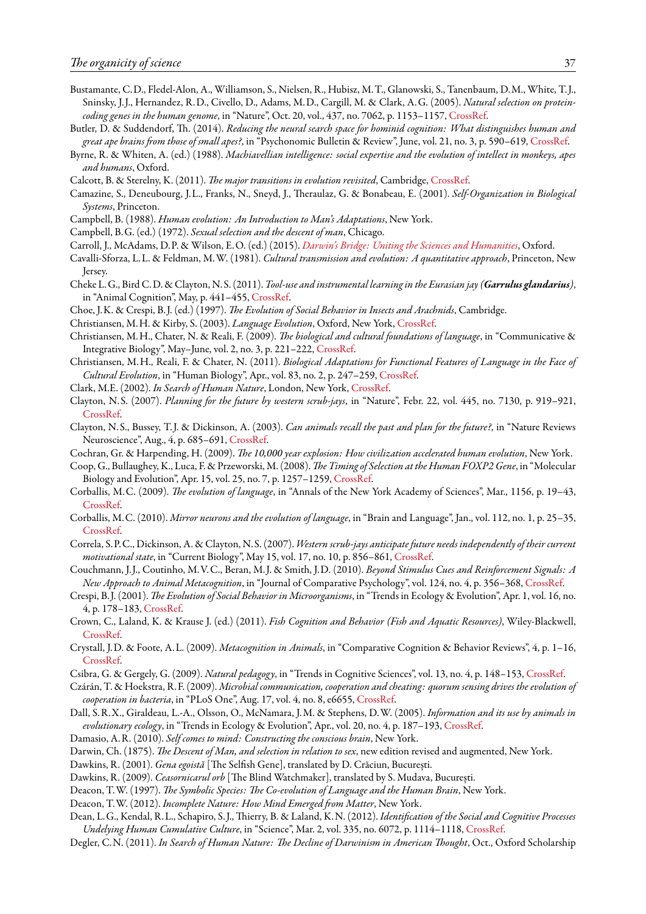- <span id="page-36-34"></span>Bustamante, C.D., Fledel-Alon, A., Williamson, S., Nielsen, R., Hubisz, M.T., Glanowski, S., Tanenbaum, D.M., White, T. J., Sninsky, J. J., Hernandez, R.D., Civello, D., Adams, M.D., Cargill, M. & Clark, A.G. (2005). *Natural selection on proteincoding genes in the human genome*, in "Nature", Oct. 20, vol., 437, no. 7062, p. 1153–1157, [CrossRef](http://dx.doi.org/10.1038/nature04240).
- <span id="page-36-27"></span>Butler, D. & Suddendorf, Th. (2014). *Reducing the neural search space for hominid cognition: What distinguishes human and great ape brains from those of small apes?*, in "Psychonomic Bulletin & Review", June, vol. 21, no. 3, p. 590–619, [CrossRef](http://dx.doi.org/10.3758/s13423-013-0559-0).
- <span id="page-36-17"></span>Byrne, R. & Whiten, A. (ed.) (1988). *Machiavellian intelligence: social expertise and the evolution of intellect in monkeys, apes and humans*, Oxford.
- <span id="page-36-23"></span>Calcott, B. & Sterelny, K. (2011). *The major transitions in evolution revisited*, Cambridge, [CrossRef](http://dx.doi.org/10.7551/mitpress/9780262015240.001.0001).
- <span id="page-36-1"></span>Camazine, S., Deneubourg, J.L., Franks, N., Sneyd, J., Theraulaz, G. & Bonabeau, E. (2001). *Self-Organization in Biological Systems*, Princeton.
- <span id="page-36-24"></span>Campbell, B. (1988). *Human evolution: An Introduction to Man's Adaptations*, New York.
- Campbell, B.G. (ed.) (1972). *Sexual selection and the descent of man*, Chicago.
- <span id="page-36-5"></span>Carroll, J., McAdams, D.P. & Wilson, E.O. (ed.) (2015). *[Darwin's Bridge: Uniting the Sciences and Humanities](https://www.academia.edu/9898810/Darwins_Bridge_Uniting_the_Sciences_and_Humanities_edited_by_Joseph_Carroll_Dan_P._McAdams_and_Edward_O._Wilson)*, Oxford.
- <span id="page-36-29"></span>Cavalli-Sforza, L.L. & Feldman, M.W. (1981). *Cultural transmission and evolution: A quantitative approach*, Princeton, New Jersey.
- <span id="page-36-13"></span>Cheke L.G., Bird C.D. & Clayton, N.S. (2011). *Tool-use and instrumental learning in the Eurasian jay (Garrulus glandarius)*, in "Animal Cognition", May, p. 441–455, [CrossRef](http://dx.doi.org/10.1007/s10071-011-0379-4).
- <span id="page-36-0"></span>Choe, J.K. & Crespi, B. J. (ed.) (1997). *The Evolution of Social Behavior in Insects and Arachnids*, Cambridge.
- <span id="page-36-31"></span>Christiansen, M.H. & Kirby, S. (2003). *Language Evolution*, Oxford, New York, [CrossRef](http://dx.doi.org/10.1093/acprof:oso/9780199244843.001.0001).
- <span id="page-36-25"></span>Christiansen, M.H., Chater, N. & Reali, F. (2009). *The biological and cultural foundations of language*, in "Communicative & Integrative Biology", May–June, vol. 2, no. 3, p. 221–222, [CrossRef](http://dx.doi.org/10.4161/cib.2.3.8034).
- <span id="page-36-26"></span>Christiansen, M.H., Reali, F. & Chater, N. (2011). *Biological Adaptations for Functional Features of Language in the Face of Cultural Evolution*, in "Human Biology", Apr., vol. 83, no. 2, p. 247–259, [CrossRef](http://dx.doi.org/10.3378/027.083.0206).
- <span id="page-36-28"></span>Clark, M.E. (2002). *In Search of Human Nature*, London, New York, [CrossRef](http://dx.doi.org/10.4324/9780203987131).
- <span id="page-36-9"></span>Clayton, N.S. (2007). *Planning for the future by western scrub-jays*, in "Nature", Febr. 22, vol. 445, no. 7130, p. 919–921, [CrossRef.](http://dx.doi.org/10.1038/nature05575)
- <span id="page-36-15"></span>Clayton, N.S., Bussey, T. J. & Dickinson, A. (2003). *Can animals recall the past and plan for the future?*, in "Nature Reviews Neuroscience", Aug., 4, p. 685–691, [CrossRef.](http://dx.doi.org/10.1038/nrn1180)
- <span id="page-36-21"></span>Cochran, Gr. & Harpending, H. (2009). *The 10,000 year explosion: How civilization accelerated human evolution*, New York.
- <span id="page-36-35"></span>Coop, G., Bullaughey, K., Luca, F. & Przeworski, M. (2008).*The Timing of Selection at the Human FOXP2 Gene*, in "Molecular Biology and Evolution", Apr. 15, vol. 25, no. 7, p. 1257–1259, [CrossRef](http://dx.doi.org/10.1093/molbev/msn091).
- <span id="page-36-32"></span>Corballis, M.C. (2009). *The evolution of language*, in "Annals of the New York Academy of Sciences", Mar., 1156, p. 19–43, [CrossRef.](http://dx.doi.org/10.1111/j.1749-6632.2009.04423.x)
- <span id="page-36-33"></span>Corballis, M.C. (2010). *Mirror neurons and the evolution of language*, in "Brain and Language", Jan., vol. 112, no. 1, p. 25–35, [CrossRef.](http://dx.doi.org/10.1016/j.bandl.2009.02.002)
- <span id="page-36-16"></span>Correla, S.P.C., Dickinson, A. & Clayton, N.S. (2007). *Western scrub-jays anticipate future needs independently of their current motivational state*, in "Current Biology", May 15, vol. 17, no. 10, p. 856–861, [CrossRef.](http://dx.doi.org/10.1016/j.cub.2007.03.063)
- <span id="page-36-18"></span>Couchmann, J. J., Coutinho, M.V.C., Beran, M. J. & Smith, J.D. (2010). *Beyond Stimulus Cues and Reinforcement Signals: A New Approach to Animal Metacognition*, in "Journal of Comparative Psychology", vol. 124, no. 4, p. 356–368, [CrossRef](http://dx.doi.org/10.1037/a0020129).
- <span id="page-36-2"></span>Crespi, B. J. (2001). *The Evolution of Social Behavior in Microorganisms*, in "Trends in Ecology & Evolution", Apr. 1, vol. 16, no. 4, p. 178–183, [CrossRef.](http://dx.doi.org/10.1016/S0169-5347(01)02115-2)
- <span id="page-36-10"></span>Crown, C., Laland, K. & Krause J. (ed.) (2011). *Fish Cognition and Behavior (Fish and Aquatic Resources)*, Wiley-Blackwell, [CrossRef.](http://dx.doi.org/10.1002/9781444342536)
- <span id="page-36-30"></span>Crystall, J.D. & Foote, A.L. (2009). *Metacognition in Animals*, in "Comparative Cognition & Behavior Reviews", 4, p. 1–16, [CrossRef.](http://dx.doi.org/10.3819/ccbr.2009.40001)
- <span id="page-36-12"></span>Csibra, G. & Gergely, G. (2009). *Natural pedagogy*, in "Trends in Cognitive Sciences", vol. 13, no. 4, p. 148–153, [CrossRef](http://dx.doi.org/10.1016/j.tics.2009.01.005).
- <span id="page-36-3"></span>Czárán, T. & Hoekstra, R.F. (2009). *Microbial communication, cooperation and cheating: quorum sensing drives the evolution of cooperation in bacteria*, in "PLoS One", Aug. 17, vol. 4, no. 8, e6655, [CrossRef](http://dx.doi.org/10.1371/journal.pone.0006655).
- <span id="page-36-11"></span>Dall, S.R.X., Giraldeau, L.-A., Olsson, O., McNamara, J.M. & Stephens, D.W. (2005). *Information and its use by animals in evolutionary ecology*, in "Trends in Ecology & Evolution", Apr., vol. 20, no. 4, p. 187–193, [CrossRef.](http://dx.doi.org/10.1016/j.tree.2005.01.010)
- <span id="page-36-22"></span>Damasio, A.R. (2010). *Self comes to mind: Constructing the conscious brain*, New York.
- <span id="page-36-14"></span>Darwin, Ch. (1875). *The Descent of Man, and selection in relation to sex*, new edition revised and augmented, New York.
- <span id="page-36-6"></span>Dawkins, R. (2001). *Gena egoistă* [The Selfish Gene], translated by D. Crăciun, București.
- <span id="page-36-7"></span>Dawkins, R. (2009). *Ceasornicarul orb* [The Blind Watchmaker], translated by S. Mudava, București.
- <span id="page-36-19"></span>Deacon, T.W. (1997). *The Symbolic Species: The Co-evolution of Language and the Human Brain*, New York.
- <span id="page-36-4"></span>Deacon, T.W. (2012). *Incomplete Nature: How Mind Emerged from Matter*, New York.
- <span id="page-36-20"></span>Dean, L.G., Kendal, R.L., Schapiro, S. J., Thierry, B. & Laland, K.N. (2012). *Identification of the Social and Cognitive Processes Undelying Human Cumulative Culture*, in "Science", Mar. 2, vol. 335, no. 6072, p. 1114–1118, [CrossRef.](http://dx.doi.org/10.1126/science.1213969)
- <span id="page-36-8"></span>Degler, C.N. (2011). *In Search of Human Nature: The Decline of Darwinism in American Thought*, Oct., Oxford Scholarship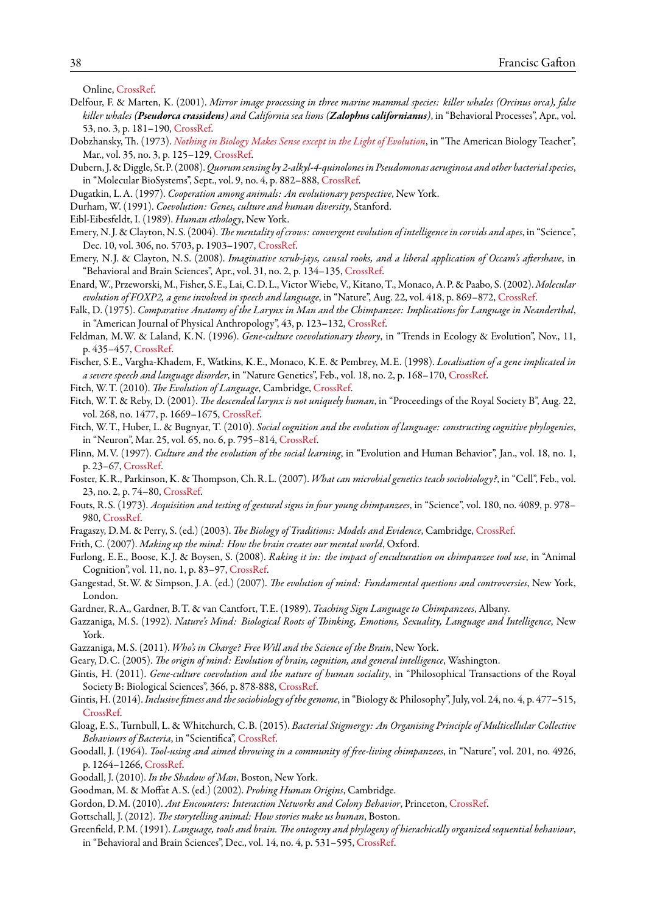Online, [CrossRef.](http://dx.doi.org/10.1093/acprof:oso/9780195077070.001.0001)

- <span id="page-37-21"></span>Delfour, F. & Marten, K. (2001). *Mirror image processing in three marine mammal species: killer whales (Orcinus orca), false killer whales (Pseudorca crassidens) and California sea lions (Zalophus californianus)*, in "Behavioral Processes", Apr., vol. 53, no. 3, p. 181–190, [CrossRef.](http://dx.doi.org/10.1016/S0376-6357(01)00134-6)
- Dobzhansky, Th. (1973). *[Nothing in Biology Makes Sense except in the Light of Evolution](http://www.2think.org/dobzhansky.shtml)*, in "The American Biology Teacher", Mar., vol. 35, no. 3, p. 125–129, [CrossRef.](http://dx.doi.org/10.2307/4444260)
- <span id="page-37-1"></span>Dubern, J. & Diggle, St.P. (2008).*Quorum sensing by 2-alkyl-4-quinolones in Pseudomonas aeruginosa and other bacterial species*, in "Molecular BioSystems", Sept., vol. 9, no. 4, p. 882–888, [CrossRef.](http://dx.doi.org/10.1039/b803796p)
- <span id="page-37-13"></span>Dugatkin, L.A. (1997). *Cooperation among animals: An evolutionary perspective*, New York.
- <span id="page-37-22"></span>Durham, W. (1991). *Coevolution: Genes, culture and human diversity*, Stanford.
- <span id="page-37-12"></span>Eibl-Eibesfeldt, I. (1989). *Human ethology*, New York.
- <span id="page-37-10"></span>Emery, N. J. & Clayton, N.S. (2004). *The mentality of crows: convergent evolution of intelligence in corvids and apes*, in "Science", Dec. 10, vol. 306, no. 5703, p. 1903–1907, [CrossRef](http://dx.doi.org/10.1126/science.1098410).
- <span id="page-37-5"></span>Emery, N. J. & Clayton, N.S. (2008). *Imaginative scrub-jays, causal rooks, and a liberal application of Occam's aftershave*, in "Behavioral and Brain Sciences", Apr., vol. 31, no. 2, p. 134–135, [CrossRef](http://dx.doi.org/10.1017/S0140525X08003609).
- <span id="page-37-32"></span>Enard,W., Przeworski, M., Fisher, S.E., Lai, C.D.L., VictorWiebe, V., Kitano, T., Monaco, A.P. & Paabo, S. (2002). *Molecular evolution of FOXP2, a gene involved in speech and language*, in "Nature", Aug. 22, vol. 418, p. 869–872, [CrossRef](http://dx.doi.org/10.1038/nature01025).
- <span id="page-37-30"></span>Falk, D. (1975). *Comparative Anatomy of the Larynx in Man and the Chimpanzee: Implications for Language in Neanderthal*, in "American Journal of Physical Anthropology", 43, p. 123–132, [CrossRef.](http://dx.doi.org/10.1002/ajpa.1330430116)
- <span id="page-37-23"></span>Feldman, M.W. & Laland, K.N. (1996). *Gene-culture coevolutionary theory*, in "Trends in Ecology & Evolution", Nov., 11, p. 435–457, [CrossRef](http://dx.doi.org/10.1016/0169-5347(96)10052-5).
- <span id="page-37-31"></span>Fischer, S.E., Vargha-Khadem, F., Watkins, K.E., Monaco, K.E. & Pembrey, M.E. (1998). *Localisation of a gene implicated in a severe speech and language disorder*, in "Nature Genetics", Feb., vol. 18, no. 2, p. 168–170, [CrossRef](http://dx.doi.org/10.1038/ng0298-168).
- <span id="page-37-16"></span>Fitch, W.T. (2010). *The Evolution of Language*, Cambridge, [CrossRef](http://dx.doi.org/10.1017/cbo9780511817779).
- <span id="page-37-29"></span>Fitch, W.T. & Reby, D. (2001). *The descended larynx is not uniquely human*, in "Proceedings of the Royal Society B", Aug. 22, vol. 268, no. 1477, p. 1669–1675, [CrossRef](http://dx.doi.org/10.1098/rspb.2001.1704).
- Fitch, W.T., Huber, L. & Bugnyar, T. (2010). *Social cognition and the evolution of language: constructing cognitive phylogenies*, in "Neuron", Mar. 25, vol. 65, no. 6, p. 795–814, [CrossRef.](http://dx.doi.org/10.1016/j.neuron.2010.03.011)
- <span id="page-37-0"></span>Flinn, M.V. (1997). *Culture and the evolution of the social learning*, in "Evolution and Human Behavior", Jan., vol. 18, no. 1, p. 23–67, [CrossRef](http://dx.doi.org/10.1016/S1090-5138(96)00046-3).
- <span id="page-37-3"></span>Foster, K.R., Parkinson, K. & Thompson, Ch.R.L. (2007). *What can microbial genetics teach sociobiology?*, in "Cell", Feb., vol. 23, no. 2, p. 74–80, [CrossRef.](http://dx.doi.org/10.1016/j.tig.2006.12.003)
- <span id="page-37-8"></span>Fouts, R.S. (1973). *Acquisition and testing of gestural signs in four young chimpanzees*, in "Science", vol. 180, no. 4089, p. 978– 980, [CrossRef](http://dx.doi.org/10.1126/science.180.4089.978).
- <span id="page-37-15"></span>Fragaszy, D.M. & Perry, S. (ed.) (2003). *The Biology of Traditions: Models and Evidence*, Cambridge, [CrossRef](http://dx.doi.org/10.1017/cbo9780511584022).
- <span id="page-37-26"></span><span id="page-37-9"></span>Frith, C. (2007). *Making up the mind: How the brain creates our mental world*, Oxford.
- Furlong, E.E., Boose, K. J. & Boysen, S. (2008). *Raking it in: the impact of enculturation on chimpanzee tool use*, in "Animal Cognition", vol. 11, no. 1, p. 83–97, [CrossRef.](http://dx.doi.org/10.1007/s10071-007-0091-6)
- <span id="page-37-14"></span>Gangestad, St.W. & Simpson, J.A. (ed.) (2007). *The evolution of mind: Fundamental questions and controversies*, New York, London.
- <span id="page-37-11"></span>Gardner, R.A., Gardner, B.T. & van Cantfort, T.E. (1989). *Teaching Sign Language to Chimpanzees*, Albany.
- <span id="page-37-27"></span>Gazzaniga, M.S. (1992). *Nature's Mind: Biological Roots of Thinking, Emotions, Sexuality, Language and Intelligence*, New York.
- <span id="page-37-18"></span>Gazzaniga, M.S. (2011). *Who's in Charge? Free Will and the Science of the Brain*, New York.
- <span id="page-37-19"></span>Geary, D.C. (2005). *The origin of mind: Evolution of brain, cognition, and general intelligence*, Washington.
- <span id="page-37-24"></span>Gintis, H. (2011). *Gene-culture coevolution and the nature of human sociality*, in "Philosophical Transactions of the Royal Society B: Biological Sciences", 366, p. 878-888, [CrossRef](http://dx.doi.org/10.1098/rstb.2010.0310).
- <span id="page-37-25"></span>Gintis, H. (2014).*Inclusive fitness and the sociobiology of the genome*, in "Biology & Philosophy", July, vol. 24, no. 4, p. 477–515, [CrossRef.](http://dx.doi.org/10.1007/s10539-013-9404-0)
- <span id="page-37-2"></span>Gloag, E.S., Turnbull, L. & Whitchurch, C.B. (2015). *Bacterial Stigmergy: An Organising Principle of Multicellular Collective Behaviours of Bacteria*, in "Scientifica", [CrossRef.](http://dx.doi.org/10.1155/2015/387342)
- <span id="page-37-6"></span>Goodall, J. (1964). *Tool-using and aimed throwing in a community of free-living chimpanzees*, in "Nature", vol. 201, no. 4926, p. 1264–1266, [CrossRef.](http://dx.doi.org/10.1038/2011264a0)
- <span id="page-37-7"></span>Goodall, J. (2010). *In the Shadow of Man*, Boston, New York.
- <span id="page-37-28"></span>Goodman, M. & Moffat A.S. (ed.) (2002). *Probing Human Origins*, Cambridge.
- <span id="page-37-4"></span>Gordon, D.M. (2010). *Ant Encounters: Interaction Networks and Colony Behavior*, Princeton, [CrossRef.](http://dx.doi.org/10.1515/9781400835447)
- <span id="page-37-17"></span>Gottschall, J. (2012). *The storytelling animal: How stories make us human*, Boston.

<span id="page-37-20"></span>Greenfield, P.M. (1991). *Language, tools and brain. The ontogeny and phylogeny of hierachically organized sequential behaviour*, in "Behavioral and Brain Sciences", Dec., vol. 14, no. 4, p. 531–595, [CrossRef](http://dx.doi.org/10.1017/S0140525X00071235).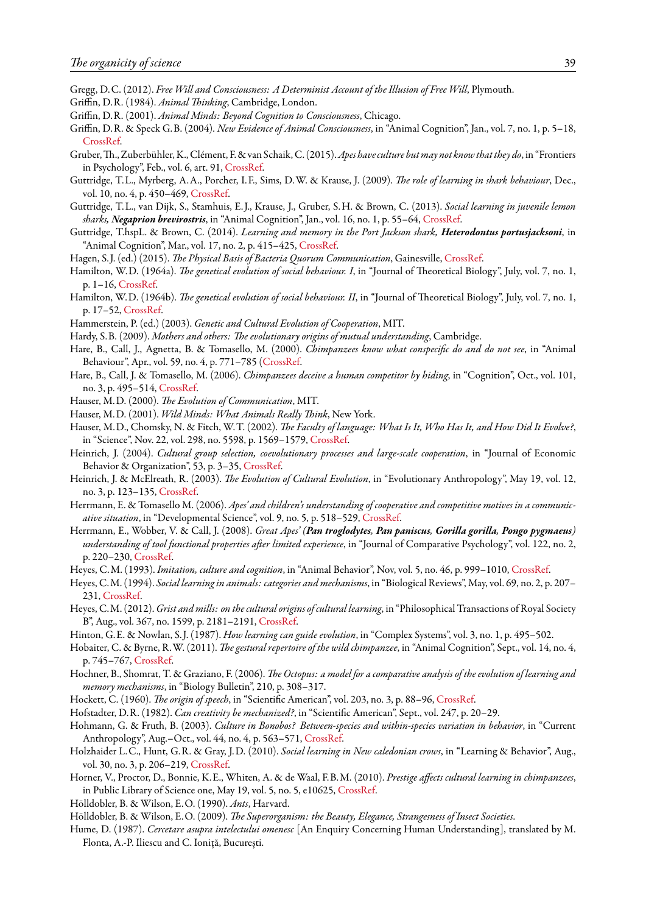- <span id="page-38-21"></span>Gregg, D.C. (2012). *Free Will and Consciousness: A Determinist Account of the Illusion of Free Will*, Plymouth.
- <span id="page-38-16"></span><span id="page-38-15"></span>Griffin, D.R. (1984). *Animal Thinking*, Cambridge, London.
- Griffin, D.R. (2001). *Animal Minds: Beyond Cognition to Consciousness*, Chicago.
- <span id="page-38-17"></span>Griffin, D.R. & Speck G.B. (2004). *New Evidence of Animal Consciousness*, in "Animal Cognition", Jan., vol. 7, no. 1, p. 5–18, [CrossRef.](http://dx.doi.org/10.1007/s10071-003-0203-x)
- <span id="page-38-23"></span>Gruber,Th., Zuberbühler, K., Clément, F. & van Schaik, C. (2015).*Apes have culture but may not knowthatthey do*, in "Frontiers in Psychology", Feb., vol. 6, art. 91, [CrossRef.](http://dx.doi.org/10.3389/fpsyg.2015.00091)
- <span id="page-38-10"></span>Guttridge, T.L., Myrberg, A.A., Porcher, I.F., Sims, D.W. & Krause, J. (2009). *The role of learning in shark behaviour*, Dec., vol. 10, no. 4, p. 450–469, [CrossRef](http://dx.doi.org/10.1111/j.1467-2979.2009.00339.x).
- <span id="page-38-11"></span>Guttridge, T.L., van Dijk, S., Stamhuis, E. J., Krause, J., Gruber, S.H. & Brown, C. (2013). *Social learning in juvenile lemon sharks, Negaprion brevirostris*, in "Animal Cognition", Jan., vol. 16, no. 1, p. 55–64, [CrossRef](http://dx.doi.org/10.1007/s10071-012-0550-6).
- <span id="page-38-12"></span>Guttridge, T.hspL. & Brown, C. (2014). *Learning and memory in the Port Jackson shark, Heterodontus portusjacksoni*, in "Animal Cognition", Mar., vol. 17, no. 2, p. 415–425, [CrossRef](http://dx.doi.org/10.1007/s10071-013-0673-4).
- <span id="page-38-0"></span>Hagen, S. J. (ed.) (2015). *The Physical Basis of Bacteria Quorum Communication*, Gainesville, [CrossRef](http://dx.doi.org/10.1007/978-1-4939-1402-9).
- <span id="page-38-30"></span>Hamilton, W.D. (1964a). *The genetical evolution of social behaviour. I*, in "Journal of Theoretical Biology", July, vol. 7, no. 1, p. 1–16, [CrossRef.](http://dx.doi.org/10.1016/0022-5193(64)90038-4)
- <span id="page-38-31"></span>Hamilton, W.D. (1964b). *The genetical evolution of social behaviour. II*, in "Journal of Theoretical Biology", July, vol. 7, no. 1, p. 17–52, [CrossRef](http://dx.doi.org/10.1016/0022-5193(64)90039-6).
- <span id="page-38-1"></span>Hammerstein, P. (ed.) (2003). *Genetic and Cultural Evolution of Cooperation*, MIT.
- <span id="page-38-19"></span>Hardy, S.B. (2009). *Mothers and others: The evolutionary origins of mutual understanding*, Cambridge.
- <span id="page-38-8"></span>Hare, B., Call, J., Agnetta, B. & Tomasello, M. (2000). *Chimpanzees know what conspecific do and do not see*, in "Animal Behaviour", Apr., vol. 59, no. 4, p. 771–785 [\(CrossRef.](http://dx.doi.org/10.1006/anbe.1999.1377)
- <span id="page-38-9"></span>Hare, B., Call, J. & Tomasello, M. (2006). *Chimpanzees deceive a human competitor by hiding*, in "Cognition", Oct., vol. 101, no. 3, p. 495–514, [CrossRef.](http://dx.doi.org/10.1016/j.cognition.2005.01.011)
- <span id="page-38-24"></span>Hauser, M.D. (2000). *The Evolution of Communication*, MIT.
- <span id="page-38-33"></span>Hauser, M.D. (2001). *Wild Minds: What Animals Really Think*, New York.
- <span id="page-38-34"></span>Hauser, M.D., Chomsky, N. & Fitch, W.T. (2002). *The Faculty of language: What Is It, Who Has It, and How Did It Evolve?*, in "Science", Nov. 22, vol. 298, no. 5598, p. 1569–1579, [CrossRef](http://dx.doi.org/10.1126/science.298.5598.1569).
- <span id="page-38-27"></span>Heinrich, J. (2004). *Cultural group selection, coevolutionary processes and large-scale cooperation*, in "Journal of Economic Behavior & Organization", 53, p. 3–35, [CrossRef.](http://dx.doi.org/10.1016/S0167-2681(03)00094-5)
- <span id="page-38-26"></span>Heinrich, J. & McElreath, R. (2003). *The Evolution of Cultural Evolution*, in "Evolutionary Anthropology", May 19, vol. 12, no. 3, p. 123–135, [CrossRef.](http://dx.doi.org/10.1002/evan.10110)
- <span id="page-38-18"></span>Herrmann, E. & Tomasello M. (2006). *Apes' and children's understanding of cooperative and competitive motives in a communicative situation*, in "Developmental Science", vol. 9, no. 5, p. 518–529, [CrossRef](http://dx.doi.org/10.1111/j.1467-7687.2006.00519.x).
- <span id="page-38-7"></span>Herrmann, E., Wobber, V. & Call, J. (2008). *Great Apes' (Pan troglodytes, Pan paniscus, Gorilla gorilla, Pongo pygmaeus) understanding of tool functional properties after limited experience*, in "Journal of Comparative Psychology", vol. 122, no. 2, p. 220–230, [CrossRef](http://dx.doi.org/10.1037/0735-7036.122.2.220).
- <span id="page-38-28"></span>Heyes, C.M. (1993). *Imitation, culture and cognition*, in "Animal Behavior", Nov, vol. 5, no. 46, p. 999–1010, [CrossRef.](http://dx.doi.org/10.1006/anbe.1993.1281)
- <span id="page-38-13"></span>Heyes, C.M. (1994). *Social learning in animals: categories and mechanisms*, in "Biological Reviews", May, vol. 69, no. 2, p. 207– 231, [CrossRef](http://dx.doi.org/10.1111/j.1469-185X.1994.tb01506.x).
- <span id="page-38-35"></span>Heyes, C.M. (2012).*Grist and mills: on the cultural origins of cultural learning*, in "Philosophical Transactions of Royal Society B", Aug., vol. 367, no. 1599, p. 2181–2191, [CrossRef.](http://dx.doi.org/10.1098/rstb.2012.0120)
- <span id="page-38-25"></span>Hinton, G.E. & Nowlan, S. J. (1987). *How learning can guide evolution*, in "Complex Systems", vol. 3, no. 1, p. 495–502.
- <span id="page-38-6"></span>Hobaiter, C. & Byrne, R.W. (2011). *The gestural repertoire of the wild chimpanzee*, in "Animal Cognition", Sept., vol. 14, no. 4, p. 745–767, [CrossRef](http://dx.doi.org/10.1007/s10071-011-0409-2).
- <span id="page-38-5"></span>Hochner, B., Shomrat, T. & Graziano, F. (2006). *The Octopus: a model for a comparative analysis of the evolution of learning and memory mechanisms*, in "Biology Bulletin", 210, p. 308–317.
- <span id="page-38-14"></span>Hockett, C. (1960). *The origin of speech*, in "Scientific American", vol. 203, no. 3, p. 88–96, [CrossRef.](http://dx.doi.org/10.1038/scientificamerican0960-88)
- <span id="page-38-20"></span>Hofstadter, D.R. (1982). *Can creativity be mechanized?*, in "Scientific American", Sept., vol. 247, p. 20–29.
- <span id="page-38-29"></span>Hohmann, G. & Fruth, B. (2003). *Culture in Bonobos? Between-species and within-species variation in behavior*, in "Current Anthropology", Aug.–Oct., vol. 44, no. 4, p. 563–571, [CrossRef](http://dx.doi.org/10.1086/377649).
- <span id="page-38-22"></span>Holzhaider L.C., Hunt, G.R. & Gray, J.D. (2010). *Social learning in New caledonian crows*, in "Learning & Behavior", Aug., vol. 30, no. 3, p. 206–219, [CrossRef](http://dx.doi.org/10.3758/LB.38.3.206).
- <span id="page-38-32"></span>Horner, V., Proctor, D., Bonnie, K.E., Whiten, A. & de Waal, F.B.M. (2010). *Prestige affects cultural learning in chimpanzees*, in Public Library of Science one, May 19, vol. 5, no. 5, e10625, [CrossRef.](http://dx.doi.org/10.1371/journal.pone.0010625)
- <span id="page-38-3"></span>Hölldobler, B. & Wilson, E.O. (1990). *Ants*, Harvard.
- <span id="page-38-4"></span>Hölldobler, B. & Wilson, E.O. (2009). *The Superorganism: the Beauty, Elegance, Strangesness of Insect Societies*.
- <span id="page-38-2"></span>Hume, D. (1987). *Cercetare asupra intelectului omenesc* [An Enquiry Concerning Human Understanding], translated by M. Flonta, A.-P. Iliescu and C. Ioniță, București.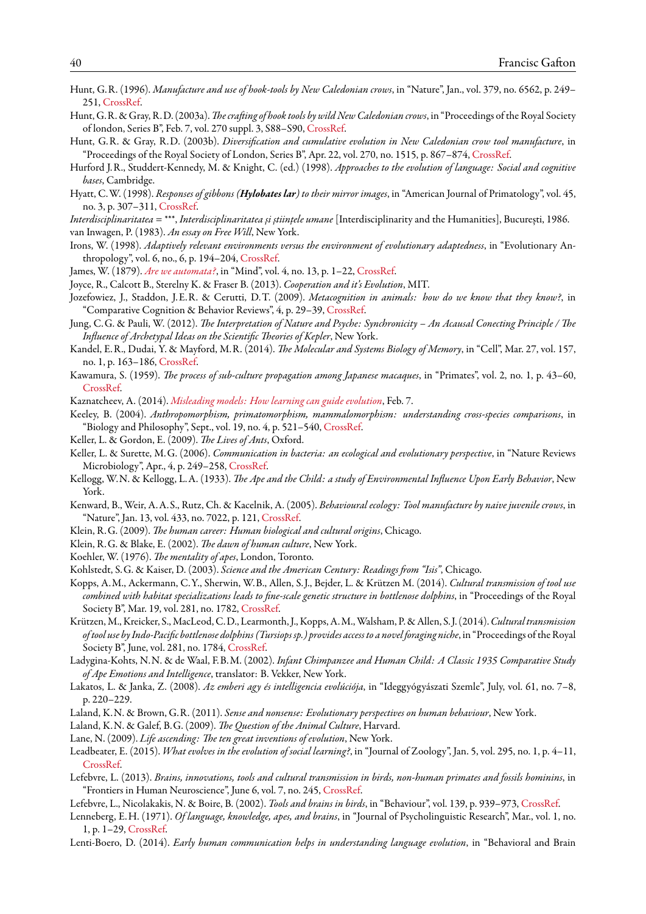- <span id="page-39-7"></span>Hunt, G.R. (1996). *Manufacture and use of hook-tools by New Caledonian crows*, in "Nature", Jan., vol. 379, no. 6562, p. 249– 251, [CrossRef](http://dx.doi.org/10.1038/379249a0).
- <span id="page-39-8"></span>Hunt, G.R. & Gray, R.D. (2003a).*The crafting of hook tools by wild New Caledonian crows*, in "Proceedings of the Royal Society of london, Series B", Feb. 7, vol. 270 suppl. 3, S88–S90, [CrossRef](http://dx.doi.org/10.1098/rsbl.2003.0085).
- <span id="page-39-9"></span>Hunt, G.R. & Gray, R.D. (2003b). *Diversification and cumulative evolution in New Caledonian crow tool manufacture*, in "Proceedings of the Royal Society of London, Series B", Apr. 22, vol. 270, no. 1515, p. 867–874, [CrossRef.](http://dx.doi.org/10.1098/rsbl.2002.2302)
- <span id="page-39-31"></span>Hurford J.R., Studdert-Kennedy, M. & Knight, C. (ed.) (1998). *Approaches to the evolution of language: Social and cognitive bases*, Cambridge.
- <span id="page-39-26"></span>Hyatt, C.W. (1998). *Responses of gibbons (Hylobates lar) to their mirror images*, in "American Journal of Primatology", vol. 45, no. 3, p. 307–311, [CrossRef.](http://dx.doi.org/10.1002/%28SICI%291098-2345%281998%2945%3A3%3C307%3A%3AAID-AJP7%3E3.0.CO%3B2-%23)
- <span id="page-39-21"></span><span id="page-39-4"></span>*Interdisciplinaritatea* = \*\*\*, *Interdisciplinaritatea și științele umane* [Interdisciplinarity and the Humanities], București, 1986. van Inwagen, P. (1983). *An essay on Free Will*, New York.
- <span id="page-39-0"></span>Irons, W. (1998). *Adaptively relevant environments versus the environment of evolutionary adaptedness*, in "Evolutionary Anthropology", vol. 6, no., 6, p. 194–204, [CrossRef.](http://dx.doi.org/10.1002/(SICI)1520-6505)
- <span id="page-39-20"></span>James, W. (1879). *[Are we automata?](http://psychclassics.yorku.ca/James/automata.htm)*, in "Mind", vol. 4, no. 13, p. 1–22, [CrossRef](http://dx.doi.org/10.1093/mind/os-4.13.1).
- <span id="page-39-2"></span>Joyce, R., Calcott B., Sterelny K. & Fraser B. (2013). *Cooperation and it's Evolution*, MIT.
- <span id="page-39-34"></span>Jozefowiez, J., Staddon, J.E.R. & Cerutti, D.T. (2009). *Metacognition in animals: how do we know that they know?*, in "Comparative Cognition & Behavior Reviews", 4, p. 29–39, [CrossRef.](http://dx.doi.org/10.3819/ccbr.2009.40003)
- <span id="page-39-5"></span>Jung, C.G. & Pauli, W. (2012). *The Interpretation of Nature and Psyche: Synchronicity – An Acausal Conecting Principle / The Influence of Archetypal Ideas on the Scientific Theories of Kepler*, New York.
- <span id="page-39-33"></span>Kandel, E.R., Dudai, Y. & Mayford, M.R. (2014). *The Molecular and Systems Biology of Memory*, in "Cell", Mar. 27, vol. 157, no. 1, p. 163–186, [CrossRef.](http://dx.doi.org/10.1016/j.cell.2014.03.001)
- <span id="page-39-32"></span>Kawamura, S. (1959). *The process of sub-culture propagation among Japanese macaques*, in "Primates", vol. 2, no. 1, p. 43–60, [CrossRef.](http://dx.doi.org/10.1007/BF01666110)
- <span id="page-39-24"></span>Kaznatcheev, A. (2014). *[Misleading models: How learning can guide evolution](https://egtheory.wordpress.com/2014/02/07/learning-guide-evolution/)*, Feb. 7.
- <span id="page-39-22"></span>Keeley, B. (2004). *Anthropomorphism, primatomorphism, mammalomorphism: understanding cross-species comparisons*, in "Biology and Philosophy", Sept., vol. 19, no. 4, p. 521–540, [CrossRef.](http://dx.doi.org/10.1007/sBIPH-004-0540-4)
- <span id="page-39-6"></span>Keller, L. & Gordon, E. (2009). *The Lives of Ants*, Oxford.
- <span id="page-39-1"></span>Keller, L. & Surette, M.G. (2006). *Communication in bacteria: an ecological and evolutionary perspective*, in "Nature Reviews Microbiology", Apr., 4, p. 249–258, [CrossRef](http://dx.doi.org/10.1038/nrmicro1383).
- <span id="page-39-30"></span>Kellogg, W.N. & Kellogg, L.A. (1933). *The Ape and the Child: a study of Environmental Influence Upon Early Behavior*, New York.
- <span id="page-39-14"></span>Kenward, B., Weir, A.A.S., Rutz, Ch. & Kacelnik, A. (2005). *Behavioural ecology: Tool manufacture by naive juvenile crows*, in "Nature", Jan. 13, vol. 433, no. 7022, p. 121, [CrossRef.](http://dx.doi.org/10.1038/433121a)
- <span id="page-39-28"></span>Klein, R.G. (2009). *The human career: Human biological and cultural origins*, Chicago.
- <span id="page-39-27"></span>Klein, R.G. & Blake, E. (2002). *The dawn of human culture*, New York.
- <span id="page-39-19"></span>Koehler, W. (1976). *The mentality of apes*, London, Toronto.
- <span id="page-39-3"></span>Kohlstedt, S.G. & Kaiser, D. (2003). *Science and the American Century: Readings from "Isis"*, Chicago.
- <span id="page-39-10"></span>Kopps, A.M., Ackermann, C.Y., Sherwin, W.B., Allen, S. J., Bejder, L. & Krützen M. (2014). *Cultural transmission of tool use combined with habitat specializations leads to fine-scale genetic structure in bottlenose dolphins*, in "Proceedings of the Royal Society B", Mar. 19, vol. 281, no. 1782, [CrossRef.](http://dx.doi.org/10.1098/rspb.2013.3245)
- <span id="page-39-11"></span>Krützen, M., Kreicker, S., MacLeod, C.D., Learmonth, J., Kopps, A.M.,Walsham, P. & Allen, S. J. (2014).*Culturaltransmission oftool use by Indo-Pacific bottlenose dolphins (Tursiops sp.) provides accessto a novel foraging niche*, in "Proceedings of the Royal Society B", June, vol. 281, no. 1784, [CrossRef](http://dx.doi.org/10.1098/rspb.2014.0374).
- <span id="page-39-12"></span>Ladygina-Kohts, N.N. & de Waal, F.B.M. (2002). *Infant Chimpanzee and Human Child: A Classic 1935 Comparative Study of Ape Emotions and Intelligence*, translator: B. Vekker, New York.
- <span id="page-39-25"></span>Lakatos, L. & Janka, Z. (2008). *Az emberi agy és intelligencia evolúciója*, in "Ideggyógyászati Szemle", July, vol. 61, no. 7–8, p. 220–229.
- <span id="page-39-29"></span>Laland, K.N. & Brown, G.R. (2011). *Sense and nonsense: Evolutionary perspectives on human behaviour*, New York.
- <span id="page-39-17"></span>Laland, K.N. & Galef, B.G. (2009). *The Question of the Animal Culture*, Harvard.
- <span id="page-39-23"></span>Lane, N. (2009). *Life ascending: The ten great inventions of evolution*, New York.
- <span id="page-39-16"></span>Leadbeater, E. (2015). *What evolves in the evolution of social learning?*, in "Journal of Zoology", Jan. 5, vol. 295, no. 1, p. 4–11, [CrossRef.](http://dx.doi.org/10.1111/jzo.12197)
- <span id="page-39-15"></span>Lefebvre, L. (2013). *Brains, innovations, tools and cultural transmission in birds, non-human primates and fossils hominins*, in "Frontiers in Human Neuroscience", June 6, vol. 7, no. 245, [CrossRef](http://dx.doi.org/10.3389/fnhum.2013.00245).
- <span id="page-39-13"></span>Lefebvre, L., Nicolakakis, N. & Boire, B. (2002). *Tools and brains in birds*, in "Behaviour", vol. 139, p. 939–973, [CrossRef.](http://dx.doi.org/10.1163/156853902320387918)
- <span id="page-39-18"></span>Lenneberg, E.H. (1971). *Of language, knowledge, apes, and brains*, in "Journal of Psycholinguistic Research", Mar., vol. 1, no. 1, p. 1–29, [CrossRef](http://dx.doi.org/10.1007/BF01066934).
- <span id="page-39-35"></span>Lenti-Boero, D. (2014). *Early human communication helps in understanding language evolution*, in "Behavioral and Brain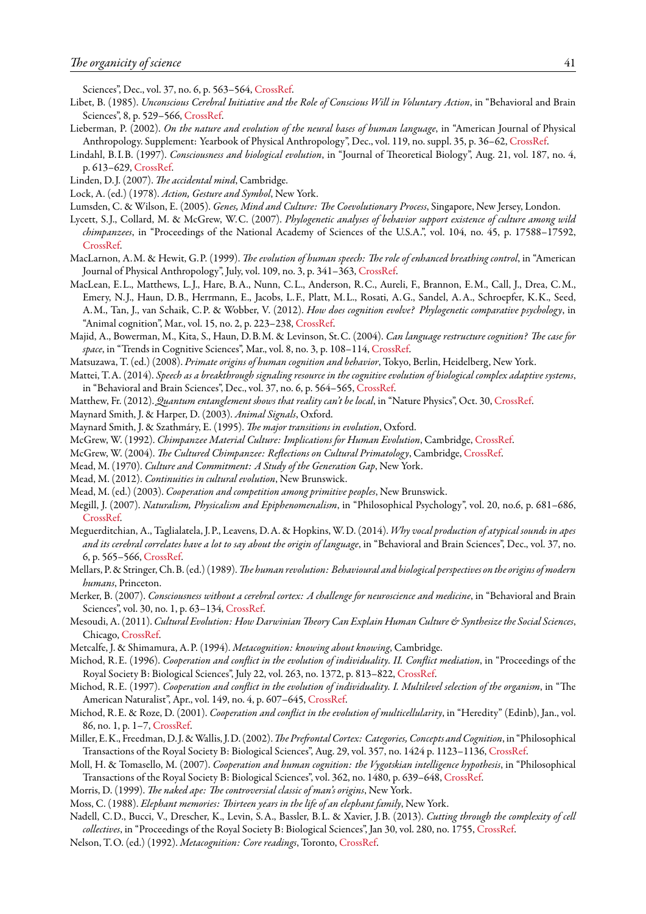Sciences", Dec., vol. 37, no. 6, p. 563–564, [CrossRef.](http://dx.doi.org/10.1017/S0140525X13004081)

- <span id="page-40-15"></span>Libet, B. (1985). *Unconscious Cerebral Initiative and the Role of Conscious Will in Voluntary Action*, in "Behavioral and Brain Sciences", 8, p. 529–566, [CrossRef](http://dx.doi.org/10.1017/s0140525x00044903).
- <span id="page-40-30"></span>Lieberman, P. (2002). *On the nature and evolution of the neural bases of human language*, in "American Journal of Physical Anthropology. Supplement: Yearbook of Physical Anthropology", Dec., vol. 119, no. suppl. 35, p. 36–62, [CrossRef](http://dx.doi.org/10.1002/ajpa.10171).
- <span id="page-40-27"></span>Lindahl, B. I.B. (1997). *Consciousness and biological evolution*, in "Journal of Theoretical Biology", Aug. 21, vol. 187, no. 4, p. 613–629, [CrossRef](http://dx.doi.org/10.1006/jtbi.1996.0394).
- <span id="page-40-18"></span>Linden, D.J. (2007). *The accidental mind*, Cambridge.
- <span id="page-40-22"></span>Lock, A. (ed.) (1978). *Action, Gesture and Symbol*, New York.
- <span id="page-40-9"></span>Lumsden, C. & Wilson, E. (2005). *Genes, Mind and Culture: The Coevolutionary Process*, Singapore, New Jersey, London.
- <span id="page-40-21"></span>Lycett, S. J., Collard, M. & McGrew, W.C. (2007). *Phylogenetic analyses of behavior support existence of culture among wild chimpanzees*, in "Proceedings of the National Academy of Sciences of the U.S.A.", vol. 104, no. 45, p. 17588–17592, [CrossRef.](http://dx.doi.org/10.1073/pnas.0707930104)
- <span id="page-40-28"></span>MacLarnon, A.M. & Hewit, G.P. (1999). *The evolution of human speech: The role of enhanced breathing control*, in "American Journal of Physical Anthropology", July, vol. 109, no. 3, p. 341–363, [CrossRef.](http://dx.doi.org/10.1002/%28SICI%291096-8644%28199907%29109%3A3%3C341%3A%3AAID-AJPA5%3E3.0.CO%3B2-2)
- <span id="page-40-29"></span>MacLean, E.L., Matthews, L. J., Hare, B.A., Nunn, C.L., Anderson, R.C., Aureli, F., Brannon, E.M., Call, J., Drea, C.M., Emery, N. J., Haun, D.B., Herrmann, E., Jacobs, L.F., Platt, M.L., Rosati, A.G., Sandel, A.A., Schroepfer, K.K., Seed, A.M., Tan, J., van Schaik, C.P. & Wobber, V. (2012). *How does cognition evolve? Phylogenetic comparative psychology*, in "Animal cognition", Mar., vol. 15, no. 2, p. 223–238, [CrossRef.](http://dx.doi.org/10.1007/s10071-011-0448-8)
- <span id="page-40-14"></span>Majid, A., Bowerman, M., Kita, S., Haun, D.B.M. & Levinson, St.C. (2004). *Can language restructure cognition? The case for space*, in "Trends in Cognitive Sciences", Mar., vol. 8, no. 3, p. 108–114, [CrossRef.](http://dx.doi.org/10.1016/j.tics.2004.01.003)
- <span id="page-40-10"></span>Matsuzawa, T. (ed.) (2008). *Primate origins of human cognition and behavior*, Tokyo, Berlin, Heidelberg, New York.
- <span id="page-40-31"></span>Mattei, T.A. (2014). *Speech as a breakthrough signaling resource in the cognitive evolution of biological complex adaptive systems*, in "Behavioral and Brain Sciences", Dec., vol. 37, no. 6, p. 564–565, [CrossRef](http://dx.doi.org/10.1017/S0140525X13004111).
- <span id="page-40-2"></span>Matthew, Fr. (2012). *Quantum entanglement shows that reality can't be local*, in "Nature Physics", Oct. 30, [CrossRef](http://dx.doi.org/10.1038/NPHYS2460).
- <span id="page-40-0"></span>Maynard Smith, J. & Harper, D. (2003). *Animal Signals*, Oxford.
- <span id="page-40-24"></span>Maynard Smith, J. & Szathmáry, E. (1995). *The major transitions in evolution*, Oxford.
- <span id="page-40-7"></span><span id="page-40-6"></span>McGrew, W. (1992). *Chimpanzee Material Culture: Implications for Human Evolution*, Cambridge, [CrossRef](http://dx.doi.org/10.1017/cbo9780511565519).
- McGrew, W. (2004). *The Cultured Chimpanzee: Reflections on Cultural Primatology*, Cambridge, [CrossRef.](http://dx.doi.org/10.1017/cbo9780511617355)
- <span id="page-40-26"></span>Mead, M. (1970). *Culture and Commitment: A Study of the Generation Gap*, New York.
- <span id="page-40-25"></span><span id="page-40-23"></span>Mead, M. (2012). *Continuities in cultural evolution*, New Brunswick.
- Mead, M. (ed.) (2003). *Cooperation and competition among primitive peoples*, New Brunswick.
- <span id="page-40-16"></span>Megill, J. (2007). *Naturalism, Physicalism and Epiphenomenalism*, in "Philosophical Psychology", vol. 20, no.6, p. 681–686, [CrossRef.](http://dx.doi.org/10.1080/09515080701665896)
- <span id="page-40-32"></span>Meguerditchian, A., Taglialatela, J.P., Leavens, D.A. & Hopkins, W.D. (2014). *Why vocal production of atypical sounds in apes and its cerebral correlates have a lot to say about the origin of language*, in "Behavioral and Brain Sciences", Dec., vol. 37, no. 6, p. 565–566, [CrossRef.](http://dx.doi.org/10.1017/S0140525X13004135)
- <span id="page-40-20"></span>Mellars, P. & Stringer, Ch.B. (ed.) (1989).*The human revolution: Behavioural and biological perspectives onthe origins of modern humans*, Princeton.
- <span id="page-40-19"></span>Merker, B. (2007). *Consciousness without a cerebral cortex: A challenge for neuroscience and medicine*, in "Behavioral and Brain Sciences", vol. 30, no. 1, p. 63–134, [CrossRef.](http://dx.doi.org/10.1017/S0140525X07000891)
- <span id="page-40-11"></span>Mesoudi, A. (2011). *Cultural Evolution: How Darwinian Theory Can Explain Human Culture & Synthesize the Social Sciences*, Chicago, [CrossRef](http://dx.doi.org/10.7208/chicago/9780226520452.001.0001).
- <span id="page-40-12"></span>Metcalfe, J. & Shimamura, A.P. (1994). *Metacognition: knowing about knowing*, Cambridge.
- Michod, R.E. (1996). *Cooperation and conflict in the evolution of individuality. II. Conflict mediation*, in "Proceedings of the Royal Society B: Biological Sciences", July 22, vol. 263, no. 1372, p. 813–822, [CrossRef.](http://dx.doi.org/10.1098/rspb.1996.0121)
- Michod, R.E. (1997). *Cooperation and conflict in the evolution of individuality. I. Multilevel selection of the organism*, in "The American Naturalist", Apr., vol. 149, no. 4, p. 607–645, [CrossRef](http://dx.doi.org/10.1086/286012).
- <span id="page-40-3"></span>Michod, R.E. & Roze, D. (2001). *Cooperation and conflict in the evolution of multicellularity*, in "Heredity" (Edinb), Jan., vol. 86, no. 1, p. 1–7, [CrossRef](http://dx.doi.org/10.1046/j.1365-2540.2001.00808.x).
- <span id="page-40-17"></span>Miller, E.K., Freedman, D. J. &Wallis, J.D. (2002).*The Prefrontal Cortex: Categories, Concepts and Cognition*, in "Philosophical Transactions of the Royal Society B: Biological Sciences", Aug. 29, vol. 357, no. 1424 p. 1123–1136, [CrossRef.](http://dx.doi.org/10.1098/rstb.2002.1099)
- <span id="page-40-13"></span>Moll, H. & Tomasello, M. (2007). *Cooperation and human cognition: the Vygotskian intelligence hypothesis*, in "Philosophical Transactions of the Royal Society B: Biological Sciences", vol. 362, no. 1480, p. 639–648, [CrossRef.](http://dx.doi.org/10.1098/rstb.2006.2000)
- <span id="page-40-4"></span>Morris, D. (1999). *The naked ape: The controversial classic of man's origins*, New York.
- <span id="page-40-5"></span>Moss, C. (1988). *Elephant memories: Thirteen years in the life of an elephant family*, New York.
- <span id="page-40-1"></span>Nadell, C.D., Bucci, V., Drescher, K., Levin, S.A., Bassler, B.L. & Xavier, J.B. (2013). *Cutting through the complexity of cell collectives*, in "Proceedings of the Royal Society B: Biological Sciences", Jan 30, vol. 280, no. 1755, [CrossRef.](http://dx.doi.org/10.1098/rspb.2012.2770)
- <span id="page-40-8"></span>Nelson, T.O. (ed.) (1992). *Metacognition: Core readings*, Toronto, [CrossRef](http://dx.doi.org/10.1007/978-1-4419-6546-2_2).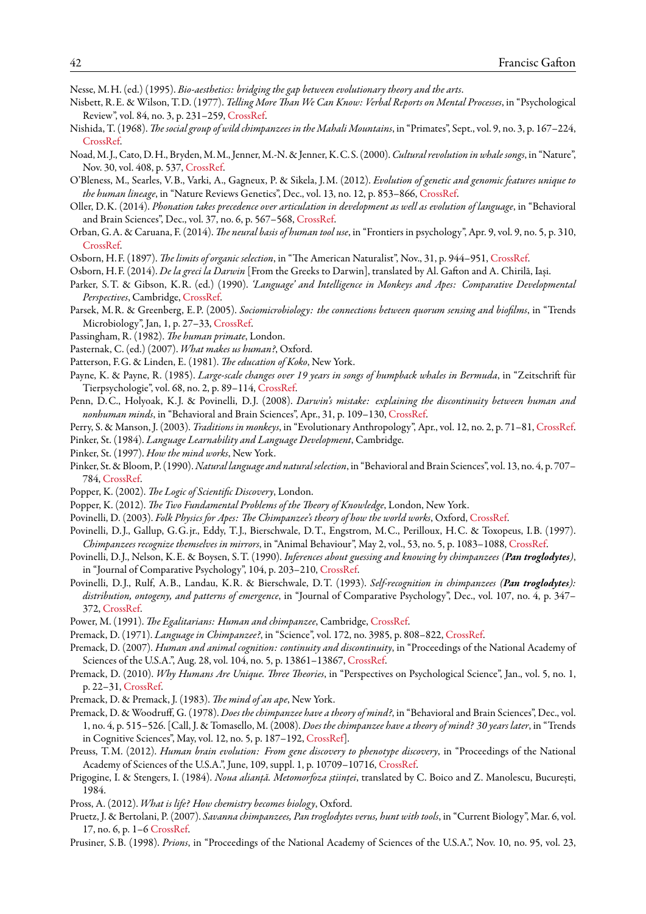<span id="page-41-1"></span>Nesse, M.H. (ed.) (1995). *Bio-aesthetics: bridging the gap between evolutionary theory and the arts*.

- <span id="page-41-15"></span>Nisbett, R.E. & Wilson, T.D. (1977). *Telling More Than We Can Know: Verbal Reports on Mental Processes*, in "Psychological Review", vol. 84, no. 3, p. 231–259, [CrossRef](http://dx.doi.org/10.1037/0033-295x.84.3.231).
- <span id="page-41-6"></span>Nishida, T. (1968). *The social group of wild chimpanzees in the Mahali Mountains*, in "Primates", Sept., vol. 9, no. 3, p. 167–224, [CrossRef.](http://dx.doi.org/10.1007/bf01730971)
- <span id="page-41-20"></span>Noad, M. J., Cato, D.H., Bryden, M.M., Jenner, M.-N. & Jenner, K.C.S. (2000).*Cultural revolution in whale songs*, in "Nature", Nov. 30, vol. 408, p. 537, [CrossRef](http://dx.doi.org/10.1038/35046199).
- <span id="page-41-35"></span>O'Bleness, M., Searles, V.B., Varki, A., Gagneux, P. & Sikela, J.M. (2012). *Evolution of genetic and genomic features unique to the human lineage*, in "Nature Reviews Genetics", Dec., vol. 13, no. 12, p. 853–866, [CrossRef](http://dx.doi.org/10.1038/nrg3336).
- <span id="page-41-36"></span>Oller, D.K. (2014). *Phonation takes precedence over articulation in development as well as evolution of language*, in "Behavioral and Brain Sciences", Dec., vol. 37, no. 6, p. 567–568, [CrossRef.](http://dx.doi.org/10.1017/S0140525X13004159)
- <span id="page-41-11"></span>Orban, G.A. & Caruana, F. (2014). *The neural basis of human tool use*, in "Frontiers in psychology", Apr. 9, vol. 9, no. 5, p. 310, [CrossRef.](http://dx.doi.org/10.3389/fpsyg.2014.00310)
- <span id="page-41-23"></span>Osborn, H.F. (1897). *The limits of organic selection*, in "The American Naturalist", Nov., 31, p. 944–951, [CrossRef](http://dx.doi.org/10.1086/276734).
- <span id="page-41-5"></span>Osborn, H.F. (2014). *De la greci la Darwin* [From the Greeks to Darwin], translated by Al. Gafton and A. Chirilă, Iași.
- <span id="page-41-9"></span>Parker, S.T. & Gibson, K.R. (ed.) (1990). *'Language' and Intelligence in Monkeys and Apes: Comparative Developmental Perspectives*, Cambridge, [CrossRef.](http://dx.doi.org/10.1017/cbo9780511665486)
- <span id="page-41-0"></span>Parsek, M.R. & Greenberg, E.P. (2005). *Sociomicrobiology: the connections between quorum sensing and biofilms*, in "Trends Microbiology", Jan, 1, p. 27–33, [CrossRef](http://dx.doi.org/10.1016/j.tim.2004.11.007).
- <span id="page-41-30"></span>Passingham, R. (1982). *The human primate*, London.
- <span id="page-41-31"></span>Pasternak, C. (ed.) (2007). *What makes us human?*, Oxford.
- <span id="page-41-8"></span>Patterson, F.G. & Linden, E. (1981). *The education of Koko*, New York.
- <span id="page-41-21"></span>Payne, K. & Payne, R. (1985). *Large-scale changes over 19 years in songs of humpback whales in Bermuda*, in "Zeitschrift für Tierpsychologie", vol. 68, no. 2, p. 89–114, [CrossRef](http://dx.doi.org/10.1111/j.1439-0310.1985.tb00118.x).
- <span id="page-41-12"></span>Penn, D.C., Holyoak, K. J. & Povinelli, D. J. (2008). *Darwin's mistake: explaining the discontinuity between human and nonhuman minds*, in "Behavioral and Brain Sciences", Apr., 31, p. 109–130, [CrossRef.](http://dx.doi.org/10.1017/S0140525X08003543)
- <span id="page-41-32"></span>Perry, S. & Manson, J. (2003). *Traditions in monkeys*, in "Evolutionary Anthropology", Apr., vol. 12, no. 2, p. 71–81, [CrossRef.](http://dx.doi.org/10.1002/evan.10105)
- <span id="page-41-26"></span>Pinker, St. (1984). *Language Learnability and Language Development*, Cambridge.
- <span id="page-41-22"></span>Pinker, St. (1997). *How the mind works*, New York.
- <span id="page-41-27"></span>Pinker, St. & Bloom, P. (1990).*Natural language and natural selection*, in "Behavioral and Brain Sciences", vol. 13, no. 4, p. 707– 784, [CrossRef](http://dx.doi.org/10.1017/S0140525X00081061).
- <span id="page-41-3"></span>Popper, K. (2002). *The Logic of Scientific Discovery*, London.
- <span id="page-41-4"></span>Popper, K. (2012). *The Two Fundamental Problems of the Theory of Knowledge*, London, New York.
- <span id="page-41-34"></span>Povinelli, D. (2003). *Folk Physics for Apes: The Chimpanzee's theory of how the world works*, Oxford, [CrossRef](http://dx.doi.org/10.1093/acprof:oso/9780198572190.001.0001).
- <span id="page-41-19"></span>Povinelli, D.J., Gallup, G.G.jr., Eddy, T.J., Bierschwale, D.T., Engstrom, M.C., Perilloux, H.C. & Toxopeus, I.B. (1997). *Chimpanzees recognize themselves in mirrors*, in "Animal Behaviour", May 2, vol., 53, no. 5, p. 1083–1088, [CrossRef](http://dx.doi.org/10.1006/anbe.1996.0303).
- <span id="page-41-14"></span>Povinelli, D. J., Nelson, K.E. & Boysen, S.T. (1990). *Inferences about guessing and knowing by chimpanzees (Pan troglodytes)*, in "Journal of Comparative Psychology", 104, p. 203–210, [CrossRef](http://dx.doi.org/10.1037/0735-7036.104.3.203).
- <span id="page-41-18"></span>Povinelli, D. J., Rulf, A.B., Landau, K.R. & Bierschwale, D.T. (1993). *Self-recognition in chimpanzees (Pan troglodytes): distribution, ontogeny, and patterns of emergence*, in "Journal of Comparative Psychology", Dec., vol. 107, no. 4, p. 347– 372, [CrossRef](http://dx.doi.org/10.1037//0735-7036.107.4.347).
- <span id="page-41-33"></span>Power, M. (1991). *The Egalitarians: Human and chimpanzee*, Cambridge, [CrossRef.](http://dx.doi.org/10.1017/cbo9780511565533)
- <span id="page-41-7"></span>Premack, D. (1971). *Language in Chimpanzee?*, in "Science", vol. 172, no. 3985, p. 808–822, [CrossRef](http://dx.doi.org/10.1126/science.172.3985.808).
- <span id="page-41-28"></span>Premack, D. (2007). *Human and animal cognition: continuity and discontinuity*, in "Proceedings of the National Academy of Sciences of the U.S.A.", Aug. 28, vol. 104, no. 5, p. 13861–13867, [CrossRef.](http://dx.doi.org/10.1073pnas.0706147104)
- <span id="page-41-29"></span>Premack, D. (2010). *Why Humans Are Unique. Three Theories*, in "Perspectives on Psychological Science", Jan., vol. 5, no. 1, p. 22–31, [CrossRef](http://dx.doi.org/10.1177/1745691609356782).
- <span id="page-41-25"></span>Premack, D. & Premack, J. (1983). *The mind of an ape*, New York.
- <span id="page-41-13"></span>Premack, D. & Woodruff, G. (1978). *Does the chimpanzee have a theory of mind?*, in "Behavioral and Brain Sciences", Dec., vol. 1, no. 4, p. 515–526. [Call, J. & Tomasello, M. (2008). *Does the chimpanzee have a theory of mind? 30 years later*, in "Trends in Cognitive Sciences", May, vol. 12, no. 5, p. 187–192, [CrossRef\]](http://dx.doi.org/10.1016/j.tics.2008.02.010).
- <span id="page-41-16"></span>Preuss, T.M. (2012). *Human brain evolution: From gene discovery to phenotype discovery*, in "Proceedings of the National Academy of Sciences of the U.S.A.", June, 109, suppl. 1, p. 10709–10716, [CrossRef.](http://dx.doi.org/10.1073/pnas.1201894109)
- <span id="page-41-2"></span>Prigogine, I. & Stengers, I. (1984). *Noua alianță. Metomorfoza științei*, translated by C. Boico and Z. Manolescu, București, 1984.
- <span id="page-41-17"></span>Pross, A. (2012). *What is life? How chemistry becomes biology*, Oxford.
- <span id="page-41-10"></span>Pruetz, J. & Bertolani, P. (2007). *Savanna chimpanzees, Pan troglodytes verus, hunt with tools*, in "Current Biology", Mar. 6, vol. 17, no. 6, p. 1–6 [CrossRef](http://dx.doi.org/10.1016/j.cub.12.042).
- <span id="page-41-24"></span>Prusiner, S.B. (1998). *Prions*, in "Proceedings of the National Academy of Sciences of the U.S.A.", Nov. 10, no. 95, vol. 23,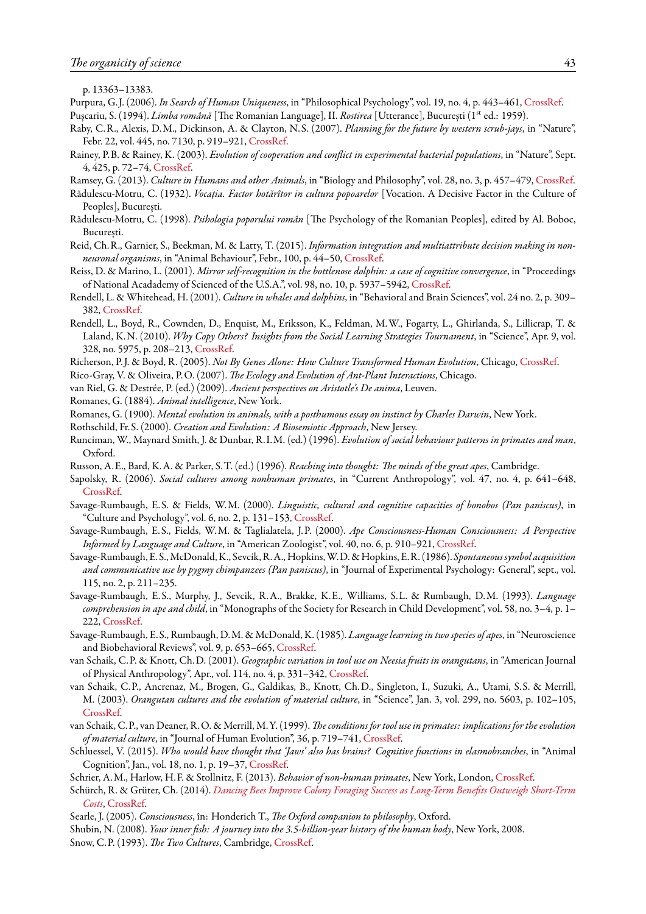p. 13363–13383.

<span id="page-42-28"></span>Purpura, G. J. (2006). *In Search of Human Uniqueness*, in "Philosophical Psychology", vol. 19, no. 4, p. 443–461, [CrossRef.](http://dx.doi.org/10.1080/09515080600726369)

<span id="page-42-27"></span>Pușcariu, S. (1994). *Limba română* [The Romanian Language], II. *Rostirea* [Utterance], București (1st ed.: 1959).

- <span id="page-42-17"></span>Raby, C.R., Alexis, D.M., Dickinson, A. & Clayton, N.S. (2007). *Planning for the future by western scrub-jays*, in "Nature", Febr. 22, vol. 445, no. 7130, p. 919–921, [CrossRef.](http://dx.doi.org/10.1038/nature05575)
- <span id="page-42-1"></span>Rainey, P.B. & Rainey, K. (2003). *Evolution of cooperation and conflict in experimental bacterial populations*, in "Nature", Sept. 4, 425, p. 72–74, [CrossRef.](http://dx.doi.org/10.1038/nature01906)
- Ramsey, G. (2013). *Culture in Humans and other Animals*, in "Biology and Philosophy", vol. 28, no. 3, p. 457–479, [CrossRef](http://dx.doi.org/10.1007/s10539-012-9347-x).
- <span id="page-42-29"></span>Rădulescu-Motru, C. (1932). *Vocația. Factor hotărîtor in cultura popoarelor* [Vocation. A Decisive Factor in the Culture of Peoples], București.
- <span id="page-42-30"></span>Rădulescu-Motru, C. (1998). *Psihologia poporului român* [The Psychology of the Romanian Peoples], edited by Al. Boboc, București.
- <span id="page-42-5"></span>Reid, Ch.R., Garnier, S., Beekman, M. & Latty, T. (2015). *Information integration and multiattribute decision making in nonneuronal organisms*, in "Animal Behaviour", Febr., 100, p. 44–50, [CrossRef.](http://dx.doi.org/10.1016/j.anbehav.2014.11.010)
- <span id="page-42-25"></span>Reiss, D. & Marino, L. (2001). *Mirror self-recognition in the bottlenose dolphin: a case of cognitive convergence*, in "Proceedings of National Acadademy of Scienced of the U.S.A.", vol. 98, no. 10, p. 5937–5942, [CrossRef.](http://dx.doi.org/10.1073/pnas.101086398)
- <span id="page-42-15"></span>Rendell, L. & Whitehead, H. (2001). *Culture in whales and dolphins*, in "Behavioral and Brain Sciences", vol. 24 no. 2, p. 309– 382, [CrossRef](http://dx.doi.org/10.1017/s0140525x0100396x).
- <span id="page-42-14"></span>Rendell, L., Boyd, R., Cownden, D., Enquist, M., Eriksson, K., Feldman, M.W., Fogarty, L., Ghirlanda, S., Lillicrap, T. & Laland, K.N. (2010). *Why Copy Others? Insights from the Social Learning Strategies Tournament*, in "Science", Apr. 9, vol. 328, no. 5975, p. 208–213, [CrossRef.](http://dx.doi.org/10.1126/science.1184719)
- <span id="page-42-26"></span>Richerson, P. J. & Boyd, R. (2005). *Not By Genes Alone: How Culture Transformed Human Evolution*, Chicago, [CrossRef.](http://dx.doi.org/10.7208/chicago/9780226712130.001.0001)
- <span id="page-42-2"></span>Rico-Gray, V. & Oliveira, P.O. (2007). *The Ecology and Evolution of Ant-Plant Interactions*, Chicago.
- <span id="page-42-20"></span>van Riel, G. & Destrée, P. (ed.) (2009). *Ancient perspectives on Aristotle's De anima*, Leuven.
- <span id="page-42-3"></span>Romanes, G. (1884). *Animal intelligence*, New York.
- <span id="page-42-4"></span>Romanes, G. (1900). *Mental evolution in animals, with a posthumous essay on instinct by Charles Darwin*, New York.
- <span id="page-42-0"></span>Rothschild, Fr.S. (2000). *Creation and Evolution: A Biosemiotic Approach*, New Jersey.
- <span id="page-42-18"></span>Runciman, W., Maynard Smith, J. & Dunbar, R. I.M. (ed.) (1996). *Evolution of social behaviour patterns in primates and man*, Oxford.
- <span id="page-42-12"></span>Russon, A.E., Bard, K.A. & Parker, S.T. (ed.) (1996). *Reaching into thought: The minds of the great apes*, Cambridge.
- <span id="page-42-16"></span>Sapolsky, R. (2006). *Social cultures among nonhuman primates*, in "Current Anthropology", vol. 47, no. 4, p. 641–648, [CrossRef.](http://dx.doi.org/10.1086/504162)
- <span id="page-42-8"></span>Savage-Rumbaugh, E.S. & Fields, W.M. (2000). *Linguistic, cultural and cognitive capacities of bonobos (Pan paniscus)*, in "Culture and Psychology", vol. 6, no. 2, p. 131–153, [CrossRef](http://dx.doi.org/10.1177/1354067X0062003).
- Savage-Rumbaugh, E.S., Fields, W.M. & Taglialatela, J.P. (2000). *Ape Consciousness-Human Consciousness: A Perspective Informed by Language and Culture*, in "American Zoologist", vol. 40, no. 6, p. 910–921, [CrossRef](http://dx.doi.org/10.1093/icb/40.6.910).
- <span id="page-42-7"></span>Savage-Rumbaugh, E.S., McDonald, K., Sevcik, R.A., Hopkins,W.D. & Hopkins, E.R. (1986). *Spontaneoussymbol acquisition and communicative use by pygmy chimpanzees (Pan paniscus)*, in "Journal of Experimental Psychology: General", sept., vol. 115, no. 2, p. 211–235.
- <span id="page-42-22"></span>Savage-Rumbaugh, E.S., Murphy, J., Sevcik, R.A., Brakke, K.E., Williams, S.L. & Rumbaugh, D.M. (1993). *Language comprehension in ape and child*, in "Monographs of the Society for Research in Child Development", vol. 58, no. 3–4, p. 1– 222, [CrossRef](http://dx.doi.org/10.2307/1166068).
- <span id="page-42-6"></span>Savage-Rumbaugh, E.S., Rumbaugh, D.M. & McDonald, K. (1985). *Language learning in two species of apes*, in "Neuroscience and Biobehavioral Reviews", vol. 9, p. 653–665, [CrossRef](http://dx.doi.org/10.1016/0149-7634(85)90012-0).
- <span id="page-42-9"></span>van Schaik, C.P. & Knott, Ch.D. (2001). *Geographic variation in tool use on Neesia fruits in orangutans*, in "American Journal of Physical Anthropology", Apr., vol. 114, no. 4, p. 331–342, [CrossRef.](http://dx.doi.org/10.1002/ajpa.1045)
- <span id="page-42-10"></span>van Schaik, C.P., Ancrenaz, M., Brogen, G., Galdikas, B., Knott, Ch.D., Singleton, I., Suzuki, A., Utami, S.S. & Merrill, M. (2003). *Orangutan cultures and the evolution of material culture*, in "Science", Jan. 3, vol. 299, no. 5603, p. 102–105, [CrossRef.](http://dx.doi.org/10.1126/science.1078004)
- <span id="page-42-19"></span>van Schaik, C.P., van Deaner, R.O. & Merrill, M.Y. (1999). *The conditions for tool use in primates: implications for the evolution of material culture*, in "Journal of Human Evolution", 36, p. 719–741, [CrossRef](http://dx.doi.org/10.1006/jhev.1999.0304).
- <span id="page-42-13"></span>Schluessel, V. (2015). *Who would have thought that 'Jaws' also has brains? Cognitive functions in elasmobranches*, in "Animal Cognition", Jan., vol. 18, no. 1, p. 19–37, [CrossRef](http://dx.doi.org/10.1007/s10071-014-0762-z).
- <span id="page-42-11"></span>Schrier, A.M., Harlow, H.F. & Stollnitz, F. (2013). *Behavior of non-human primates*, New York, London, [CrossRef](http://dx.doi.org/10.1016/B978-1-4832-2821-1.50002-1).
- <span id="page-42-21"></span>Schürch, R. & Grüter, Ch. (2014). *[Dancing Bees Improve Colony Foraging Success as Long-Term Benefits Outweigh Short-Term](https://www.researchgate.net/publication/264940990) [Costs](https://www.researchgate.net/publication/264940990)*, [CrossRef](http://dx.doi.org/10.1371/journal.pone.0104660).
- <span id="page-42-23"></span>Searle, J. (2005). *Consciousness*, în: Honderich T., *The Oxford companion to philosophy*, Oxford.
- <span id="page-42-24"></span>Shubin, N. (2008). *Your inner fish: A journey into the 3.5-billion-year history of the human body*, New York, 2008.
- <span id="page-42-31"></span>Snow, C.P. (1993). *The Two Cultures*, Cambridge, [CrossRef.](http://dx.doi.org/10.1017/CBO9780511819940)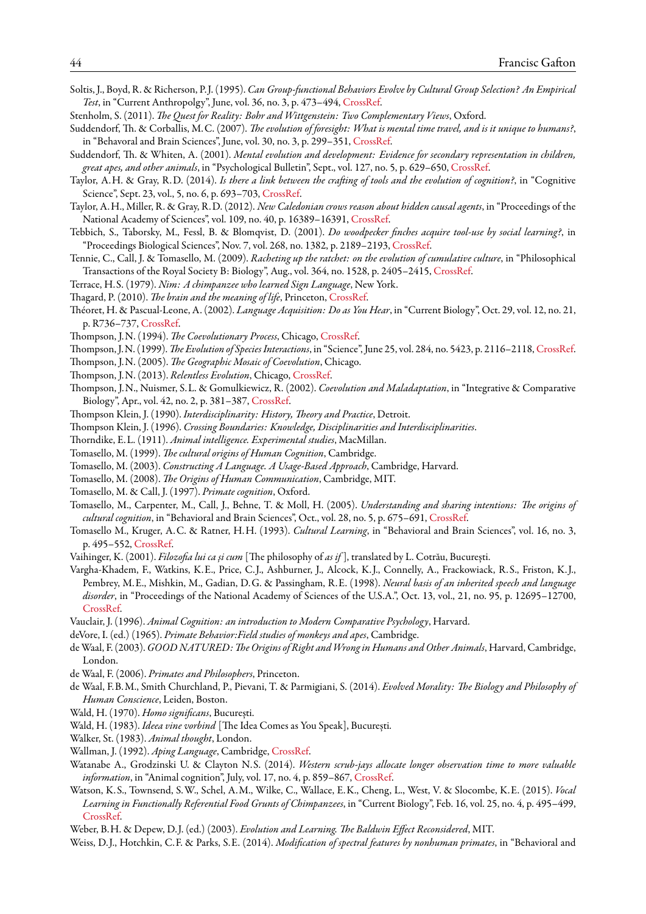- <span id="page-43-30"></span>Soltis, J., Boyd, R. & Richerson, P. J. (1995). *Can Group-functional Behaviors Evolve by Cultural Group Selection? An Empirical Test*, in "Current Anthropolgy", June, vol. 36, no. 3, p. 473–494, [CrossRef](http://dx.doi.org/10.1086/204381).
- <span id="page-43-34"></span>Stenholm, S. (2011). *The Quest for Reality: Bohr and Wittgenstein: Two Complementary Views*, Oxford.
- <span id="page-43-17"></span>Suddendorf, Th. & Corballis, M.C. (2007). *The evolution of foresight: What is mental time travel, and is it unique to humans?*, in "Behavoral and Brain Sciences", June, vol. 30, no. 3, p. 299–351, [CrossRef.](http://dx.doi.org/10.1017/S0140525X07001975)
- <span id="page-43-19"></span>Suddendorf, Th. & Whiten, A. (2001). *Mental evolution and development: Evidence for secondary representation in children, great apes, and other animals*, in "Psychological Bulletin", Sept., vol. 127, no. 5, p. 629–650, [CrossRef](http://dx.doi.org/10.1037/0033-2909.127.5.629).
- <span id="page-43-15"></span>Taylor, A.H. & Gray, R.D. (2014). *Is there a link between the crafting of tools and the evolution of cognition?*, in "Cognitive Science", Sept. 23, vol., 5, no. 6, p. 693–703, [CrossRef](http://dx.doi.org/10.1002/wcs.1322).
- <span id="page-43-9"></span>Taylor, A.H., Miller, R. & Gray, R.D. (2012). *New Caledonian crows reason about hidden causal agents*, in "Proceedings of the National Academy of Sciences", vol. 109, no. 40, p. 16389–16391, [CrossRef.](http://dx.doi.org/10.1073/pnas.1208724109)
- <span id="page-43-7"></span>Tebbich, S., Taborsky, M., Fessl, B. & Blomqvist, D. (2001). *Do woodpecker finches acquire tool-use by social learning?*, in "Proceedings Biological Sciences", Nov. 7, vol. 268, no. 1382, p. 2189–2193, [CrossRef](http://dx.doi.org/10.1098/rspb.2001.1738).
- <span id="page-43-33"></span>Tennie, C., Call, J. & Tomasello, M. (2009). *Racheting up the ratchet: on the evolution of cumulative culture*, in "Philosophical Transactions of the Royal Society B: Biology", Aug., vol. 364, no. 1528, p. 2405–2415, [CrossRef](http://dx.doi.org/10.1098/rstb.2009.0052).
- <span id="page-43-23"></span><span id="page-43-11"></span>Terrace, H.S. (1979). *Nim: A chimpanzee who learned Sign Language*, New York.
- Thagard, P. (2010). *The brain and the meaning of life*, Princeton, [CrossRef.](http://dx.doi.org/10.1515/9781400834617)
- <span id="page-43-16"></span>Théoret, H. & Pascual-Leone, A. (2002). *Language Acquisition: Do as You Hear*, in "Current Biology", Oct. 29, vol. 12, no. 21, p. R736–737, [CrossRef](http://dx.doi.org/10.1016/S0960-9822(02)01251-4).
- <span id="page-43-26"></span><span id="page-43-0"></span>Thompson, J.N. (1994). *The Coevolutionary Process*, Chicago, [CrossRef.](http://dx.doi.org/10.7208/chicago/9780226797670.001.0001)
- Thompson, J.N. (1999).*The Evolution of Species Interactions*, in "Science", June 25, vol. 284, no. 5423, p. 2116–2118, [CrossRef.](http://dx.doi.org/10.1126/science.284.5423.2116)
- <span id="page-43-28"></span>Thompson, J.N. (2005). *The Geographic Mosaic of Coevolution*, Chicago.
- <span id="page-43-29"></span><span id="page-43-27"></span>Thompson, J.N. (2013). *Relentless Evolution*, Chicago, [CrossRef](http://dx.doi.org/10.7208/chicago/9780226018898.001.0001).
- Thompson, J.N., Nuismer, S.L. & Gomulkiewicz, R. (2002). *Coevolution and Maladaptation*, in "Integrative & Comparative Biology", Apr., vol. 42, no. 2, p. 381–387, [CrossRef](http://dx.doi.org/10.1093/icb/42.2.381).
- <span id="page-43-1"></span>Thompson Klein, J. (1990). *Interdisciplinarity: History, Theory and Practice*, Detroit.
- <span id="page-43-6"></span><span id="page-43-2"></span>Thompson Klein, J. (1996). *Crossing Boundaries: Knowledge, Disciplinarities and Interdisciplinarities*.
- Thorndike, E.L. (1911). *Animal intelligence. Experimental studies*, MacMillan.
- <span id="page-43-32"></span>Tomasello, M. (1999). *The cultural origins of Human Cognition*, Cambridge.
- Tomasello, M. (2003). *Constructing A Language. A Usage-Based Approach*, Cambridge, Harvard.
- Tomasello, M. (2008). *The Origins of Human Communication*, Cambridge, MIT.
- <span id="page-43-22"></span>Tomasello, M. & Call, J. (1997). *Primate cognition*, Oxford.
- <span id="page-43-31"></span>Tomasello, M., Carpenter, M., Call, J., Behne, T. & Moll, H. (2005). *Understanding and sharing intentions: The origins of cultural cognition*, in "Behavioral and Brain Sciences", Oct., vol. 28, no. 5, p. 675–691, [CrossRef](http://dx.doi.org/10.1017/S0140525X05000129).
- Tomasello M., Kruger, A.C. & Ratner, H.H. (1993). *Cultural Learning*, in "Behavioral and Brain Sciences", vol. 16, no. 3, p. 495–552, [CrossRef](http://dx.doi.org/10.1017/S01405X0003123X).
- <span id="page-43-3"></span>Vaihinger, K. (2001). *Filozofia lui ca și cum* [The philosophy of *as if* ], translated by L. Cotrău, București.
- <span id="page-43-36"></span>Vargha-Khadem, F., Watkins, K.E., Price, C. J., Ashburner, J., Alcock, K. J., Connelly, A., Frackowiack, R.S., Friston, K. J., Pembrey, M.E., Mishkin, M., Gadian, D.G. & Passingham, R.E. (1998). *Neural basis of an inherited speech and language disorder*, in "Proceedings of the National Academy of Sciences of the U.S.A.", Oct. 13, vol., 21, no. 95, p. 12695–12700, [CrossRef.](http://dx.doi.org/10.1073/pnas.95.21.12695)
- <span id="page-43-18"></span>Vauclair, J. (1996). *Animal Cognition: an introduction to Modern Comparative Psychology*, Harvard.
- <span id="page-43-10"></span>deVore, I. (ed.) (1965). *Primate Behavior:Field studies of monkeys and apes*, Cambridge.
- <span id="page-43-20"></span>de Waal, F. (2003). *GOOD NATURED: The Origins of Right and Wrong in Humans and Other Animals*, Harvard, Cambridge, London.
- <span id="page-43-13"></span>de Waal, F. (2006). *Primates and Philosophers*, Princeton.
- <span id="page-43-21"></span>de Waal, F.B.M., Smith Churchland, P., Pievani, T. & Parmigiani, S. (2014). *Evolved Morality: The Biology and Philosophy of Human Conscience*, Leiden, Boston.
- <span id="page-43-4"></span>Wald, H. (1970). *Homo significans*, București.
- <span id="page-43-5"></span>Wald, H. (1983). *Ideea vine vorbind* [The Idea Comes as You Speak], București.
- <span id="page-43-14"></span>Walker, St. (1983). *Animal thought*, London.
- <span id="page-43-12"></span>Wallman, J. (1992). *Aping Language*, Cambridge, [CrossRef.](http://dx.doi.org/10.1017/cbo9780511611858)
- <span id="page-43-8"></span>Watanabe A., Grodzinski U. & Clayton N.S. (2014). *Western scrub-jays allocate longer observation time to more valuable information*, in "Animal cognition", July, vol. 17, no. 4, p. 859–867, [CrossRef.](http://dx.doi.org/10.1007/s10071-013-0719-7)
- <span id="page-43-25"></span>Watson, K.S., Townsend, S.W., Schel, A.M., Wilke, C., Wallace, E.K., Cheng, L., West, V. & Slocombe, K.E. (2015). *Vocal Learning in Functionally Referential Food Grunts of Chimpanzees*, in "Current Biology", Feb. 16, vol. 25, no. 4, p. 495–499, [CrossRef.](http://dx.doi.org/10.1016/j.cub.2014.12.032)
- <span id="page-43-24"></span>Weber, B.H. & Depew, D. J. (ed.) (2003). *Evolution and Learning. The Baldwin Effect Reconsidered*, MIT.
- <span id="page-43-35"></span>Weiss, D. J., Hotchkin, C.F. & Parks, S.E. (2014). *Modification of spectral features by nonhuman primates*, in "Behavioral and